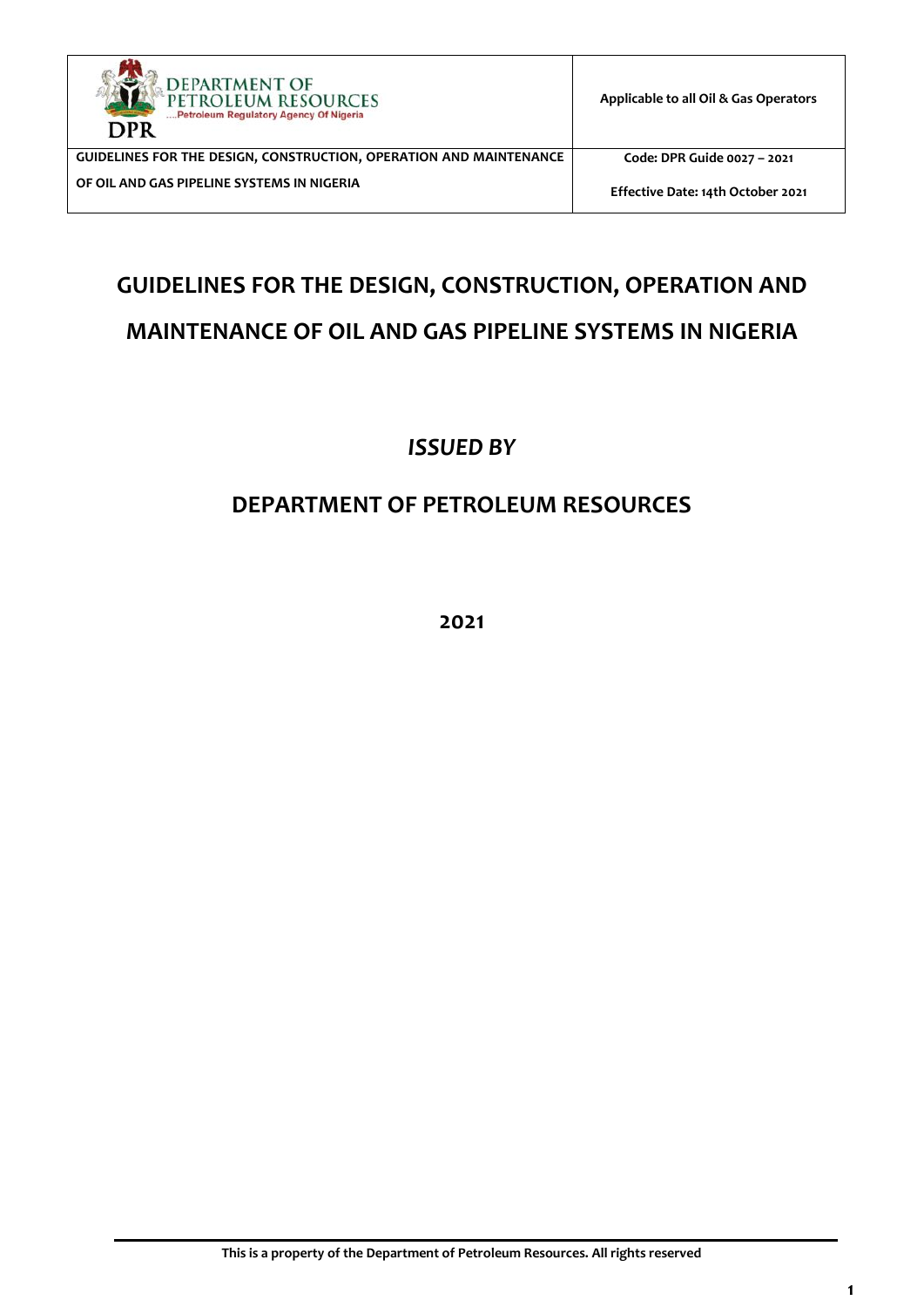

**Code: DPR Guide 0027 – 2021**

**Effective Date: 14th October 2021**

# **GUIDELINES FOR THE DESIGN, CONSTRUCTION, OPERATION AND MAINTENANCE OF OIL AND GAS PIPELINE SYSTEMS IN NIGERIA**

*ISSUED BY*

# **DEPARTMENT OF PETROLEUM RESOURCES**

**2021**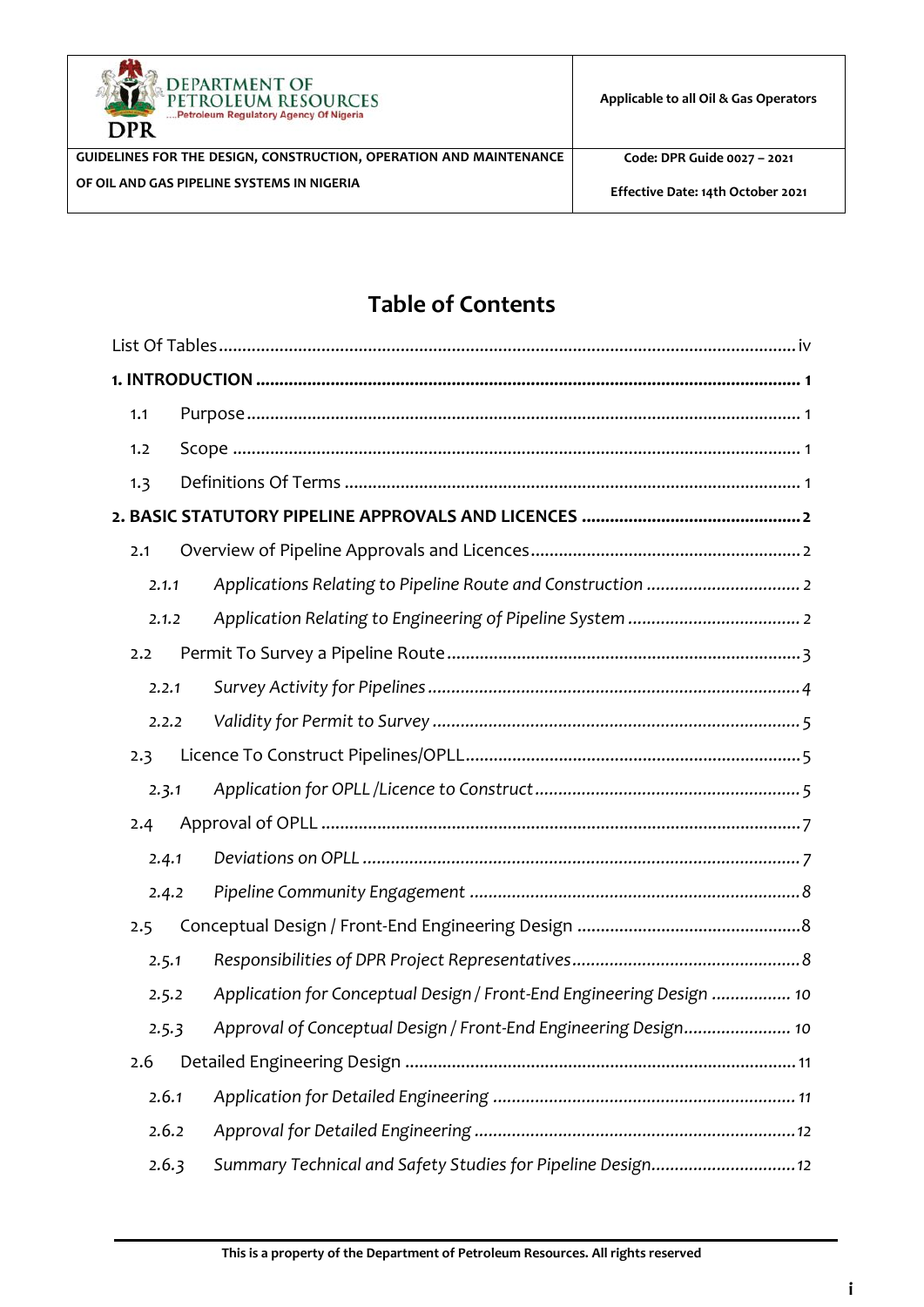



**Code: DPR Guide 0027 – 2021**

**Effective Date: 14th October 2021**

# **Table of Contents**

| 1.1 |       |                                                                      |
|-----|-------|----------------------------------------------------------------------|
| 1.2 |       |                                                                      |
| 1.3 |       |                                                                      |
|     |       |                                                                      |
| 2.1 |       |                                                                      |
|     | 2.1.1 |                                                                      |
|     | 2.1.2 |                                                                      |
| 2.2 |       |                                                                      |
|     | 2.2.1 |                                                                      |
|     | 2.2.2 |                                                                      |
| 2.3 |       |                                                                      |
|     | 2.3.1 |                                                                      |
| 2.4 |       |                                                                      |
|     | 2.4.1 |                                                                      |
|     | 2.4.2 |                                                                      |
| 2.5 |       |                                                                      |
|     | 2.5.1 |                                                                      |
|     | 2.5.2 | Application for Conceptual Design / Front-End Engineering Design  10 |
|     | 2.5.3 | Approval of Conceptual Design / Front-End Engineering Design 10      |
| 2.6 |       |                                                                      |
|     | 2.6.1 |                                                                      |
|     | 2.6.2 |                                                                      |
|     | 2.6.3 | Summary Technical and Safety Studies for Pipeline Design 12          |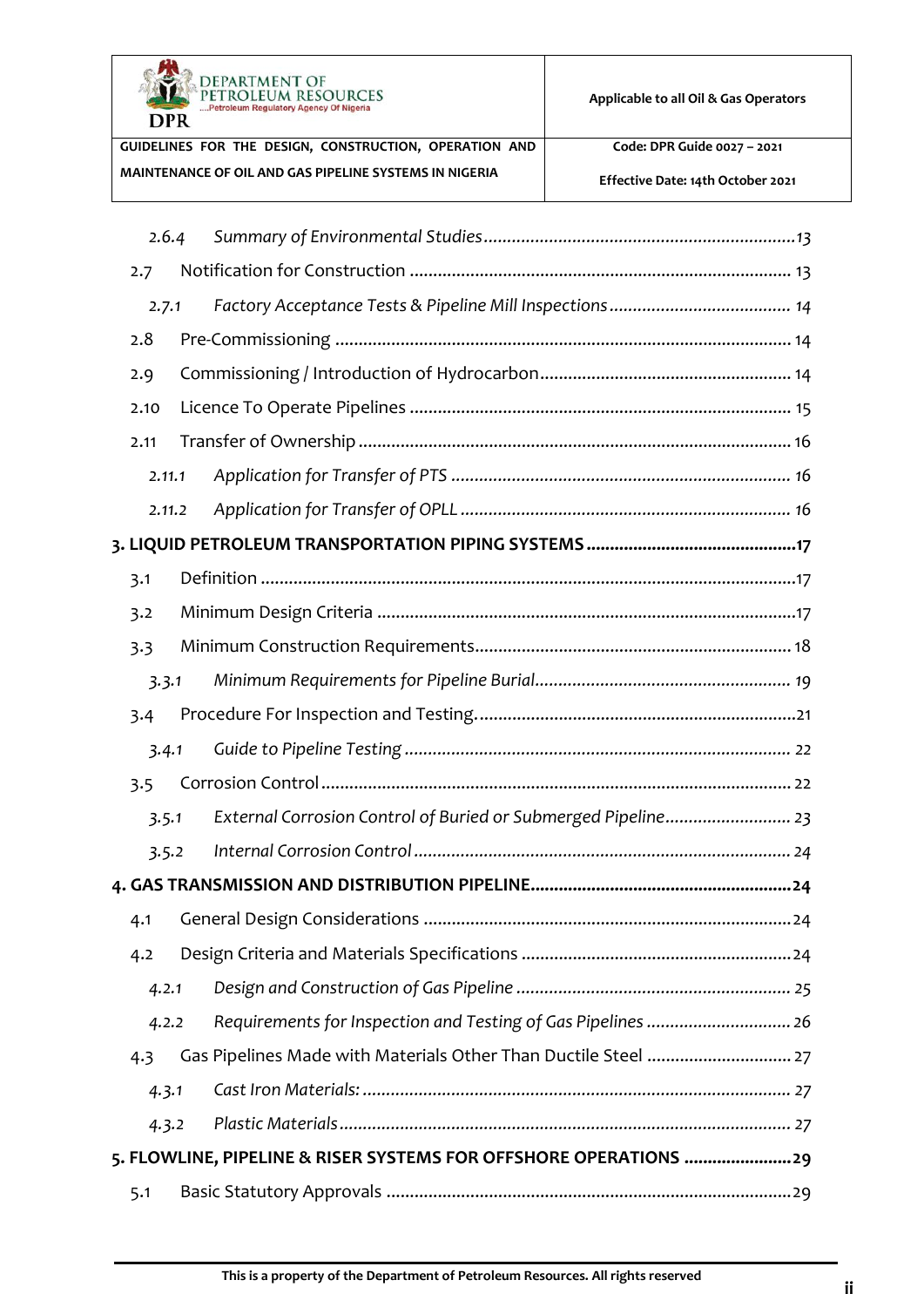

**Applicable to all Oil & Gas Operators** 

**Code: DPR Guide 0027 – 2021**

**Effective Date: 14th October 2021**

| 2.6.4  |                                                                  |
|--------|------------------------------------------------------------------|
| 2.7    |                                                                  |
| 2.7.1  |                                                                  |
| 2.8    |                                                                  |
| 2.9    |                                                                  |
| 2.10   |                                                                  |
| 2.11   |                                                                  |
| 2.11.1 |                                                                  |
| 2.11.2 |                                                                  |
|        |                                                                  |
| 3.1    |                                                                  |
| 3.2    |                                                                  |
| 3.3    |                                                                  |
| 3.3.1  |                                                                  |
| 3.4    |                                                                  |
| 3.4.1  |                                                                  |
| 3.5    |                                                                  |
| 3.5.1  | External Corrosion Control of Buried or Submerged Pipeline 23    |
| 3.5.2  |                                                                  |
|        |                                                                  |
| 4.1    |                                                                  |
| 4.2    |                                                                  |
| 4.2.1  |                                                                  |
| 4.2.2  | Requirements for Inspection and Testing of Gas Pipelines  26     |
| 4.3    | Gas Pipelines Made with Materials Other Than Ductile Steel  27   |
| 4.3.1  |                                                                  |
| 4.3.2  |                                                                  |
|        | 5. FLOWLINE, PIPELINE & RISER SYSTEMS FOR OFFSHORE OPERATIONS 29 |
| 5.1    |                                                                  |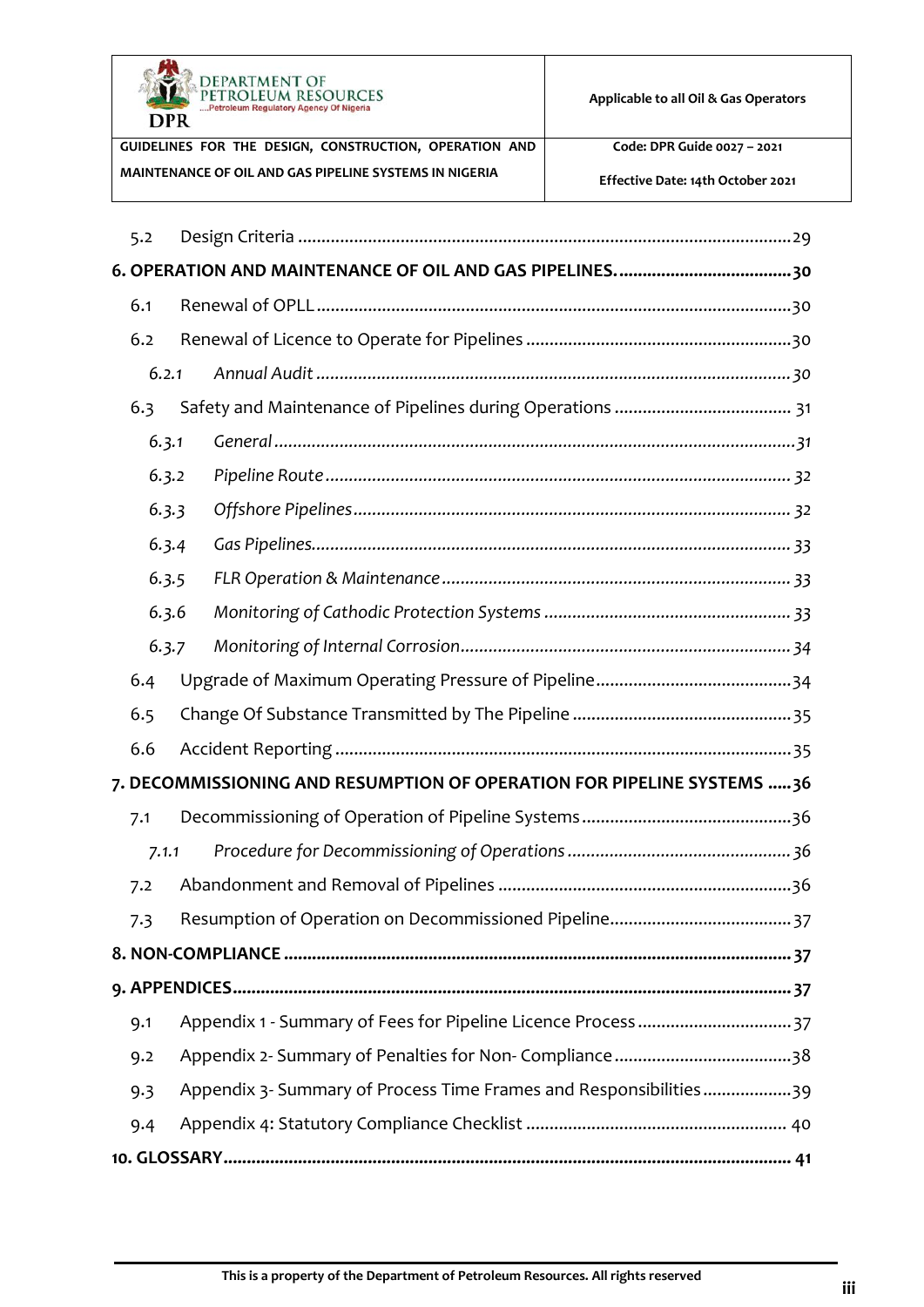

**Applicable to all Oil & Gas Operators** 

**GUIDELINES FOR THE DESIGN, CONSTRUCTION, OPERATION AND MAINTENANCE OF OIL AND GAS PIPELINE SYSTEMS IN NIGERIA**

**Code: DPR Guide 0027 – 2021**

**Effective Date: 14th October 2021**

| 5.2 |       |                                                                        |
|-----|-------|------------------------------------------------------------------------|
|     |       |                                                                        |
| 6.1 |       |                                                                        |
| 6.2 |       |                                                                        |
|     | 6.2.1 |                                                                        |
| 6.3 |       |                                                                        |
|     | 6.3.1 |                                                                        |
|     | 6.3.2 |                                                                        |
|     | 6.3.3 |                                                                        |
|     | 6.3.4 |                                                                        |
|     | 6.3.5 |                                                                        |
|     | 6.3.6 |                                                                        |
|     | 6.3.7 |                                                                        |
| 6.4 |       |                                                                        |
| 6.5 |       |                                                                        |
| 6.6 |       |                                                                        |
|     |       | 7. DECOMMISSIONING AND RESUMPTION OF OPERATION FOR PIPELINE SYSTEMS 36 |
| 7.1 |       |                                                                        |
|     | 7.1.1 |                                                                        |
| 7.2 |       |                                                                        |
| 7.3 |       |                                                                        |
|     |       |                                                                        |
|     |       |                                                                        |
| 9.1 |       | Appendix 1 - Summary of Fees for Pipeline Licence Process  37          |
| 9.2 |       |                                                                        |
| 9.3 |       | Appendix 3- Summary of Process Time Frames and Responsibilities39      |
| 9.4 |       |                                                                        |
|     |       |                                                                        |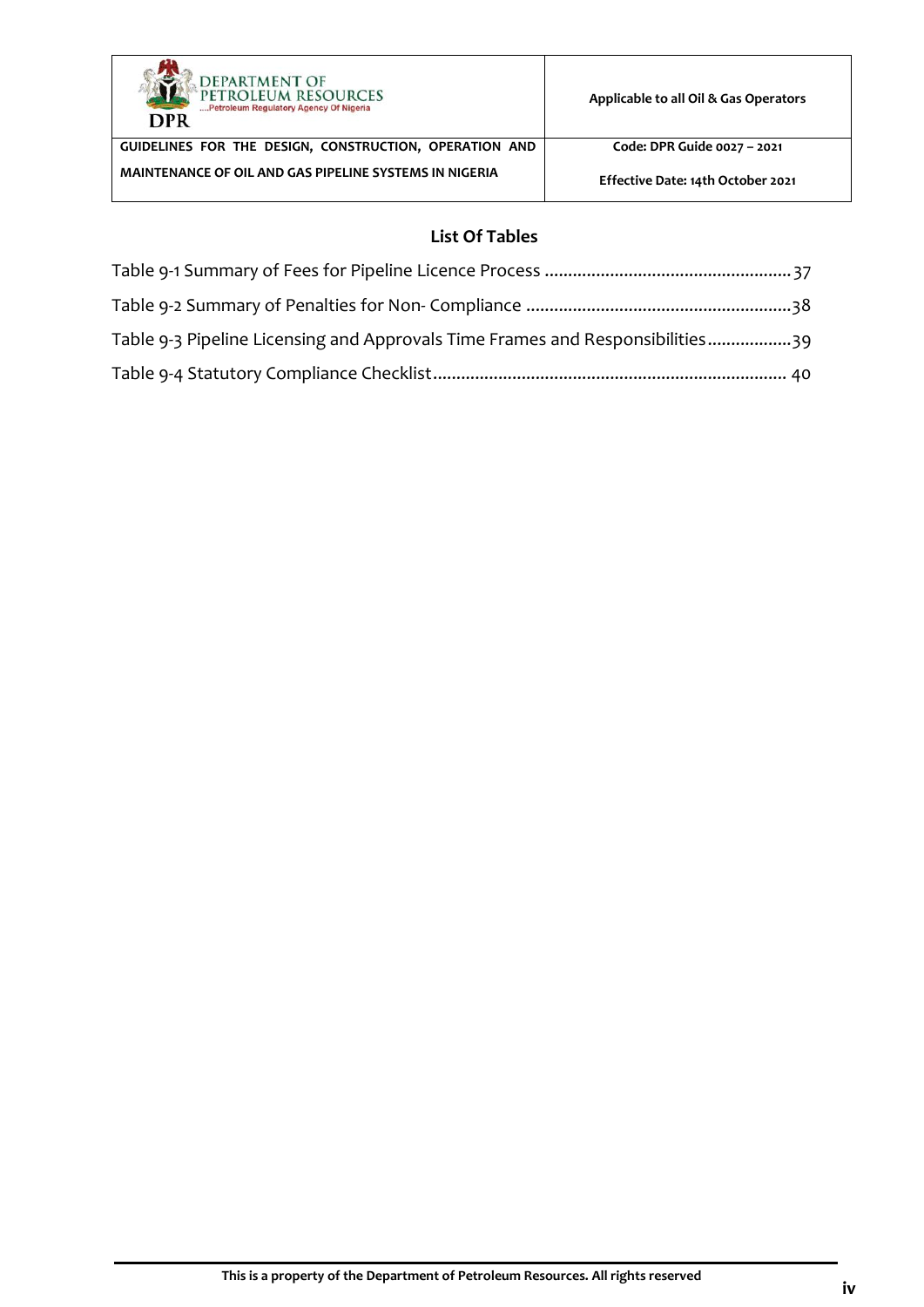

**Applicable to all Oil & Gas Operators** 

**GUIDELINES FOR THE DESIGN, CONSTRUCTION, OPERATION AND MAINTENANCE OF OIL AND GAS PIPELINE SYSTEMS IN NIGERIA**

**Code: DPR Guide 0027 – 2021**

**Effective Date: 14th October 2021**

## **List Of Tables**

<span id="page-4-0"></span>

| Table 9-3 Pipeline Licensing and Approvals Time Frames and Responsibilities39 |  |
|-------------------------------------------------------------------------------|--|
|                                                                               |  |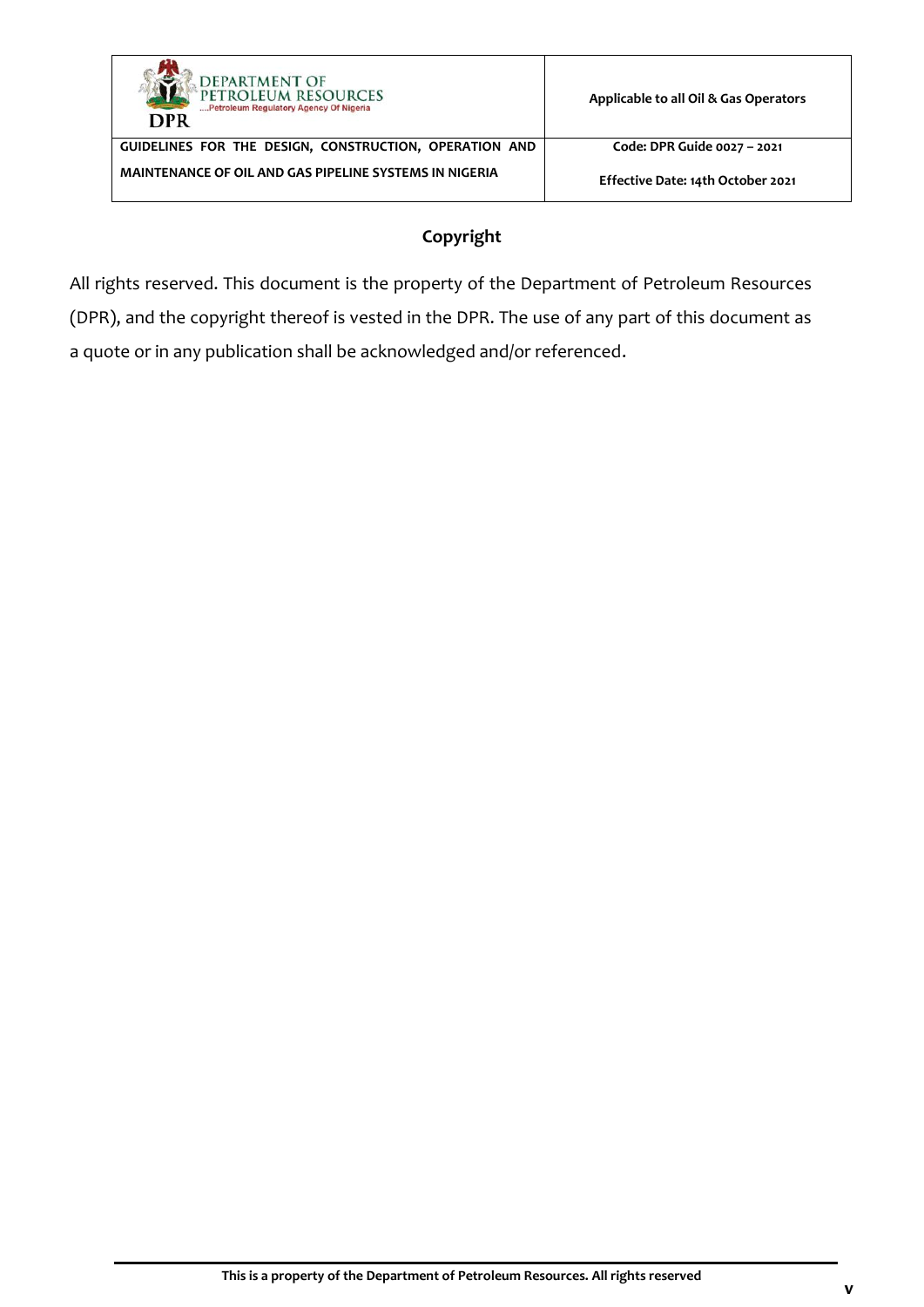

**Code: DPR Guide 0027 – 2021**

**Effective Date: 14th October 2021**

## **Copyright**

All rights reserved. This document is the property of the Department of Petroleum Resources (DPR), and the copyright thereof is vested in the DPR. The use of any part of this document as a quote or in any publication shall be acknowledged and/or referenced.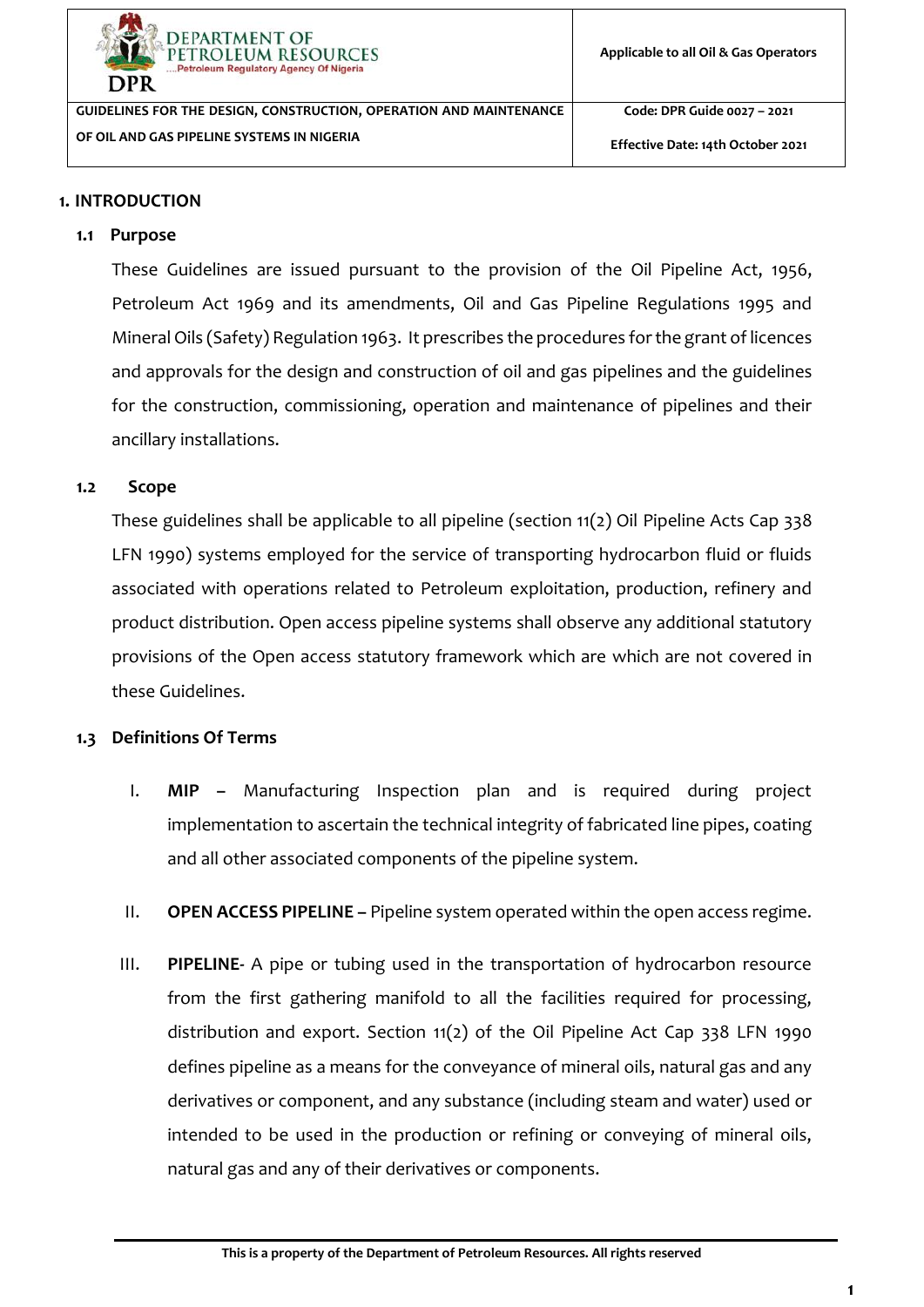

**Code: DPR Guide 0027 – 2021**

**Effective Date: 14th October 2021**

## <span id="page-6-0"></span>**1. INTRODUCTION**

## <span id="page-6-1"></span>**1.1 Purpose**

These Guidelines are issued pursuant to the provision of the Oil Pipeline Act, 1956, Petroleum Act 1969 and its amendments, Oil and Gas Pipeline Regulations 1995 and Mineral Oils (Safety) Regulation 1963. It prescribes the procedures for the grant of licences and approvals for the design and construction of oil and gas pipelines and the guidelines for the construction, commissioning, operation and maintenance of pipelines and their ancillary installations.

#### <span id="page-6-2"></span>**1.2 Scope**

These guidelines shall be applicable to all pipeline (section 11(2) Oil Pipeline Acts Cap 338 LFN 1990) systems employed for the service of transporting hydrocarbon fluid or fluids associated with operations related to Petroleum exploitation, production, refinery and product distribution. Open access pipeline systems shall observe any additional statutory provisions of the Open access statutory framework which are which are not covered in these Guidelines.

## <span id="page-6-3"></span>**1.3 Definitions Of Terms**

- I. **MIP –** Manufacturing Inspection plan and is required during project implementation to ascertain the technical integrity of fabricated line pipes, coating and all other associated components of the pipeline system.
- II. **OPEN ACCESS PIPELINE –** Pipeline system operated within the open access regime.
- III. **PIPELINE-** A pipe or tubing used in the transportation of hydrocarbon resource from the first gathering manifold to all the facilities required for processing, distribution and export. Section 11(2) of the Oil Pipeline Act Cap 338 LFN 1990 defines pipeline as a means for the conveyance of mineral oils, natural gas and any derivatives or component, and any substance (including steam and water) used or intended to be used in the production or refining or conveying of mineral oils, natural gas and any of their derivatives or components.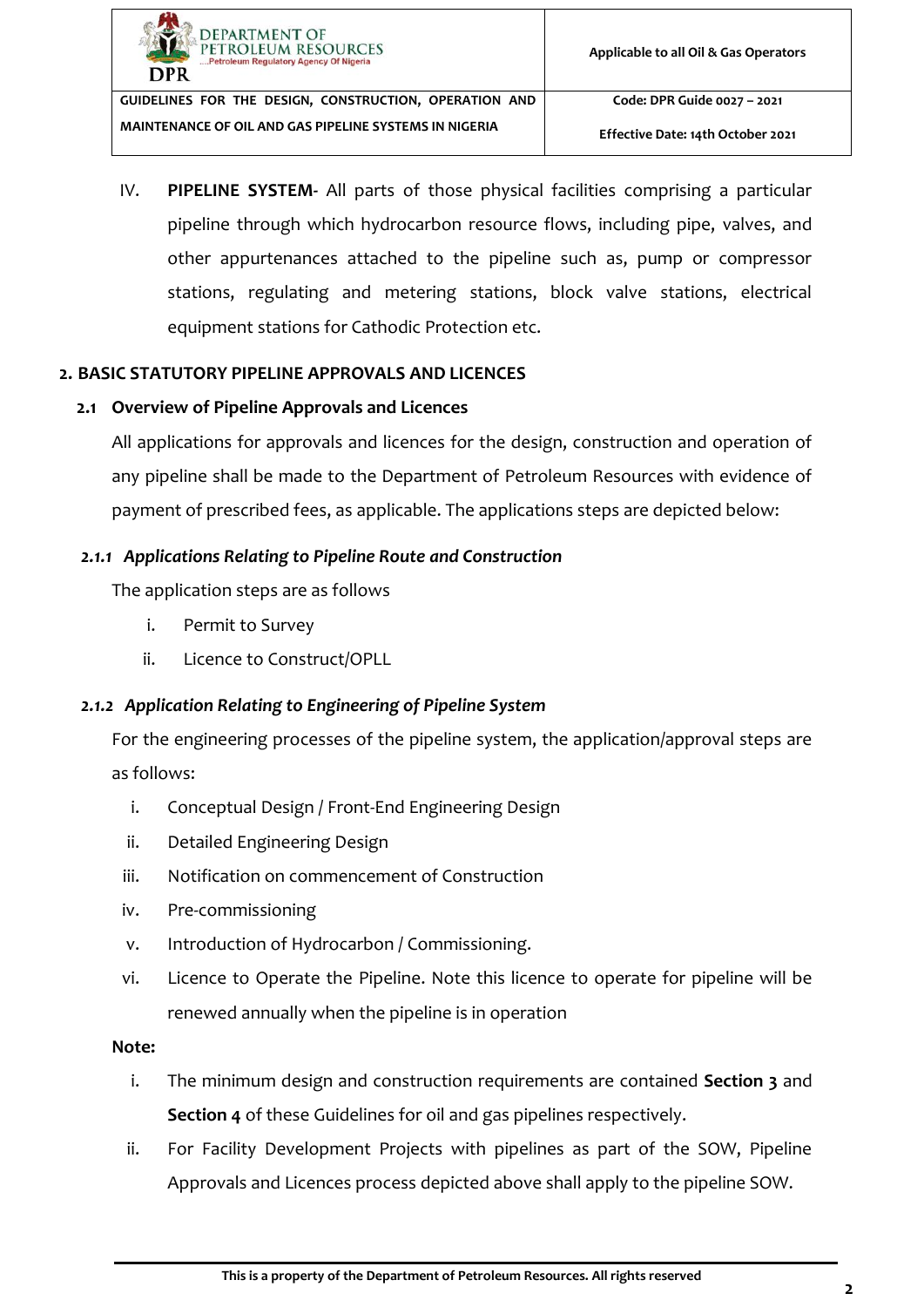

**Effective Date: 14th October 2021**

IV. **PIPELINE SYSTEM-** All parts of those physical facilities comprising a particular pipeline through which hydrocarbon resource flows, including pipe, valves, and other appurtenances attached to the pipeline such as, pump or compressor stations, regulating and metering stations, block valve stations, electrical equipment stations for Cathodic Protection etc.

#### <span id="page-7-0"></span>**2. BASIC STATUTORY PIPELINE APPROVALS AND LICENCES**

#### <span id="page-7-1"></span>**2.1 Overview of Pipeline Approvals and Licences**

All applications for approvals and licences for the design, construction and operation of any pipeline shall be made to the Department of Petroleum Resources with evidence of payment of prescribed fees, as applicable. The applications steps are depicted below:

#### <span id="page-7-2"></span>*2.1.1 Applications Relating to Pipeline Route and Construction*

The application steps are as follows

- i. Permit to Survey
- ii. Licence to Construct/OPLL

#### <span id="page-7-3"></span>*2.1.2 Application Relating to Engineering of Pipeline System*

For the engineering processes of the pipeline system, the application/approval steps are as follows:

- i. Conceptual Design / Front-End Engineering Design
- ii. Detailed Engineering Design
- iii. Notification on commencement of Construction
- iv. Pre-commissioning
- v. Introduction of Hydrocarbon / Commissioning.
- vi. Licence to Operate the Pipeline. Note this licence to operate for pipeline will be renewed annually when the pipeline is in operation

#### **Note:**

- i. The minimum design and construction requirements are contained **Section [3](#page-22-0)** and **Section [4](#page-29-1)** of these Guidelines for oil and gas pipelines respectively.
- ii. For Facility Development Projects with pipelines as part of the SOW, Pipeline Approvals and Licences process depicted above shall apply to the pipeline SOW.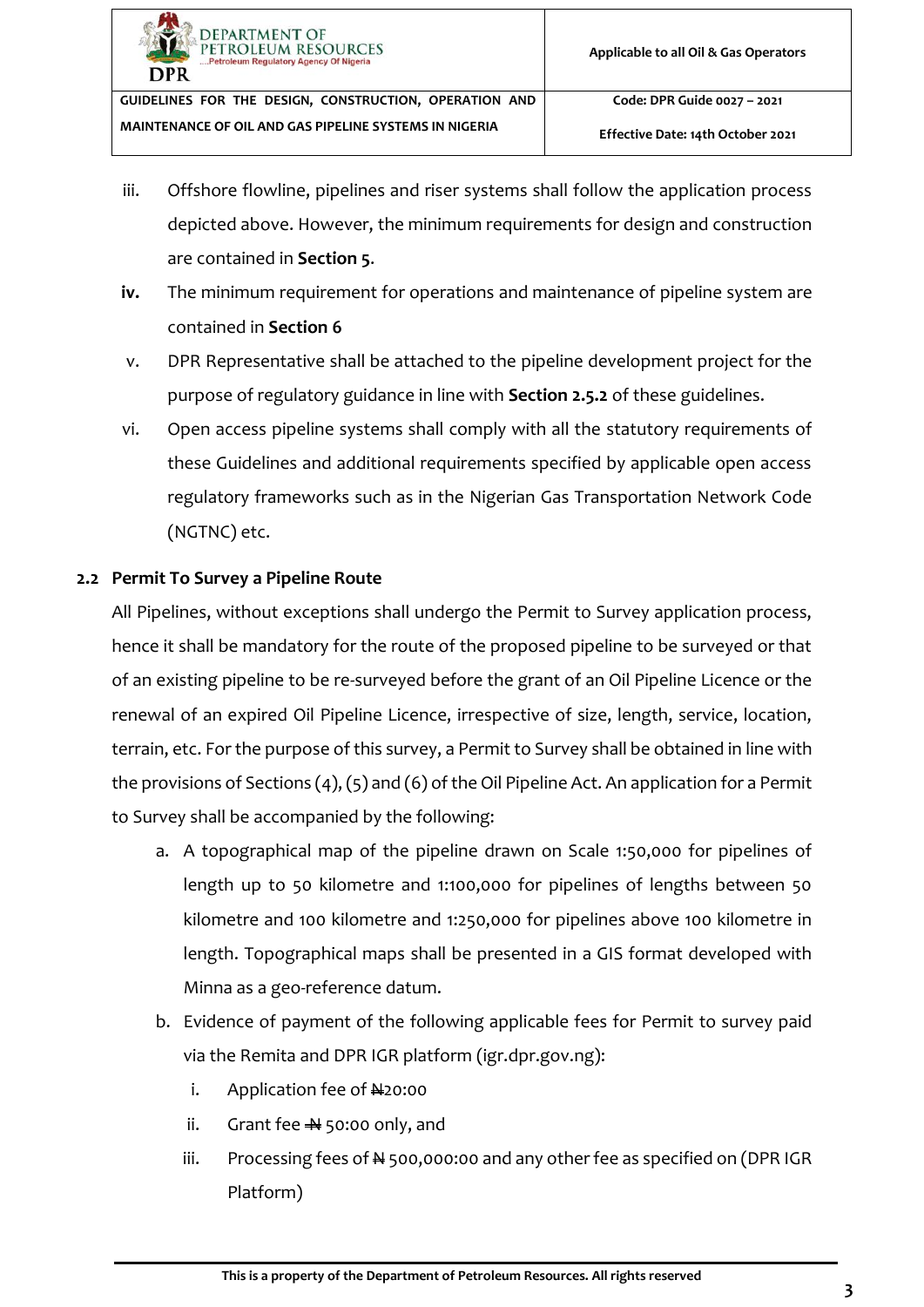- iii. Offshore flowline, pipelines and riser systems shall follow the application process depicted above. However, the minimum requirements for design and construction are contained in **Section [5](#page-34-0)**.
- **iv.** The minimum requirement for operations and maintenance of pipeline system are contained in **Section [6](#page-35-0)**
- v. DPR Representative shall be attached to the pipeline development project for the purpose of regulatory guidance in line with **Sectio[n 2.5.2](#page-15-0)** of these guidelines.
- vi. Open access pipeline systems shall comply with all the statutory requirements of these Guidelines and additional requirements specified by applicable open access regulatory frameworks such as in the Nigerian Gas Transportation Network Code (NGTNC) etc.

## <span id="page-8-0"></span>**2.2 Permit To Survey a Pipeline Route**

All Pipelines, without exceptions shall undergo the Permit to Survey application process, hence it shall be mandatory for the route of the proposed pipeline to be surveyed or that of an existing pipeline to be re-surveyed before the grant of an Oil Pipeline Licence or the renewal of an expired Oil Pipeline Licence, irrespective of size, length, service, location, terrain, etc. For the purpose of this survey, a Permit to Survey shall be obtained in line with the provisions of Sections (4), (5) and (6) of the Oil Pipeline Act. An application for a Permit to Survey shall be accompanied by the following:

- a. A topographical map of the pipeline drawn on Scale 1:50,000 for pipelines of length up to 50 kilometre and 1:100,000 for pipelines of lengths between 50 kilometre and 100 kilometre and 1:250,000 for pipelines above 100 kilometre in length. Topographical maps shall be presented in a GIS format developed with Minna as a geo-reference datum.
- b. Evidence of payment of the following applicable fees for Permit to survey paid via the Remita and DPR IGR platform (igr.dpr.gov.ng):
	- i. Application fee of  $\frac{1}{2}$ 0:00
	- ii. Grant fee  $\frac{1}{2}$  50:00 only, and
	- iii. Processing fees of N 500,000:00 and any other fee as specified on (DPR IGR Platform)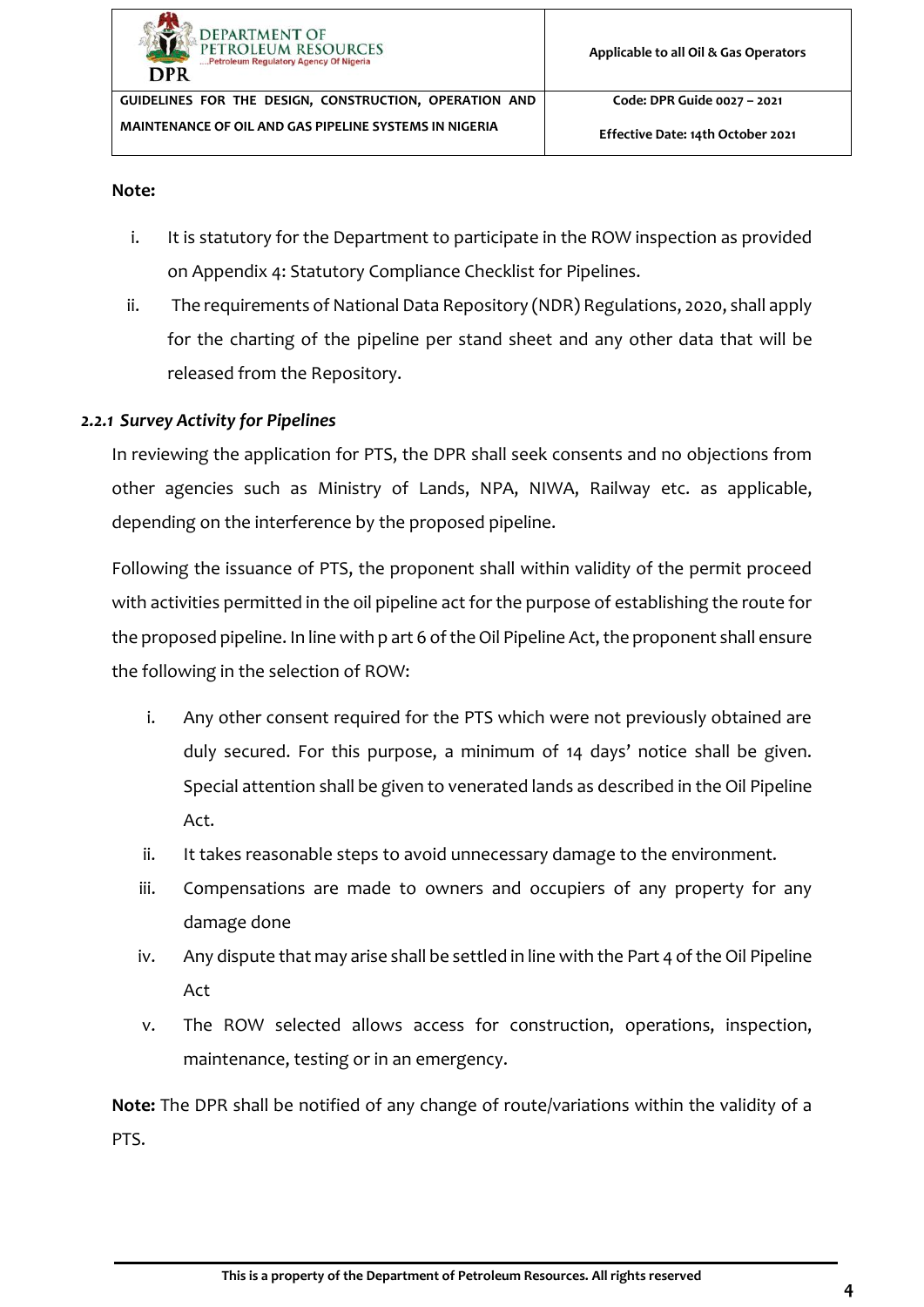**Code: DPR Guide 0027 – 2021**

#### **Note:**

- i. It is statutory for the Department to participate in the ROW inspection as provided on [Appendix 4: Statutory Compliance Checklist](#page-45-0) for Pipelines.
- ii. The requirements of National Data Repository (NDR) Regulations, 2020, shall apply for the charting of the pipeline per stand sheet and any other data that will be released from the Repository.

#### <span id="page-9-0"></span>*2.2.1 Survey Activity for Pipelines*

In reviewing the application for PTS, the DPR shall seek consents and no objections from other agencies such as Ministry of Lands, NPA, NIWA, Railway etc. as applicable, depending on the interference by the proposed pipeline.

Following the issuance of PTS, the proponent shall within validity of the permit proceed with activities permitted in the oil pipeline act for the purpose of establishing the route for the proposed pipeline. In line with p art 6 of the Oil Pipeline Act, the proponent shall ensure the following in the selection of ROW:

- i. Any other consent required for the PTS which were not previously obtained are duly secured. For this purpose, a minimum of 14 days' notice shall be given. Special attention shall be given to venerated lands as described in the Oil Pipeline Act.
- ii. It takes reasonable steps to avoid unnecessary damage to the environment.
- iii. Compensations are made to owners and occupiers of any property for any damage done
- iv. Any dispute that may arise shall be settled in line with the Part 4 of the Oil Pipeline Act
- v. The ROW selected allows access for construction, operations, inspection, maintenance, testing or in an emergency.

**Note:** The DPR shall be notified of any change of route/variations within the validity of a PTS.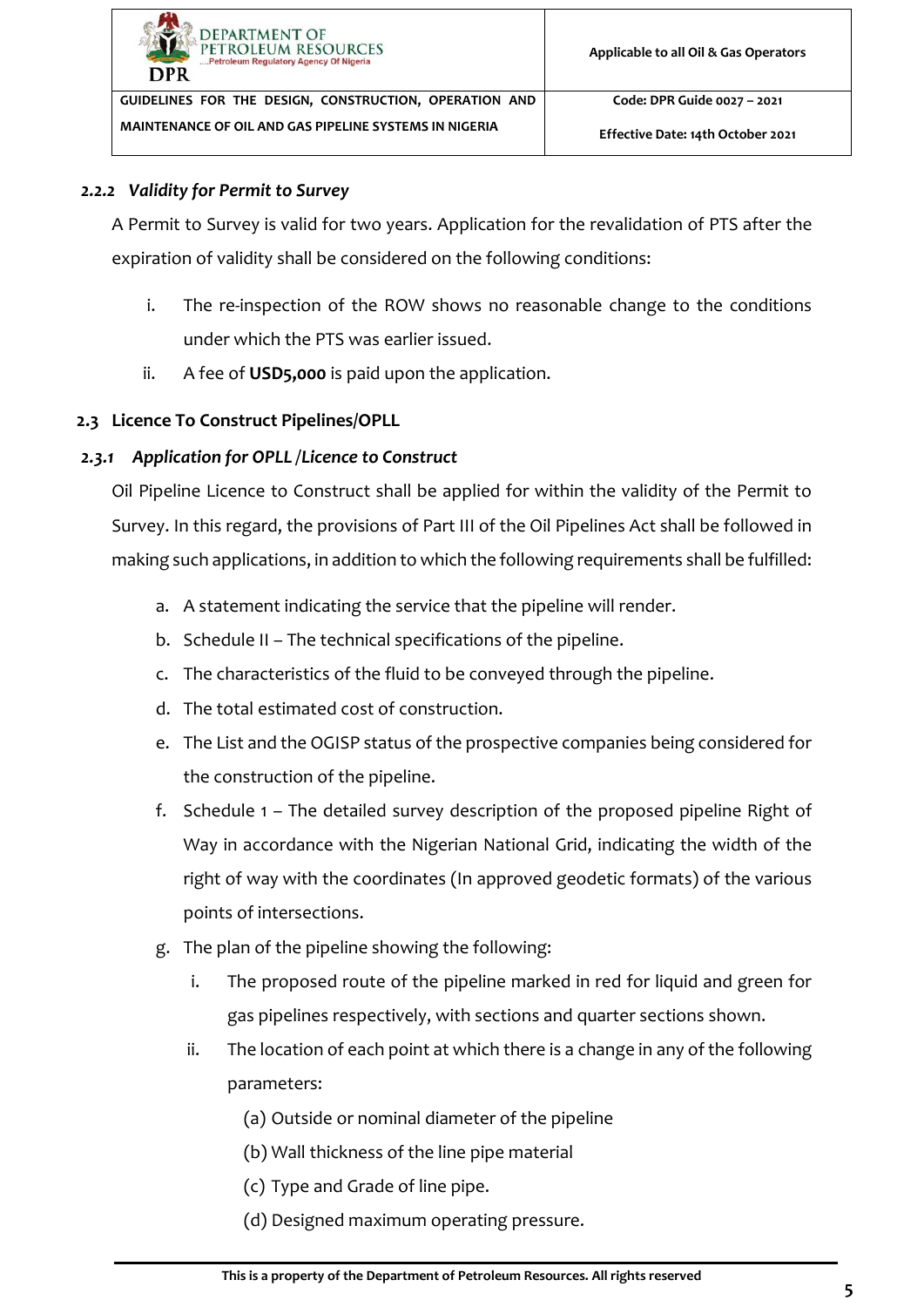**Code: DPR Guide 0027 – 2021**

#### <span id="page-10-0"></span>*2.2.2 Validity for Permit to Survey*

A Permit to Survey is valid for two years. Application for the revalidation of PTS after the expiration of validity shall be considered on the following conditions:

- i. The re-inspection of the ROW shows no reasonable change to the conditions under which the PTS was earlier issued.
- ii. A fee of **USD5,000** is paid upon the application.

## <span id="page-10-1"></span>**2.3 Licence To Construct Pipelines/OPLL**

#### *2.3.1 Application for OPLL /Licence to Construct*

<span id="page-10-2"></span>Oil Pipeline Licence to Construct shall be applied for within the validity of the Permit to Survey. In this regard, the provisions of Part III of the Oil Pipelines Act shall be followed in making such applications, in addition to which the following requirements shall be fulfilled:

- a. A statement indicating the service that the pipeline will render.
- b. Schedule II The technical specifications of the pipeline.
- c. The characteristics of the fluid to be conveyed through the pipeline.
- d. The total estimated cost of construction.
- e. The List and the OGISP status of the prospective companies being considered for the construction of the pipeline.
- f. Schedule 1 The detailed survey description of the proposed pipeline Right of Way in accordance with the Nigerian National Grid, indicating the width of the right of way with the coordinates (In approved geodetic formats) of the various points of intersections.
- g. The plan of the pipeline showing the following:
	- i. The proposed route of the pipeline marked in red for liquid and green for gas pipelines respectively, with sections and quarter sections shown.
	- ii. The location of each point at which there is a change in any of the following parameters:
		- (a) Outside or nominal diameter of the pipeline
		- (b) Wall thickness of the line pipe material
		- (c) Type and Grade of line pipe.
		- (d) Designed maximum operating pressure.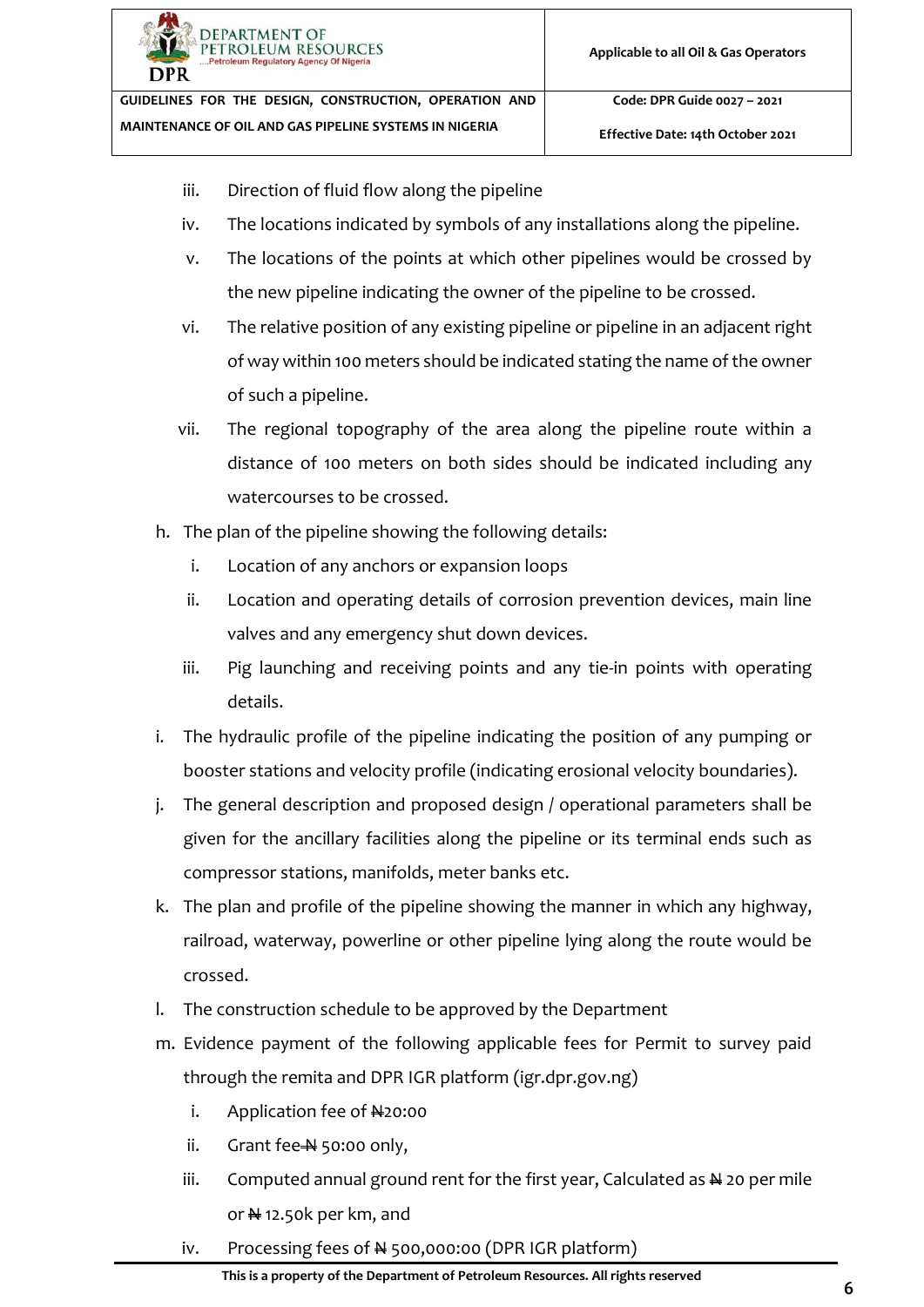

**Effective Date: 14th October 2021**

- iii. Direction of fluid flow along the pipeline
- iv. The locations indicated by symbols of any installations along the pipeline.
- v. The locations of the points at which other pipelines would be crossed by the new pipeline indicating the owner of the pipeline to be crossed.
- vi. The relative position of any existing pipeline or pipeline in an adjacent right of way within 100 meters should be indicated stating the name of the owner of such a pipeline.
- vii. The regional topography of the area along the pipeline route within a distance of 100 meters on both sides should be indicated including any watercourses to be crossed.
- h. The plan of the pipeline showing the following details:
	- i. Location of any anchors or expansion loops
	- ii. Location and operating details of corrosion prevention devices, main line valves and any emergency shut down devices.
	- iii. Pig launching and receiving points and any tie-in points with operating details.
- i. The hydraulic profile of the pipeline indicating the position of any pumping or booster stations and velocity profile (indicating erosional velocity boundaries).
- j. The general description and proposed design / operational parameters shall be given for the ancillary facilities along the pipeline or its terminal ends such as compressor stations, manifolds, meter banks etc.
- k. The plan and profile of the pipeline showing the manner in which any highway, railroad, waterway, powerline or other pipeline lying along the route would be crossed.
- l. The construction schedule to be approved by the Department
- m. Evidence payment of the following applicable fees for Permit to survey paid through the remita and DPR IGR platform (igr.dpr.gov.ng)
	- i. Application fee of  $H20:00$
	- ii. Grant fee  $\frac{N}{2}$  50:00 only,
	- iii. Computed annual ground rent for the first year, Calculated as  $\frac{N}{2}$  20 per mile or  $\frac{N}{N}$  12.50k per km, and
	- iv. Processing fees of  $\frac{1}{2}$  500,000:00 (DPR IGR platform)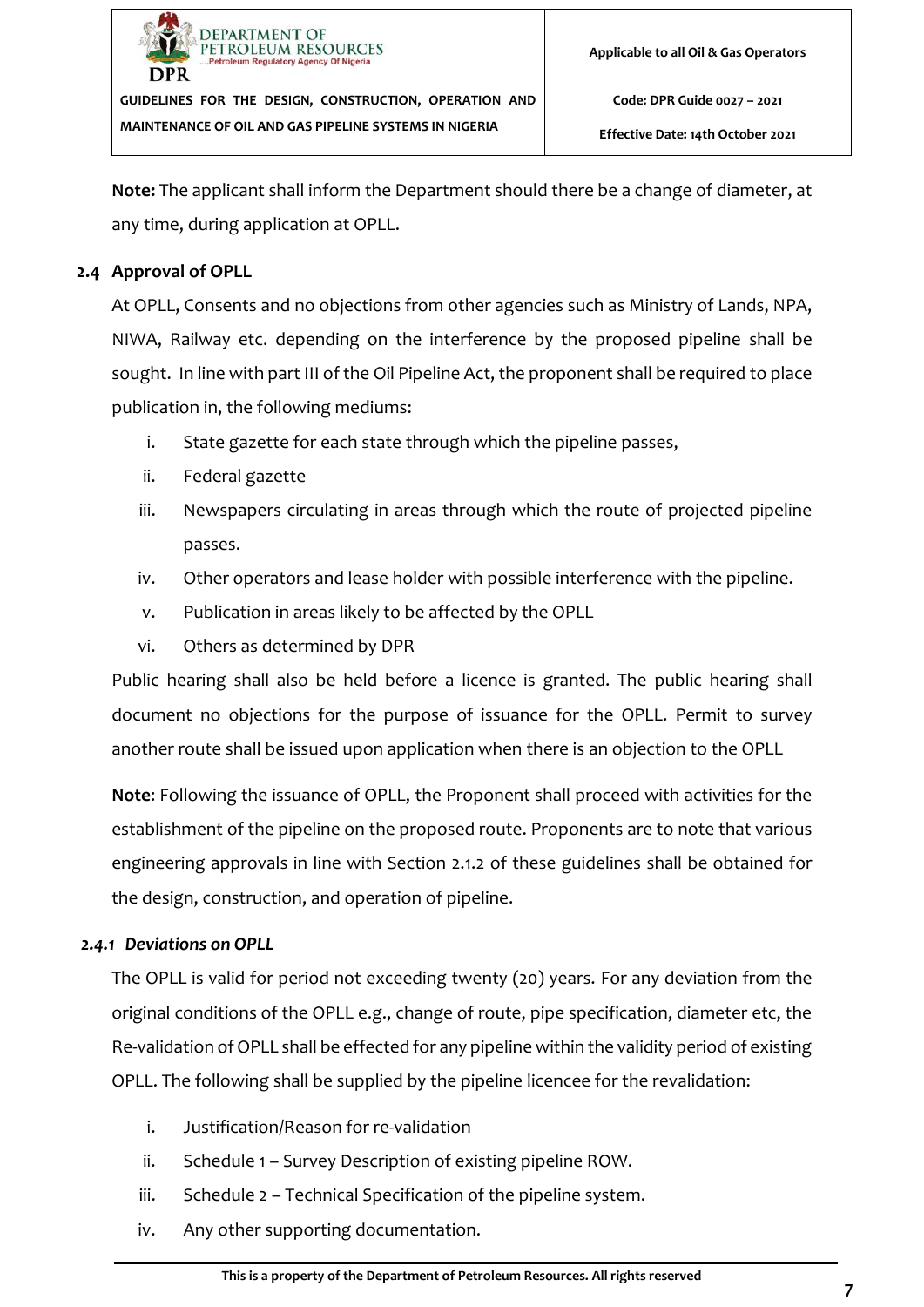| <b>DEPARTMENT OF</b><br>PETROLEUM RESOURCES<br>Petroleum Regulatory Agency Of Nigeria<br>DPR | Applicable to all Oil & Gas Operators |
|----------------------------------------------------------------------------------------------|---------------------------------------|
| GUIDELINES FOR THE DESIGN, CONSTRUCTION, OPERATION AND                                       | Code: DPR Guide 0027 - 2021           |
| MAINTENANCE OF OIL AND GAS PIPELINE SYSTEMS IN NIGERIA                                       | Effective Date: 14th October 2021     |

**Note:** The applicant shall inform the Department should there be a change of diameter, at any time, during application at OPLL.

## <span id="page-12-0"></span>**2.4 Approval of OPLL**

At OPLL, Consents and no objections from other agencies such as Ministry of Lands, NPA, NIWA, Railway etc. depending on the interference by the proposed pipeline shall be sought. In line with part III of the Oil Pipeline Act, the proponent shall be required to place publication in, the following mediums:

- i. State gazette for each state through which the pipeline passes,
- ii. Federal gazette
- iii. Newspapers circulating in areas through which the route of projected pipeline passes.
- iv. Other operators and lease holder with possible interference with the pipeline.
- v. Publication in areas likely to be affected by the OPLL
- vi. Others as determined by DPR

Public hearing shall also be held before a licence is granted. The public hearing shall document no objections for the purpose of issuance for the OPLL. Permit to survey another route shall be issued upon application when there is an objection to the OPLL

**Note**: Following the issuance of OPLL, the Proponent shall proceed with activities for the establishment of the pipeline on the proposed route. Proponents are to note that various engineering approvals in line with Section [2.1.2](#page-7-3) of these guidelines shall be obtained for the design, construction, and operation of pipeline.

## <span id="page-12-1"></span>*2.4.1 Deviations on OPLL*

The OPLL is valid for period not exceeding twenty (20) years. For any deviation from the original conditions of the OPLL e.g., change of route, pipe specification, diameter etc, the Re-validation of OPLL shall be effected for any pipeline within the validity period of existing OPLL. The following shall be supplied by the pipeline licencee for the revalidation:

- i. Justification/Reason for re-validation
- ii. Schedule 1 Survey Description of existing pipeline ROW.
- iii. Schedule 2 Technical Specification of the pipeline system.
- iv. Any other supporting documentation.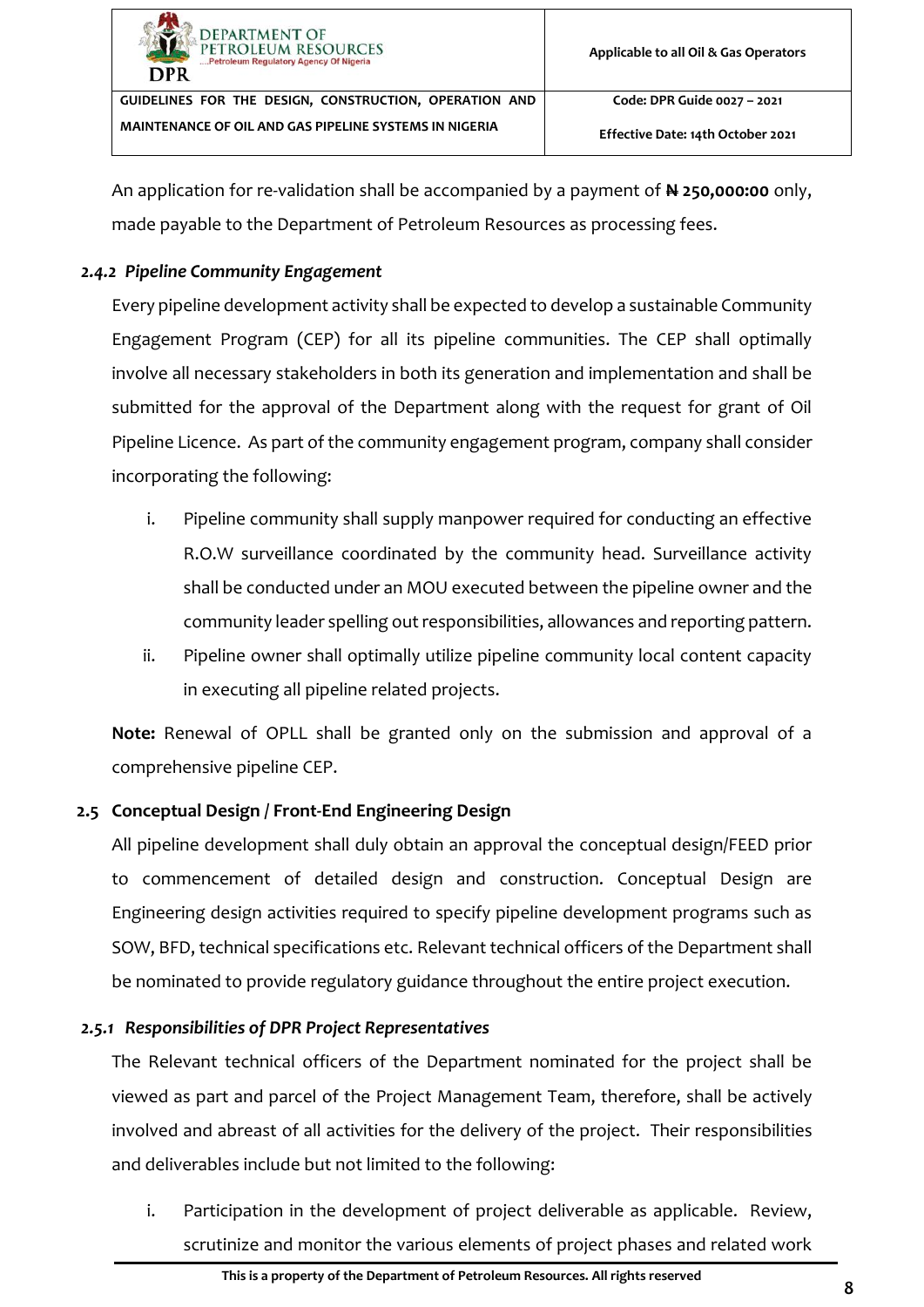| <b>DEPARTMENT OF</b><br>PETROLEUM RESOURCES<br>Petroleum Regulatory Agency Of Nigeria<br><b>DPR</b> | Applicable to all Oil & Gas Operators |
|-----------------------------------------------------------------------------------------------------|---------------------------------------|
| GUIDELINES FOR THE DESIGN, CONSTRUCTION, OPERATION AND                                              | Code: DPR Guide 0027 - 2021           |
| MAINTENANCE OF OIL AND GAS PIPELINE SYSTEMS IN NIGERIA                                              | Effective Date: 14th October 2021     |

An application for re-validation shall be accompanied by a payment of **N 250,000:00** only, made payable to the Department of Petroleum Resources as processing fees.

## <span id="page-13-0"></span>*2.4.2 Pipeline Community Engagement*

Every pipeline development activity shall be expected to develop a sustainable Community Engagement Program (CEP) for all its pipeline communities. The CEP shall optimally involve all necessary stakeholders in both its generation and implementation and shall be submitted for the approval of the Department along with the request for grant of Oil Pipeline Licence. As part of the community engagement program, company shall consider incorporating the following:

- i. Pipeline community shall supply manpower required for conducting an effective R.O.W surveillance coordinated by the community head. Surveillance activity shall be conducted under an MOU executed between the pipeline owner and the community leader spelling out responsibilities, allowances and reporting pattern.
- ii. Pipeline owner shall optimally utilize pipeline community local content capacity in executing all pipeline related projects.

**Note:** Renewal of OPLL shall be granted only on the submission and approval of a comprehensive pipeline CEP.

## <span id="page-13-1"></span>**2.5 Conceptual Design / Front-End Engineering Design**

All pipeline development shall duly obtain an approval the conceptual design/FEED prior to commencement of detailed design and construction. Conceptual Design are Engineering design activities required to specify pipeline development programs such as SOW, BFD, technical specifications etc. Relevant technical officers of the Department shall be nominated to provide regulatory guidance throughout the entire project execution.

## <span id="page-13-2"></span>*2.5.1 Responsibilities of DPR Project Representatives*

The Relevant technical officers of the Department nominated for the project shall be viewed as part and parcel of the Project Management Team, therefore, shall be actively involved and abreast of all activities for the delivery of the project. Their responsibilities and deliverables include but not limited to the following:

i. Participation in the development of project deliverable as applicable. Review, scrutinize and monitor the various elements of project phases and related work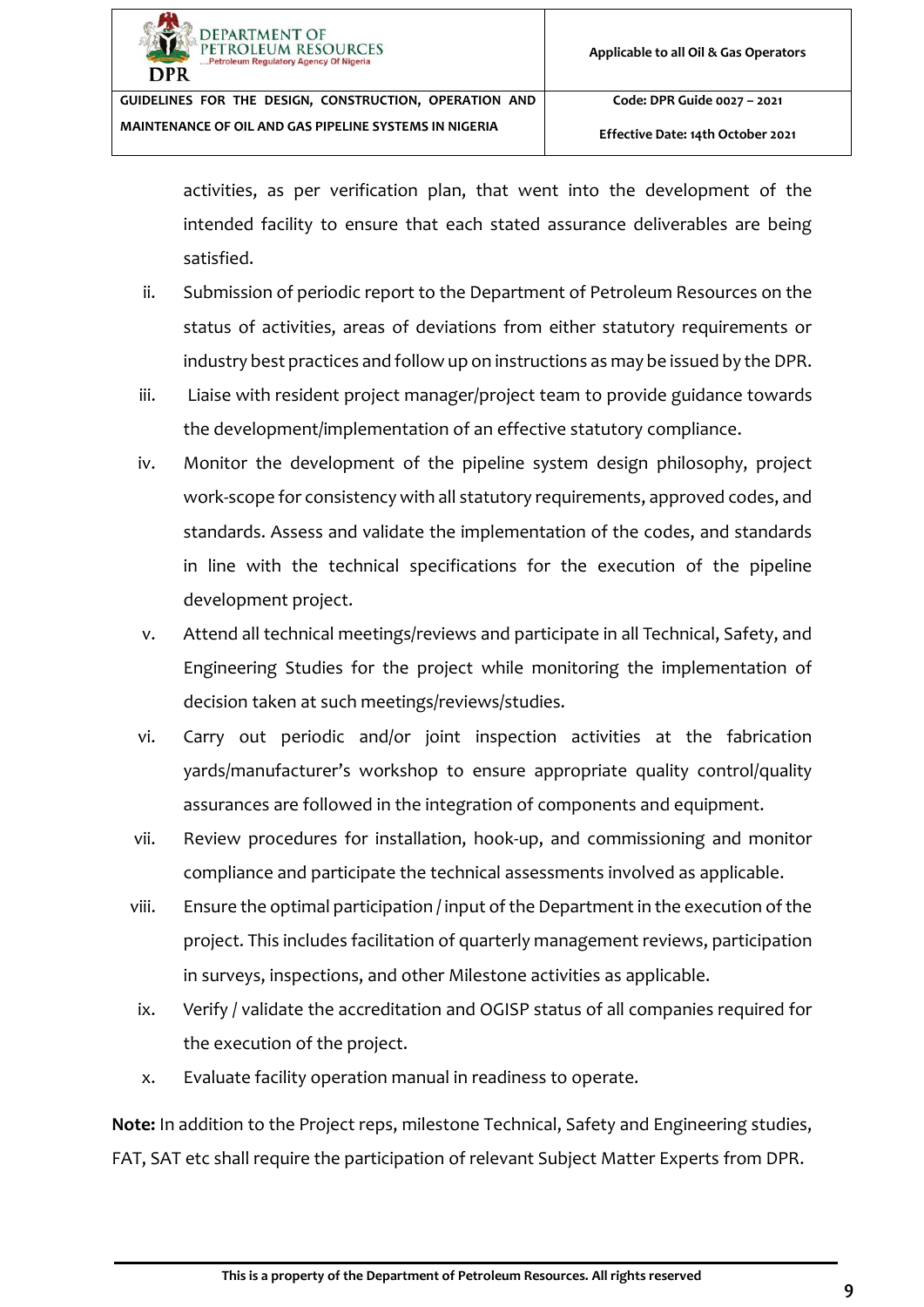**Effective Date: 14th October 2021**

activities, as per verification plan, that went into the development of the intended facility to ensure that each stated assurance deliverables are being satisfied.

- ii. Submission of periodic report to the Department of Petroleum Resources on the status of activities, areas of deviations from either statutory requirements or industry best practices and follow up on instructions as may be issued by the DPR.
- iii. Liaise with resident project manager/project team to provide guidance towards the development/implementation of an effective statutory compliance.
- iv. Monitor the development of the pipeline system design philosophy, project work-scope for consistency with all statutory requirements, approved codes, and standards. Assess and validate the implementation of the codes, and standards in line with the technical specifications for the execution of the pipeline development project.
- v. Attend all technical meetings/reviews and participate in all Technical, Safety, and Engineering Studies for the project while monitoring the implementation of decision taken at such meetings/reviews/studies.
- vi. Carry out periodic and/or joint inspection activities at the fabrication yards/manufacturer's workshop to ensure appropriate quality control/quality assurances are followed in the integration of components and equipment.
- vii. Review procedures for installation, hook-up, and commissioning and monitor compliance and participate the technical assessments involved as applicable.
- viii. Ensure the optimal participation / input of the Department in the execution of the project. This includes facilitation of quarterly management reviews, participation in surveys, inspections, and other Milestone activities as applicable.
- ix. Verify / validate the accreditation and OGISP status of all companies required for the execution of the project.
- x. Evaluate facility operation manual in readiness to operate.

**Note:** In addition to the Project reps, milestone Technical, Safety and Engineering studies, FAT, SAT etc shall require the participation of relevant Subject Matter Experts from DPR.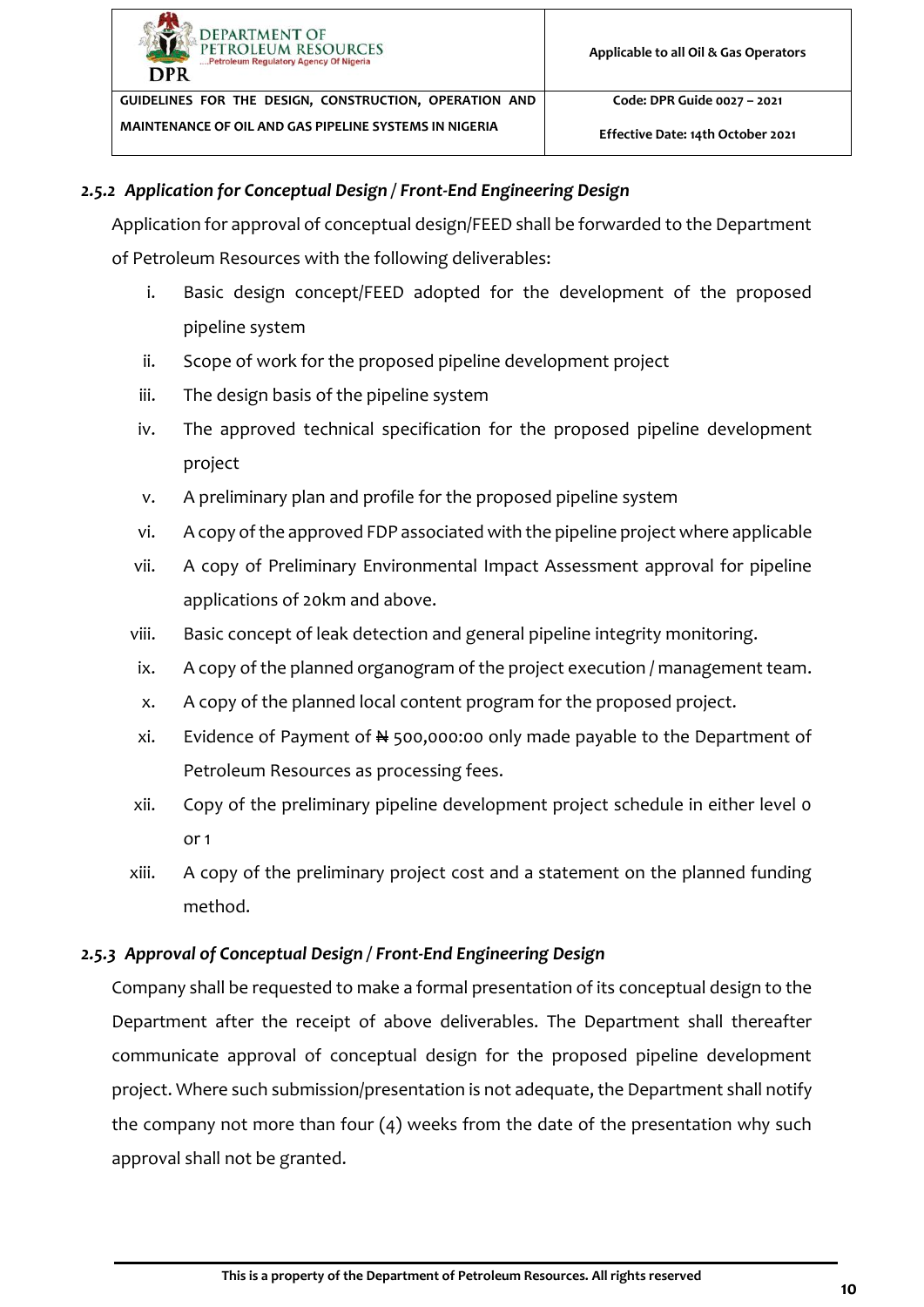#### <span id="page-15-0"></span>*2.5.2 Application for Conceptual Design / Front-End Engineering Design*

Application for approval of conceptual design/FEED shall be forwarded to the Department of Petroleum Resources with the following deliverables:

- i. Basic design concept/FEED adopted for the development of the proposed pipeline system
- ii. Scope of work for the proposed pipeline development project
- iii. The design basis of the pipeline system
- iv. The approved technical specification for the proposed pipeline development project
- v. A preliminary plan and profile for the proposed pipeline system
- vi. A copy of the approved FDP associated with the pipeline project where applicable
- vii. A copy of Preliminary Environmental Impact Assessment approval for pipeline applications of 20km and above.
- viii. Basic concept of leak detection and general pipeline integrity monitoring.
- ix. A copy of the planned organogram of the project execution / management team.
- x. A copy of the planned local content program for the proposed project.
- xi. Evidence of Payment of  $\frac{1}{2}$  500,000:00 only made payable to the Department of Petroleum Resources as processing fees.
- xii. Copy of the preliminary pipeline development project schedule in either level 0 or 1
- xiii. A copy of the preliminary project cost and a statement on the planned funding method.

#### <span id="page-15-1"></span>*2.5.3 Approval of Conceptual Design / Front-End Engineering Design*

Company shall be requested to make a formal presentation of its conceptual design to the Department after the receipt of above deliverables. The Department shall thereafter communicate approval of conceptual design for the proposed pipeline development project. Where such submission/presentation is not adequate, the Department shall notify the company not more than four (4) weeks from the date of the presentation why such approval shall not be granted.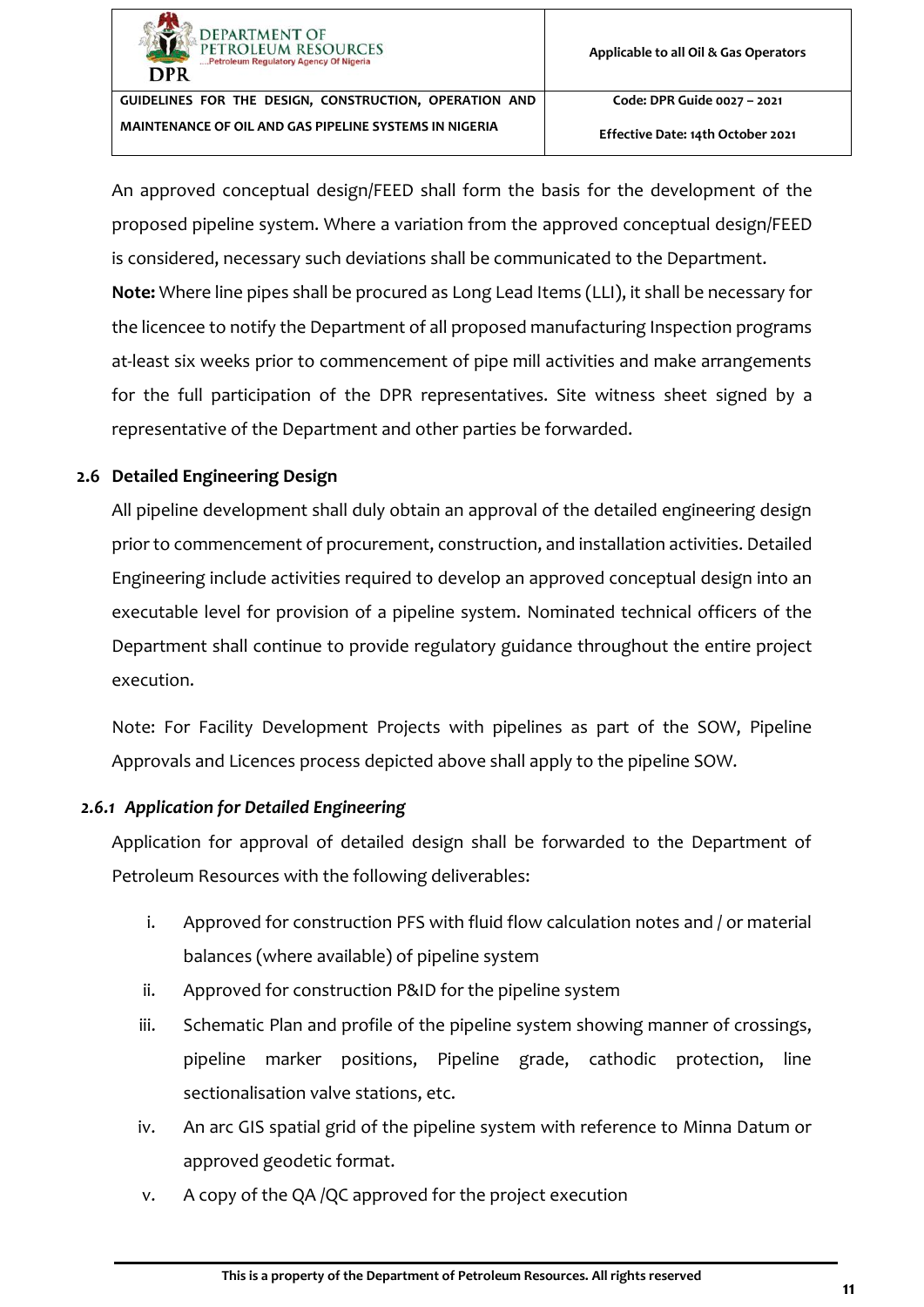

**Effective Date: 14th October 2021**

An approved conceptual design/FEED shall form the basis for the development of the proposed pipeline system. Where a variation from the approved conceptual design/FEED is considered, necessary such deviations shall be communicated to the Department.

**Note:** Where line pipes shall be procured as Long Lead Items (LLI), it shall be necessary for the licencee to notify the Department of all proposed manufacturing Inspection programs at-least six weeks prior to commencement of pipe mill activities and make arrangements for the full participation of the DPR representatives. Site witness sheet signed by a representative of the Department and other parties be forwarded.

#### <span id="page-16-0"></span>**2.6 Detailed Engineering Design**

All pipeline development shall duly obtain an approval of the detailed engineering design prior to commencement of procurement, construction, and installation activities. Detailed Engineering include activities required to develop an approved conceptual design into an executable level for provision of a pipeline system. Nominated technical officers of the Department shall continue to provide regulatory guidance throughout the entire project execution.

Note: For Facility Development Projects with pipelines as part of the SOW, Pipeline Approvals and Licences process depicted above shall apply to the pipeline SOW.

#### <span id="page-16-1"></span>*2.6.1 Application for Detailed Engineering*

Application for approval of detailed design shall be forwarded to the Department of Petroleum Resources with the following deliverables:

- i. Approved for construction PFS with fluid flow calculation notes and / or material balances (where available) of pipeline system
- ii. Approved for construction P&ID for the pipeline system
- iii. Schematic Plan and profile of the pipeline system showing manner of crossings, pipeline marker positions, Pipeline grade, cathodic protection, line sectionalisation valve stations, etc.
- iv. An arc GIS spatial grid of the pipeline system with reference to Minna Datum or approved geodetic format.
- v. A copy of the QA /QC approved for the project execution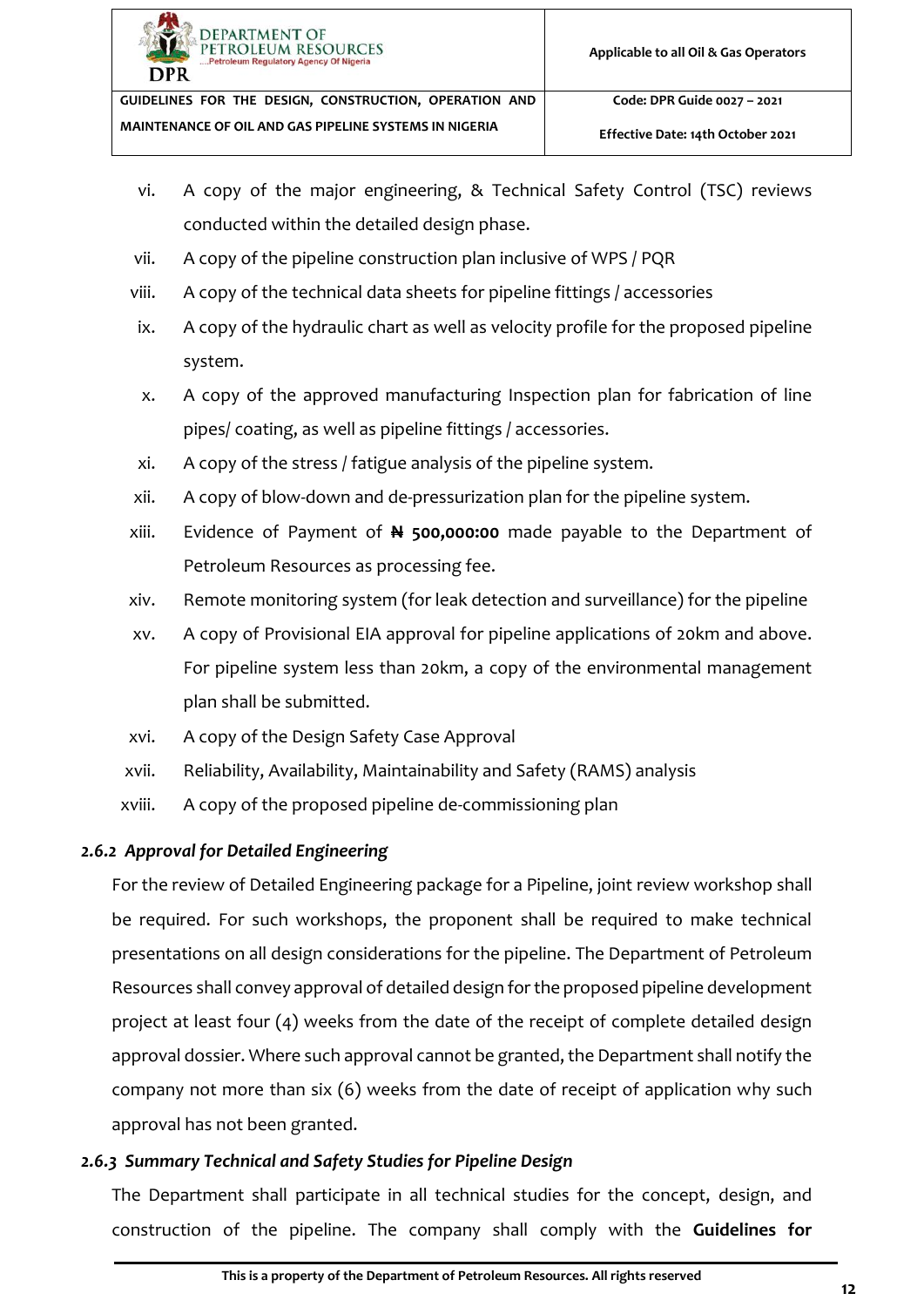

- vi. A copy of the major engineering, & Technical Safety Control (TSC) reviews conducted within the detailed design phase.
- vii. A copy of the pipeline construction plan inclusive of WPS / PQR
- viii. A copy of the technical data sheets for pipeline fittings / accessories
- ix. A copy of the hydraulic chart as well as velocity profile for the proposed pipeline system.
- x. A copy of the approved manufacturing Inspection plan for fabrication of line pipes/ coating, as well as pipeline fittings / accessories.
- xi. A copy of the stress / fatigue analysis of the pipeline system.
- xii. A copy of blow-down and de-pressurization plan for the pipeline system.
- xiii. Evidence of Payment of **N 500,000:00** made payable to the Department of Petroleum Resources as processing fee.
- xiv. Remote monitoring system (for leak detection and surveillance) for the pipeline
- xv. A copy of Provisional EIA approval for pipeline applications of 20km and above. For pipeline system less than 20km, a copy of the environmental management plan shall be submitted.
- xvi. A copy of the Design Safety Case Approval
- xvii. Reliability, Availability, Maintainability and Safety (RAMS) analysis
- xviii. A copy of the proposed pipeline de-commissioning plan

## <span id="page-17-0"></span>*2.6.2 Approval for Detailed Engineering*

For the review of Detailed Engineering package for a Pipeline, joint review workshop shall be required. For such workshops, the proponent shall be required to make technical presentations on all design considerations for the pipeline. The Department of Petroleum Resources shall convey approval of detailed design for the proposed pipeline development project at least four (4) weeks from the date of the receipt of complete detailed design approval dossier. Where such approval cannot be granted, the Department shall notify the company not more than six (6) weeks from the date of receipt of application why such approval has not been granted.

## <span id="page-17-1"></span>*2.6.3 Summary Technical and Safety Studies for Pipeline Design*

The Department shall participate in all technical studies for the concept, design, and construction of the pipeline. The company shall comply with the **Guidelines for**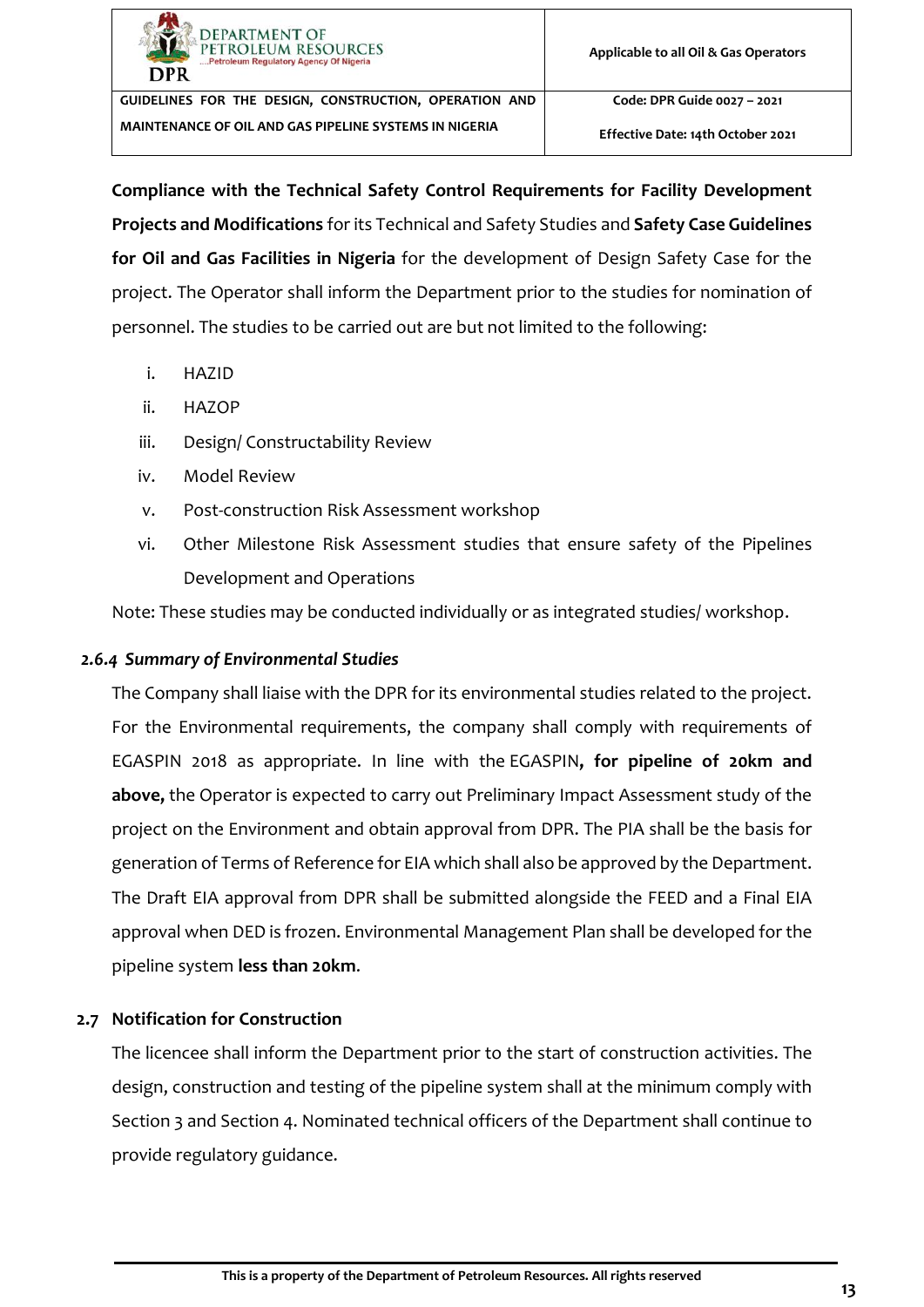

**Effective Date: 14th October 2021**

**Compliance with the Technical Safety Control Requirements for Facility Development Projects and Modifications** for its Technical and Safety Studies and **Safety Case Guidelines for Oil and Gas Facilities in Nigeria** for the development of Design Safety Case for the project. The Operator shall inform the Department prior to the studies for nomination of personnel. The studies to be carried out are but not limited to the following:

- i. HAZID
- ii. HAZOP
- iii. Design/ Constructability Review
- iv. Model Review
- v. Post-construction Risk Assessment workshop
- vi. Other Milestone Risk Assessment studies that ensure safety of the Pipelines Development and Operations

Note: These studies may be conducted individually or as integrated studies/ workshop.

#### <span id="page-18-0"></span>*2.6.4 Summary of Environmental Studies*

The Company shall liaise with the DPR for its environmental studies related to the project. For the Environmental requirements, the company shall comply with requirements of EGASPIN 2018 as appropriate. In line with the EGASPIN**, for pipeline of 20km and above,** the Operator is expected to carry out Preliminary Impact Assessment study of the project on the Environment and obtain approval from DPR. The PIA shall be the basis for generation of Terms of Reference for EIA which shall also be approved by the Department. The Draft EIA approval from DPR shall be submitted alongside the FEED and a Final EIA approval when DED is frozen. Environmental Management Plan shall be developed for the pipeline system **less than 20km**.

#### <span id="page-18-1"></span>**2.7 Notification for Construction**

The licencee shall inform the Department prior to the start of construction activities. The design, construction and testing of the pipeline system shall at the minimum comply with Section [3](#page-22-0) and Section [4.](#page-29-1) Nominated technical officers of the Department shall continue to provide regulatory guidance.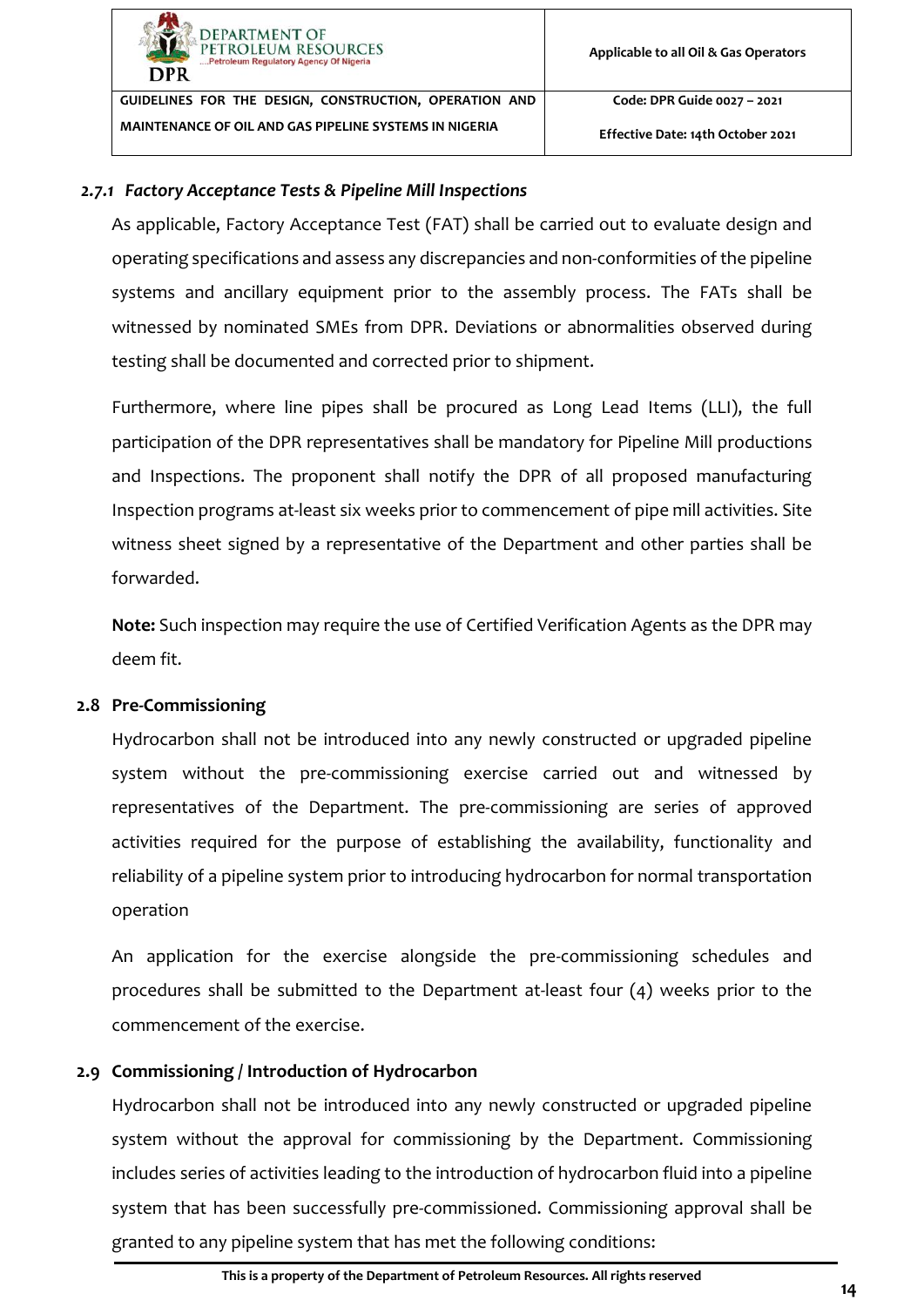**DEPARTMENT OF PETROLEUM RESOURCES** 

**GUIDELINES FOR THE DESIGN, CONSTRUCTION, OPERATION AND MAINTENANCE OF OIL AND GAS PIPELINE SYSTEMS IN NIGERIA**

**Applicable to all Oil & Gas Operators** 

**Code: DPR Guide 0027 – 2021**

**Effective Date: 14th October 2021**

#### <span id="page-19-0"></span>*2.7.1 Factory Acceptance Tests & Pipeline Mill Inspections*

As applicable, Factory Acceptance Test (FAT) shall be carried out to evaluate design and operating specifications and assess any discrepancies and non-conformities of the pipeline systems and ancillary equipment prior to the assembly process. The FATs shall be witnessed by nominated SMEs from DPR. Deviations or abnormalities observed during testing shall be documented and corrected prior to shipment.

Furthermore, where line pipes shall be procured as Long Lead Items (LLI), the full participation of the DPR representatives shall be mandatory for Pipeline Mill productions and Inspections. The proponent shall notify the DPR of all proposed manufacturing Inspection programs at-least six weeks prior to commencement of pipe mill activities. Site witness sheet signed by a representative of the Department and other parties shall be forwarded.

**Note:** Such inspection may require the use of Certified Verification Agents as the DPR may deem fit.

## <span id="page-19-1"></span>**2.8 Pre-Commissioning**

Hydrocarbon shall not be introduced into any newly constructed or upgraded pipeline system without the pre-commissioning exercise carried out and witnessed by representatives of the Department. The pre-commissioning are series of approved activities required for the purpose of establishing the availability, functionality and reliability of a pipeline system prior to introducing hydrocarbon for normal transportation operation

An application for the exercise alongside the pre-commissioning schedules and procedures shall be submitted to the Department at-least four (4) weeks prior to the commencement of the exercise.

## <span id="page-19-2"></span>**2.9 Commissioning / Introduction of Hydrocarbon**

Hydrocarbon shall not be introduced into any newly constructed or upgraded pipeline system without the approval for commissioning by the Department. Commissioning includes series of activities leading to the introduction of hydrocarbon fluid into a pipeline system that has been successfully pre-commissioned. Commissioning approval shall be granted to any pipeline system that has met the following conditions: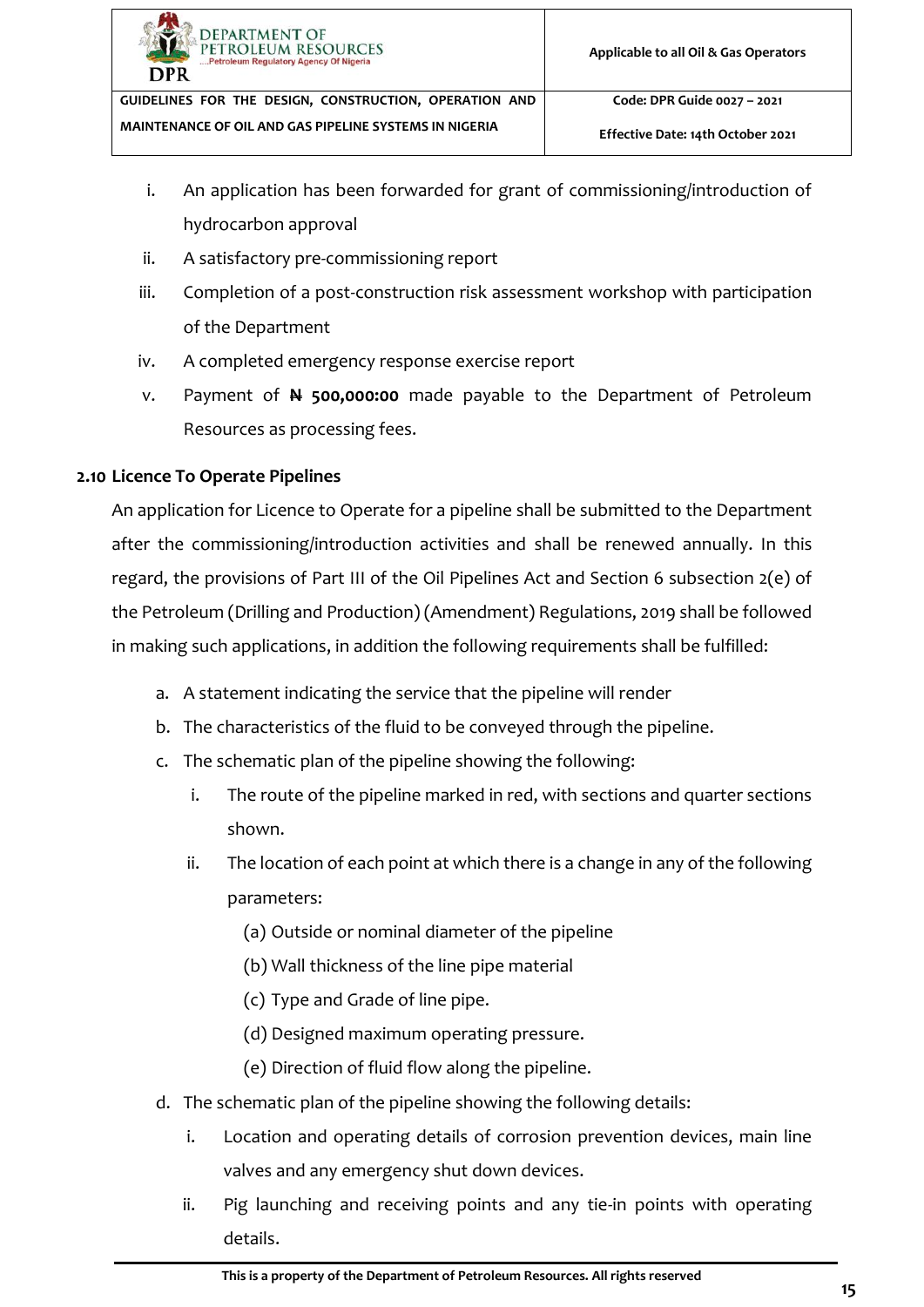

- i. An application has been forwarded for grant of commissioning/introduction of hydrocarbon approval
- ii. A satisfactory pre-commissioning report
- iii. Completion of a post-construction risk assessment workshop with participation of the Department
- iv. A completed emergency response exercise report
- v. Payment of **N 500,000:00** made payable to the Department of Petroleum Resources as processing fees.

#### <span id="page-20-0"></span>**2.10 Licence To Operate Pipelines**

An application for Licence to Operate for a pipeline shall be submitted to the Department after the commissioning/introduction activities and shall be renewed annually. In this regard, the provisions of Part III of the Oil Pipelines Act and Section 6 subsection 2(e) of the Petroleum (Drilling and Production) (Amendment) Regulations, 2019 shall be followed in making such applications, in addition the following requirements shall be fulfilled:

- a. A statement indicating the service that the pipeline will render
- b. The characteristics of the fluid to be conveyed through the pipeline.
- c. The schematic plan of the pipeline showing the following:
	- i. The route of the pipeline marked in red, with sections and quarter sections shown.
	- ii. The location of each point at which there is a change in any of the following parameters:
		- (a) Outside or nominal diameter of the pipeline
		- (b) Wall thickness of the line pipe material
		- (c) Type and Grade of line pipe.
		- (d) Designed maximum operating pressure.
		- (e) Direction of fluid flow along the pipeline.
- d. The schematic plan of the pipeline showing the following details:
	- i. Location and operating details of corrosion prevention devices, main line valves and any emergency shut down devices.
	- ii. Pig launching and receiving points and any tie-in points with operating details.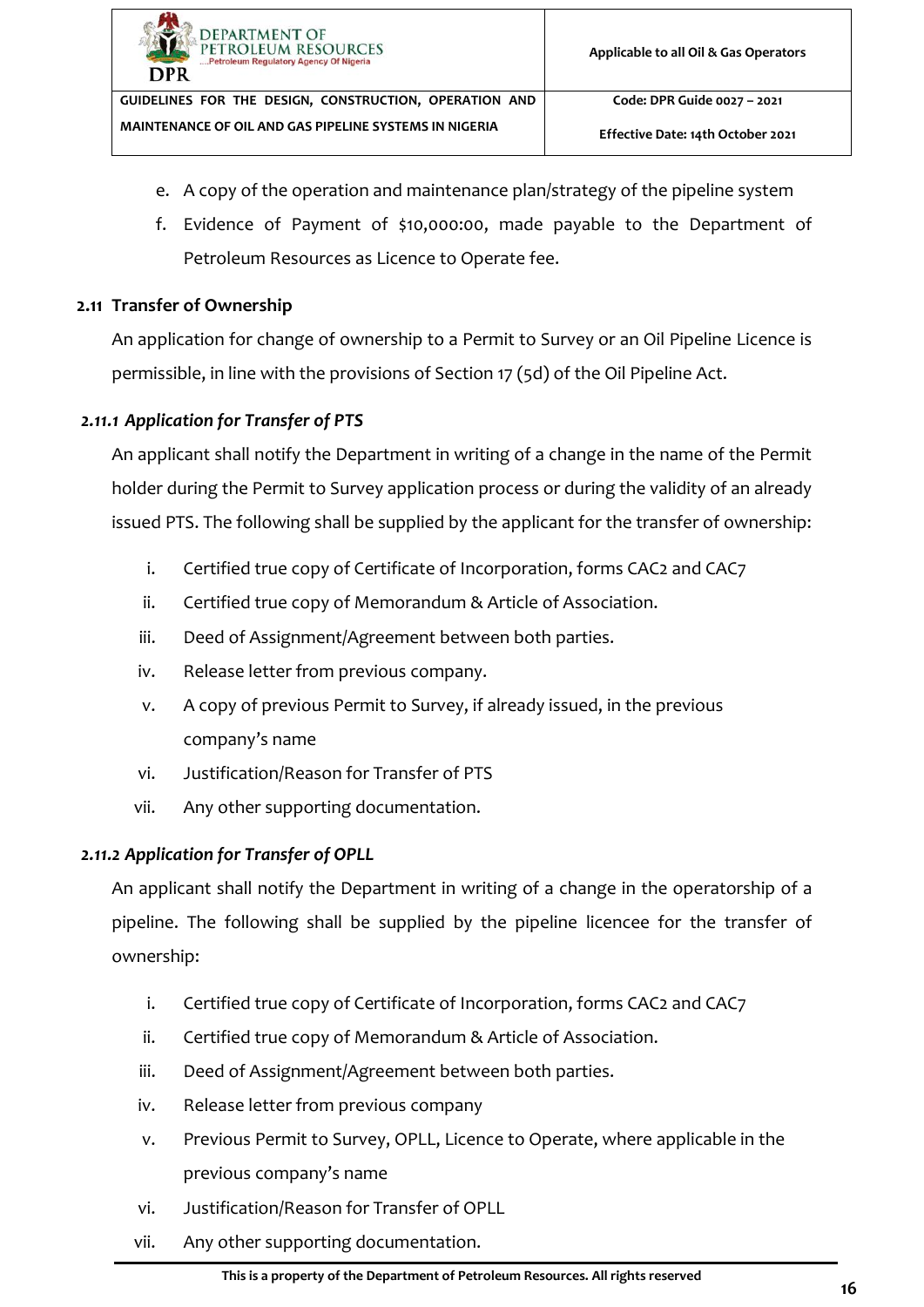- e. A copy of the operation and maintenance plan/strategy of the pipeline system
- f. Evidence of Payment of \$10,000:00, made payable to the Department of Petroleum Resources as Licence to Operate fee.

#### <span id="page-21-0"></span>**2.11 Transfer of Ownership**

An application for change of ownership to a Permit to Survey or an Oil Pipeline Licence is permissible, in line with the provisions of Section 17 (5d) of the Oil Pipeline Act.

#### <span id="page-21-1"></span>*2.11.1 Application for Transfer of PTS*

An applicant shall notify the Department in writing of a change in the name of the Permit holder during the Permit to Survey application process or during the validity of an already issued PTS. The following shall be supplied by the applicant for the transfer of ownership:

- i. Certified true copy of Certificate of Incorporation, forms CAC2 and CAC7
- ii. Certified true copy of Memorandum & Article of Association.
- iii. Deed of Assignment/Agreement between both parties.
- iv. Release letter from previous company.
- v. A copy of previous Permit to Survey, if already issued, in the previous company's name
- vi. Justification/Reason for Transfer of PTS
- vii. Any other supporting documentation.

## <span id="page-21-2"></span>*2.11.2 Application for Transfer of OPLL*

An applicant shall notify the Department in writing of a change in the operatorship of a pipeline. The following shall be supplied by the pipeline licencee for the transfer of ownership:

- i. Certified true copy of Certificate of Incorporation, forms CAC2 and CAC7
- ii. Certified true copy of Memorandum & Article of Association.
- iii. Deed of Assignment/Agreement between both parties.
- iv. Release letter from previous company
- v. Previous Permit to Survey, OPLL, Licence to Operate, where applicable in the previous company's name
- vi. Justification/Reason for Transfer of OPLL
- vii. Any other supporting documentation.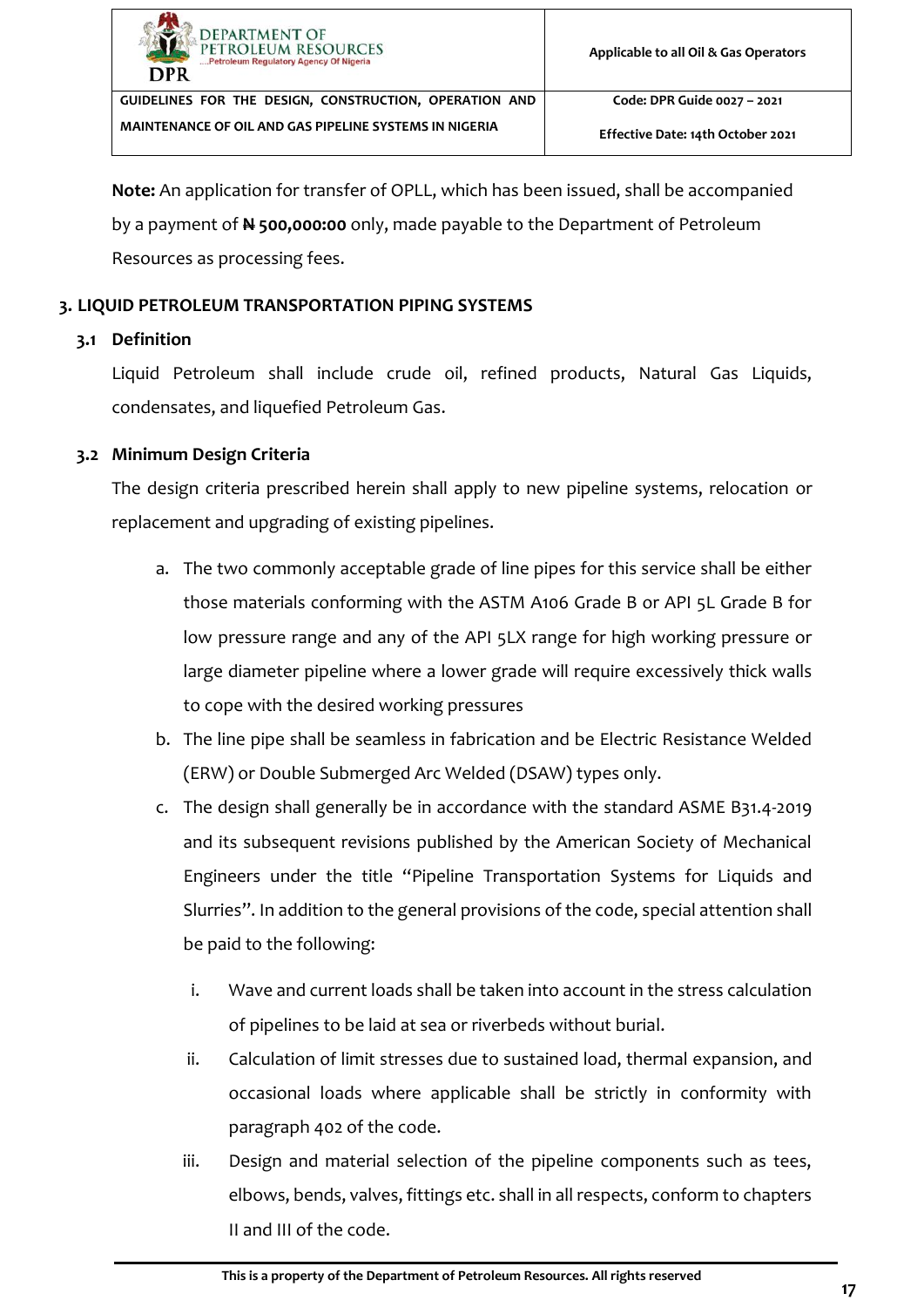| <b>DEPARTMENT OF</b><br>PETROLEUM RESOURCES<br>Petroleum Regulatory Agency Of Nigeria<br>DPR | Applicable to all Oil & Gas Operators |
|----------------------------------------------------------------------------------------------|---------------------------------------|
| GUIDELINES FOR THE DESIGN, CONSTRUCTION, OPERATION AND                                       | Code: DPR Guide 0027 - 2021           |
| <b>MAINTENANCE OF OIL AND GAS PIPELINE SYSTEMS IN NIGERIA</b>                                | Effective Date: 14th October 2021     |

**Note:** An application for transfer of OPLL, which has been issued, shall be accompanied by a payment of **N 500,000:00** only, made payable to the Department of Petroleum Resources as processing fees.

#### <span id="page-22-0"></span>**3. LIQUID PETROLEUM TRANSPORTATION PIPING SYSTEMS**

#### <span id="page-22-1"></span>**3.1 Definition**

Liquid Petroleum shall include crude oil, refined products, Natural Gas Liquids, condensates, and liquefied Petroleum Gas.

#### <span id="page-22-2"></span>**3.2 Minimum Design Criteria**

The design criteria prescribed herein shall apply to new pipeline systems, relocation or replacement and upgrading of existing pipelines.

- a. The two commonly acceptable grade of line pipes for this service shall be either those materials conforming with the ASTM A106 Grade B or API 5L Grade B for low pressure range and any of the API 5LX range for high working pressure or large diameter pipeline where a lower grade will require excessively thick walls to cope with the desired working pressures
- b. The line pipe shall be seamless in fabrication and be Electric Resistance Welded (ERW) or Double Submerged Arc Welded (DSAW) types only.
- c. The design shall generally be in accordance with the standard ASME B31.4-2019 and its subsequent revisions published by the American Society of Mechanical Engineers under the title "Pipeline Transportation Systems for Liquids and Slurries". In addition to the general provisions of the code, special attention shall be paid to the following:
	- i. Wave and current loads shall be taken into account in the stress calculation of pipelines to be laid at sea or riverbeds without burial.
	- ii. Calculation of limit stresses due to sustained load, thermal expansion, and occasional loads where applicable shall be strictly in conformity with paragraph 402 of the code.
	- iii. Design and material selection of the pipeline components such as tees, elbows, bends, valves, fittings etc. shall in all respects, conform to chapters II and III of the code.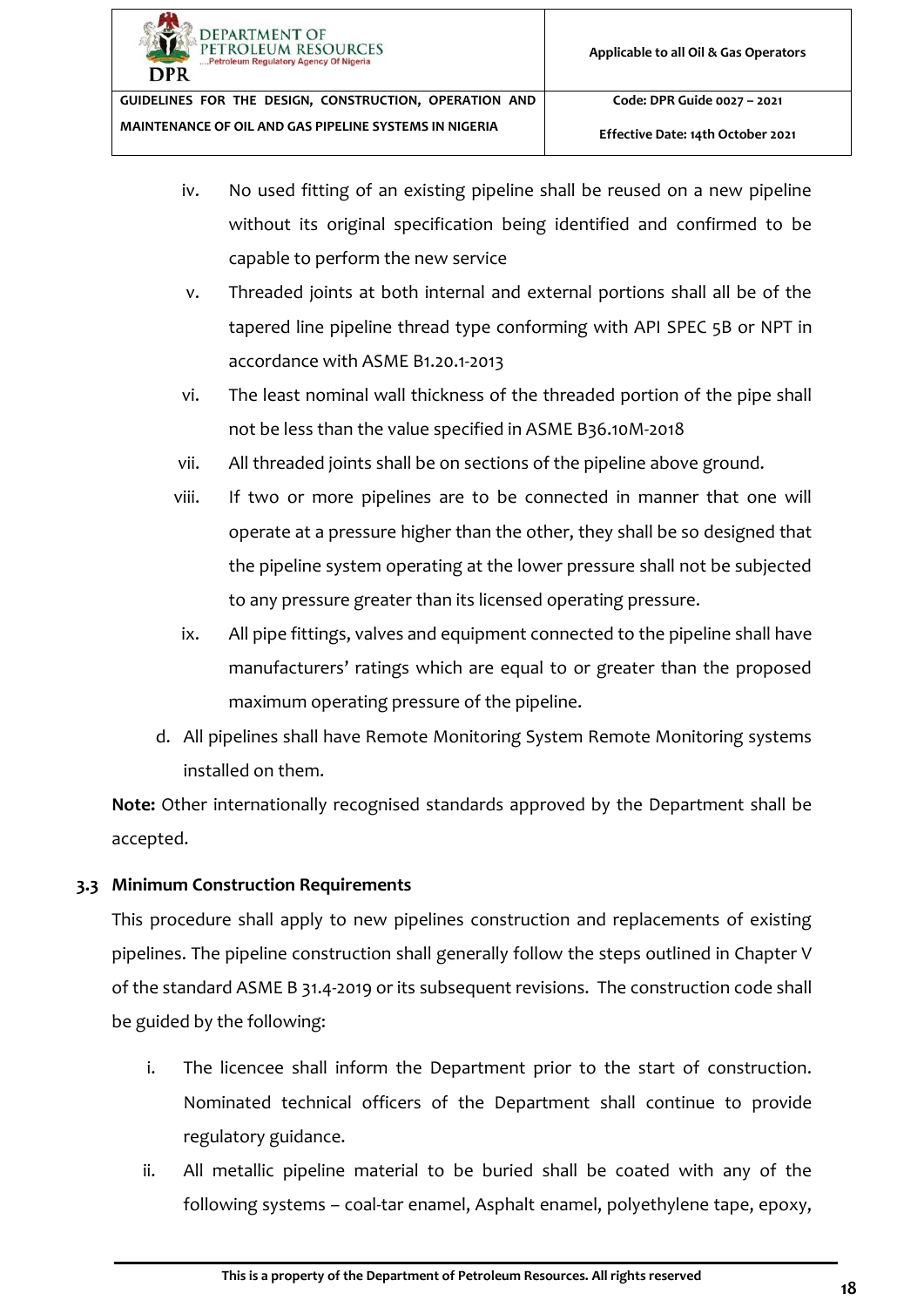- iv. No used fitting of an existing pipeline shall be reused on a new pipeline without its original specification being identified and confirmed to be capable to perform the new service
- v. Threaded joints at both internal and external portions shall all be of the tapered line pipeline thread type conforming with API SPEC 5B or NPT in accordance with ASME B1.20.1-2013
- vi. The least nominal wall thickness of the threaded portion of the pipe shall not be less than the value specified in ASME B36.10M-2018
- vii. All threaded joints shall be on sections of the pipeline above ground.
- viii. If two or more pipelines are to be connected in manner that one will operate at a pressure higher than the other, they shall be so designed that the pipeline system operating at the lower pressure shall not be subjected to any pressure greater than its licensed operating pressure.
- ix. All pipe fittings, valves and equipment connected to the pipeline shall have manufacturers' ratings which are equal to or greater than the proposed maximum operating pressure of the pipeline.
- d. All pipelines shall have Remote Monitoring System Remote Monitoring systems installed on them.

**Note:** Other internationally recognised standards approved by the Department shall be accepted.

# <span id="page-23-0"></span>**3.3 Minimum Construction Requirements**

This procedure shall apply to new pipelines construction and replacements of existing pipelines. The pipeline construction shall generally follow the steps outlined in Chapter V of the standard ASME B 31.4-2019 or its subsequent revisions. The construction code shall be guided by the following:

- i. The licencee shall inform the Department prior to the start of construction. Nominated technical officers of the Department shall continue to provide regulatory guidance.
- ii. All metallic pipeline material to be buried shall be coated with any of the following systems – coal-tar enamel, Asphalt enamel, polyethylene tape, epoxy,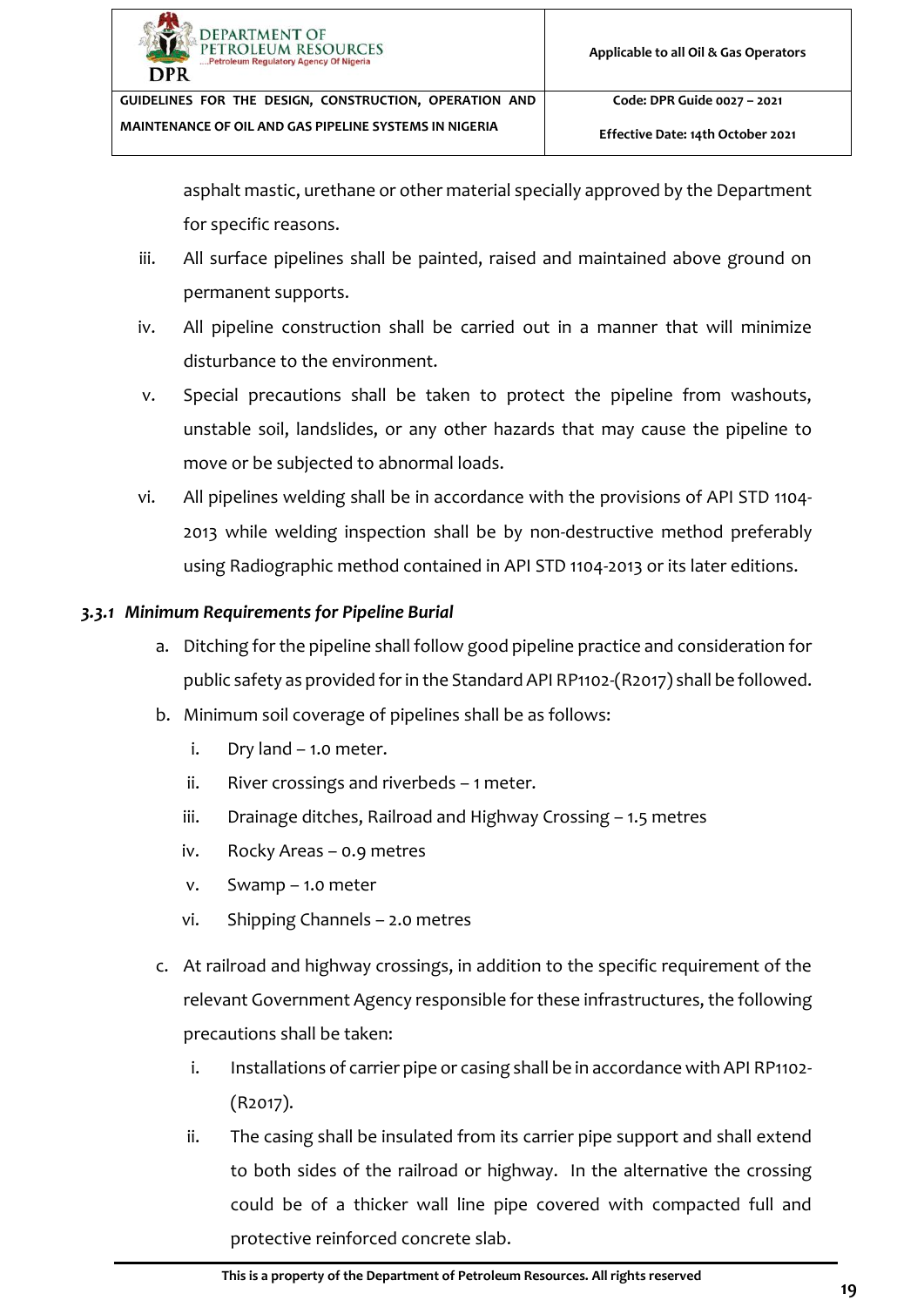asphalt mastic, urethane or other material specially approved by the Department for specific reasons.

- iii. All surface pipelines shall be painted, raised and maintained above ground on permanent supports.
- iv. All pipeline construction shall be carried out in a manner that will minimize disturbance to the environment.
- v. Special precautions shall be taken to protect the pipeline from washouts, unstable soil, landslides, or any other hazards that may cause the pipeline to move or be subjected to abnormal loads.
- vi. All pipelines welding shall be in accordance with the provisions of API STD 1104- 2013 while welding inspection shall be by non-destructive method preferably using Radiographic method contained in API STD 1104-2013 or its later editions.

## <span id="page-24-0"></span>*3.3.1 Minimum Requirements for Pipeline Burial*

- a. Ditching for the pipeline shall follow good pipeline practice and consideration for public safety as provided for in the Standard API RP1102-(R2017) shall be followed.
- b. Minimum soil coverage of pipelines shall be as follows:
	- i. Dry land 1.0 meter.
	- ii. River crossings and riverbeds 1 meter.
	- iii. Drainage ditches, Railroad and Highway Crossing 1.5 metres
	- iv. Rocky Areas 0.9 metres
	- v. Swamp 1.0 meter
	- vi. Shipping Channels 2.0 metres
- c. At railroad and highway crossings, in addition to the specific requirement of the relevant Government Agency responsible for these infrastructures, the following precautions shall be taken:
	- i. Installations of carrier pipe or casing shall be in accordance with API RP1102-(R2017).
	- ii. The casing shall be insulated from its carrier pipe support and shall extend to both sides of the railroad or highway. In the alternative the crossing could be of a thicker wall line pipe covered with compacted full and protective reinforced concrete slab.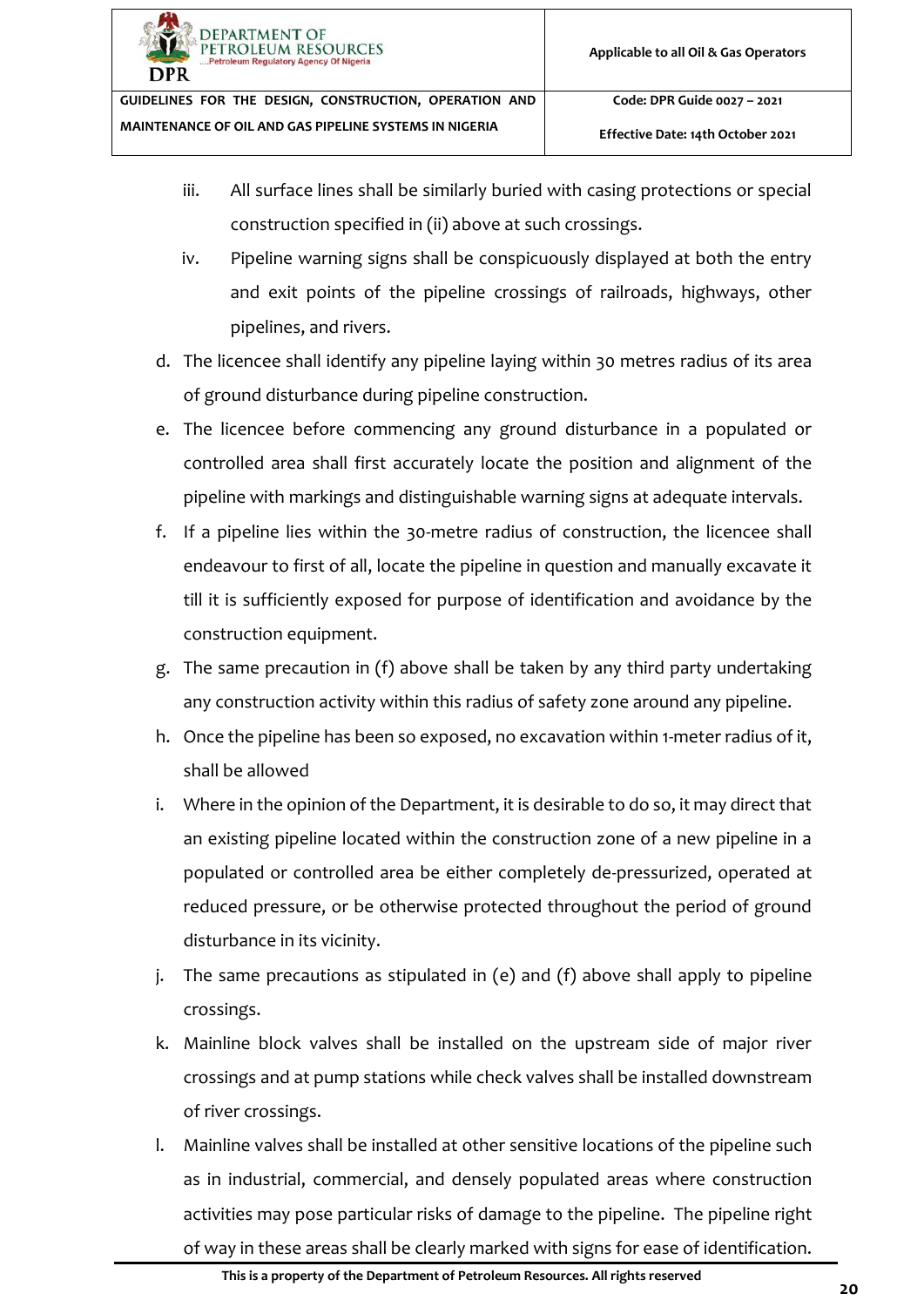

**Effective Date: 14th October 2021**

- iii. All surface lines shall be similarly buried with casing protections or special construction specified in (ii) above at such crossings.
- iv. Pipeline warning signs shall be conspicuously displayed at both the entry and exit points of the pipeline crossings of railroads, highways, other pipelines, and rivers.
- d. The licencee shall identify any pipeline laying within 30 metres radius of its area of ground disturbance during pipeline construction.
- <span id="page-25-0"></span>e. The licencee before commencing any ground disturbance in a populated or controlled area shall first accurately locate the position and alignment of the pipeline with markings and distinguishable warning signs at adequate intervals.
- <span id="page-25-1"></span>f. If a pipeline lies within the 30-metre radius of construction, the licencee shall endeavour to first of all, locate the pipeline in question and manually excavate it till it is sufficiently exposed for purpose of identification and avoidance by the construction equipment.
- g. The same precaution in (f) above shall be taken by any third party undertaking any construction activity within this radius of safety zone around any pipeline.
- h. Once the pipeline has been so exposed, no excavation within 1-meter radius of it, shall be allowed
- i. Where in the opinion of the Department, it is desirable to do so, it may direct that an existing pipeline located within the construction zone of a new pipeline in a populated or controlled area be either completely de-pressurized, operated at reduced pressure, or be otherwise protected throughout the period of ground disturbance in its vicinity.
- j. The same precautions as stipulated in [\(e\)](#page-25-0) and [\(f\)](#page-25-1) above shall apply to pipeline crossings.
- k. Mainline block valves shall be installed on the upstream side of major river crossings and at pump stations while check valves shall be installed downstream of river crossings.
- l. Mainline valves shall be installed at other sensitive locations of the pipeline such as in industrial, commercial, and densely populated areas where construction activities may pose particular risks of damage to the pipeline. The pipeline right of way in these areas shall be clearly marked with signs for ease of identification.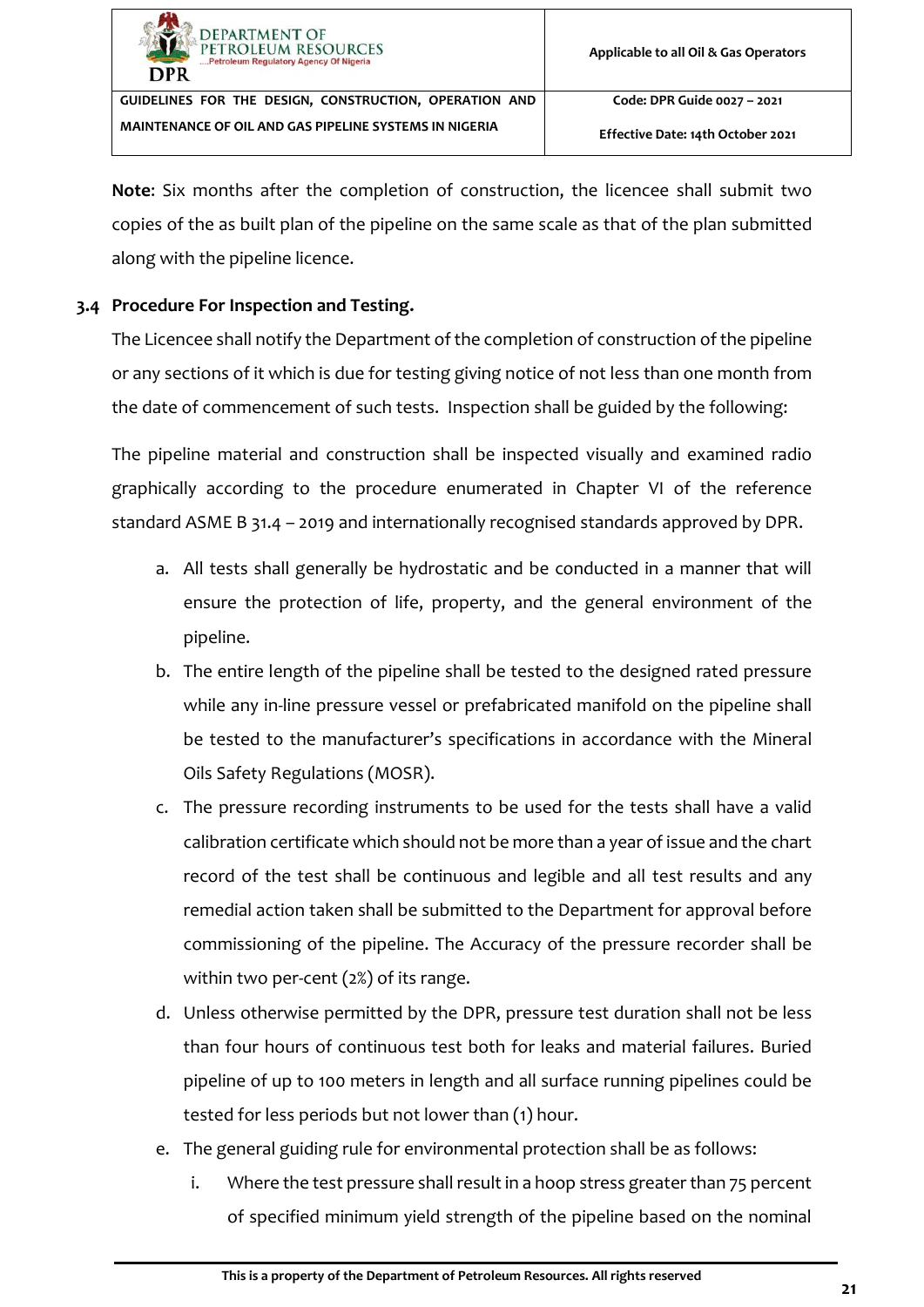

**Note**: Six months after the completion of construction, the licencee shall submit two copies of the as built plan of the pipeline on the same scale as that of the plan submitted along with the pipeline licence.

## <span id="page-26-0"></span>**3.4 Procedure For Inspection and Testing.**

The Licencee shall notify the Department of the completion of construction of the pipeline or any sections of it which is due for testing giving notice of not less than one month from the date of commencement of such tests. Inspection shall be guided by the following:

The pipeline material and construction shall be inspected visually and examined radio graphically according to the procedure enumerated in Chapter VI of the reference standard ASME B 31.4 – 2019 and internationally recognised standards approved by DPR.

- a. All tests shall generally be hydrostatic and be conducted in a manner that will ensure the protection of life, property, and the general environment of the pipeline.
- b. The entire length of the pipeline shall be tested to the designed rated pressure while any in-line pressure vessel or prefabricated manifold on the pipeline shall be tested to the manufacturer's specifications in accordance with the Mineral Oils Safety Regulations (MOSR).
- c. The pressure recording instruments to be used for the tests shall have a valid calibration certificate which should not be more than a year of issue and the chart record of the test shall be continuous and legible and all test results and any remedial action taken shall be submitted to the Department for approval before commissioning of the pipeline. The Accuracy of the pressure recorder shall be within two per-cent (2%) of its range.
- d. Unless otherwise permitted by the DPR, pressure test duration shall not be less than four hours of continuous test both for leaks and material failures. Buried pipeline of up to 100 meters in length and all surface running pipelines could be tested for less periods but not lower than (1) hour.
- e. The general guiding rule for environmental protection shall be as follows:
	- i. Where the test pressure shall result in a hoop stress greater than 75 percent of specified minimum yield strength of the pipeline based on the nominal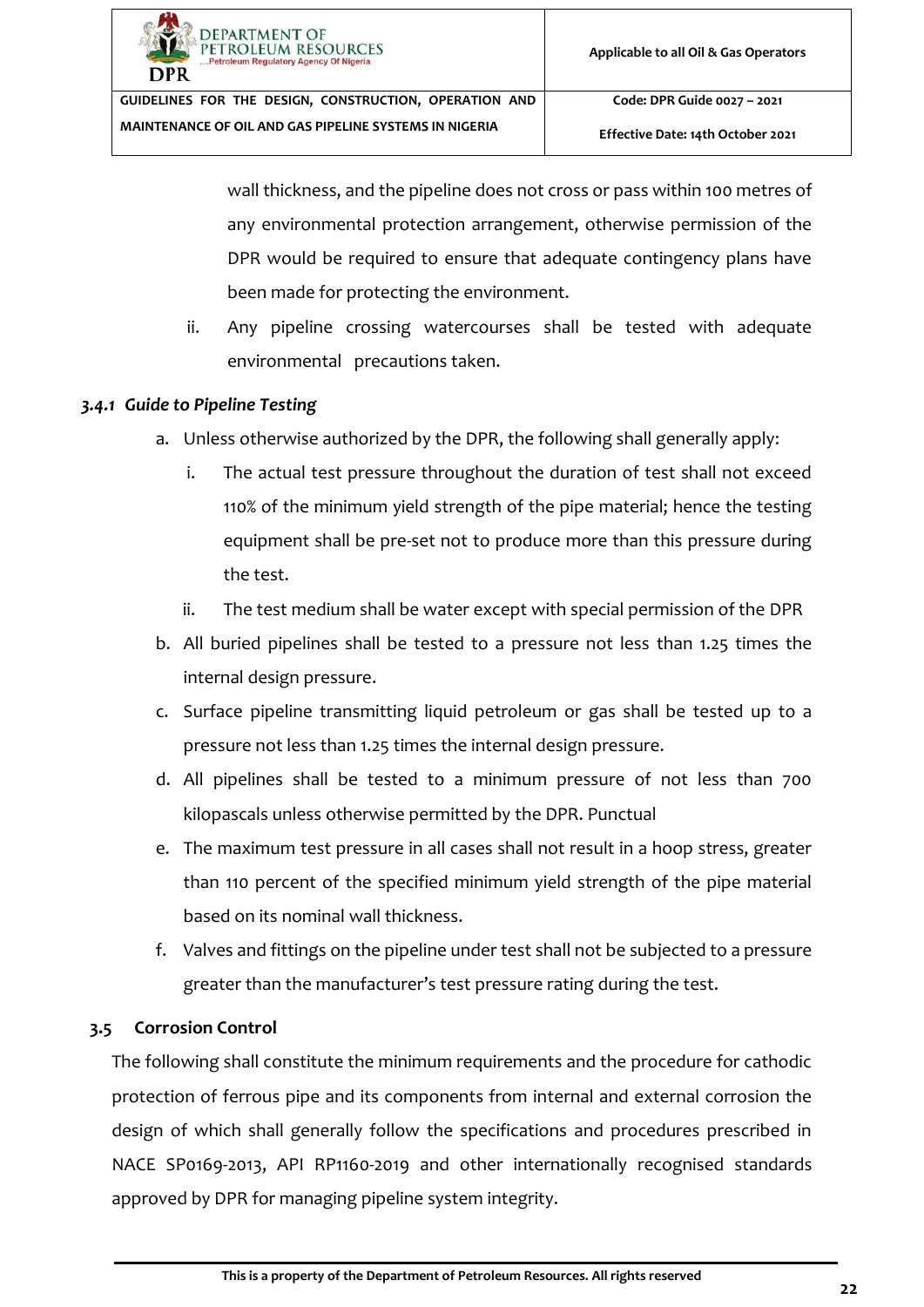**Effective Date: 14th October 2021**

wall thickness, and the pipeline does not cross or pass within 100 metres of any environmental protection arrangement, otherwise permission of the DPR would be required to ensure that adequate contingency plans have been made for protecting the environment.

ii. Any pipeline crossing watercourses shall be tested with adequate environmental precautions taken.

#### <span id="page-27-0"></span>*3.4.1 Guide to Pipeline Testing*

- a. Unless otherwise authorized by the DPR, the following shall generally apply:
	- i. The actual test pressure throughout the duration of test shall not exceed 110% of the minimum yield strength of the pipe material; hence the testing equipment shall be pre-set not to produce more than this pressure during the test.
	- ii. The test medium shall be water except with special permission of the DPR
- b. All buried pipelines shall be tested to a pressure not less than 1.25 times the internal design pressure.
- c. Surface pipeline transmitting liquid petroleum or gas shall be tested up to a pressure not less than 1.25 times the internal design pressure.
- d. All pipelines shall be tested to a minimum pressure of not less than 700 kilopascals unless otherwise permitted by the DPR. Punctual
- e. The maximum test pressure in all cases shall not result in a hoop stress, greater than 110 percent of the specified minimum yield strength of the pipe material based on its nominal wall thickness.
- f. Valves and fittings on the pipeline under test shall not be subjected to a pressure greater than the manufacturer's test pressure rating during the test.

## <span id="page-27-1"></span>**3.5 Corrosion Control**

The following shall constitute the minimum requirements and the procedure for cathodic protection of ferrous pipe and its components from internal and external corrosion the design of which shall generally follow the specifications and procedures prescribed in NACE SP0169-2013, API RP1160-2019 and other internationally recognised standards approved by DPR for managing pipeline system integrity.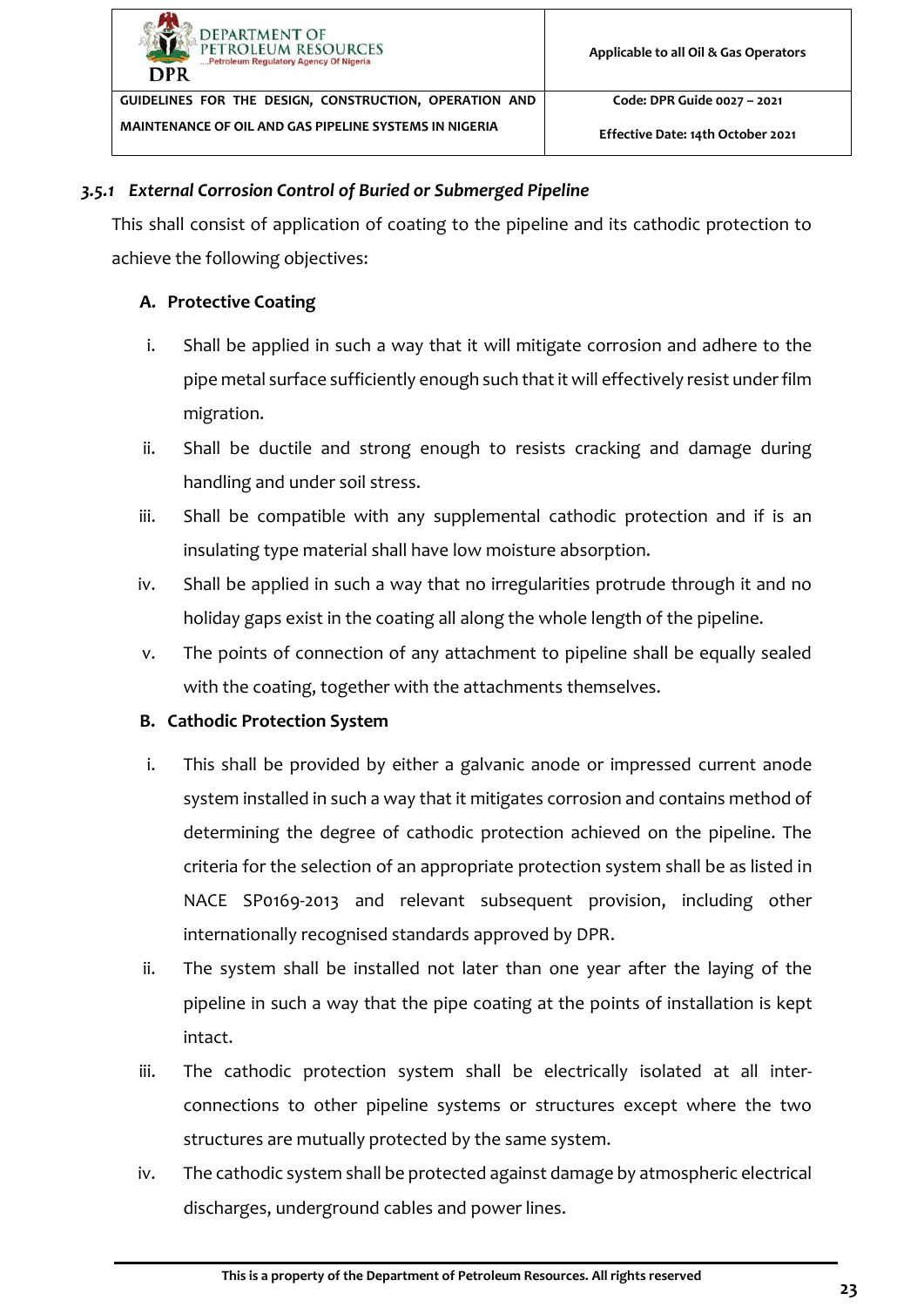#### *3.5.1 External Corrosion Control of Buried or Submerged Pipeline*

<span id="page-28-0"></span>This shall consist of application of coating to the pipeline and its cathodic protection to achieve the following objectives:

## **A. Protective Coating**

- i. Shall be applied in such a way that it will mitigate corrosion and adhere to the pipe metal surface sufficiently enough such that it will effectively resist under film migration.
- ii. Shall be ductile and strong enough to resists cracking and damage during handling and under soil stress.
- iii. Shall be compatible with any supplemental cathodic protection and if is an insulating type material shall have low moisture absorption.
- iv. Shall be applied in such a way that no irregularities protrude through it and no holiday gaps exist in the coating all along the whole length of the pipeline.
- v. The points of connection of any attachment to pipeline shall be equally sealed with the coating, together with the attachments themselves.

## **B. Cathodic Protection System**

- i. This shall be provided by either a galvanic anode or impressed current anode system installed in such a way that it mitigates corrosion and contains method of determining the degree of cathodic protection achieved on the pipeline. The criteria for the selection of an appropriate protection system shall be as listed in NACE SP0169-2013 and relevant subsequent provision, including other internationally recognised standards approved by DPR.
- ii. The system shall be installed not later than one year after the laying of the pipeline in such a way that the pipe coating at the points of installation is kept intact.
- iii. The cathodic protection system shall be electrically isolated at all interconnections to other pipeline systems or structures except where the two structures are mutually protected by the same system.
- iv. The cathodic system shall be protected against damage by atmospheric electrical discharges, underground cables and power lines.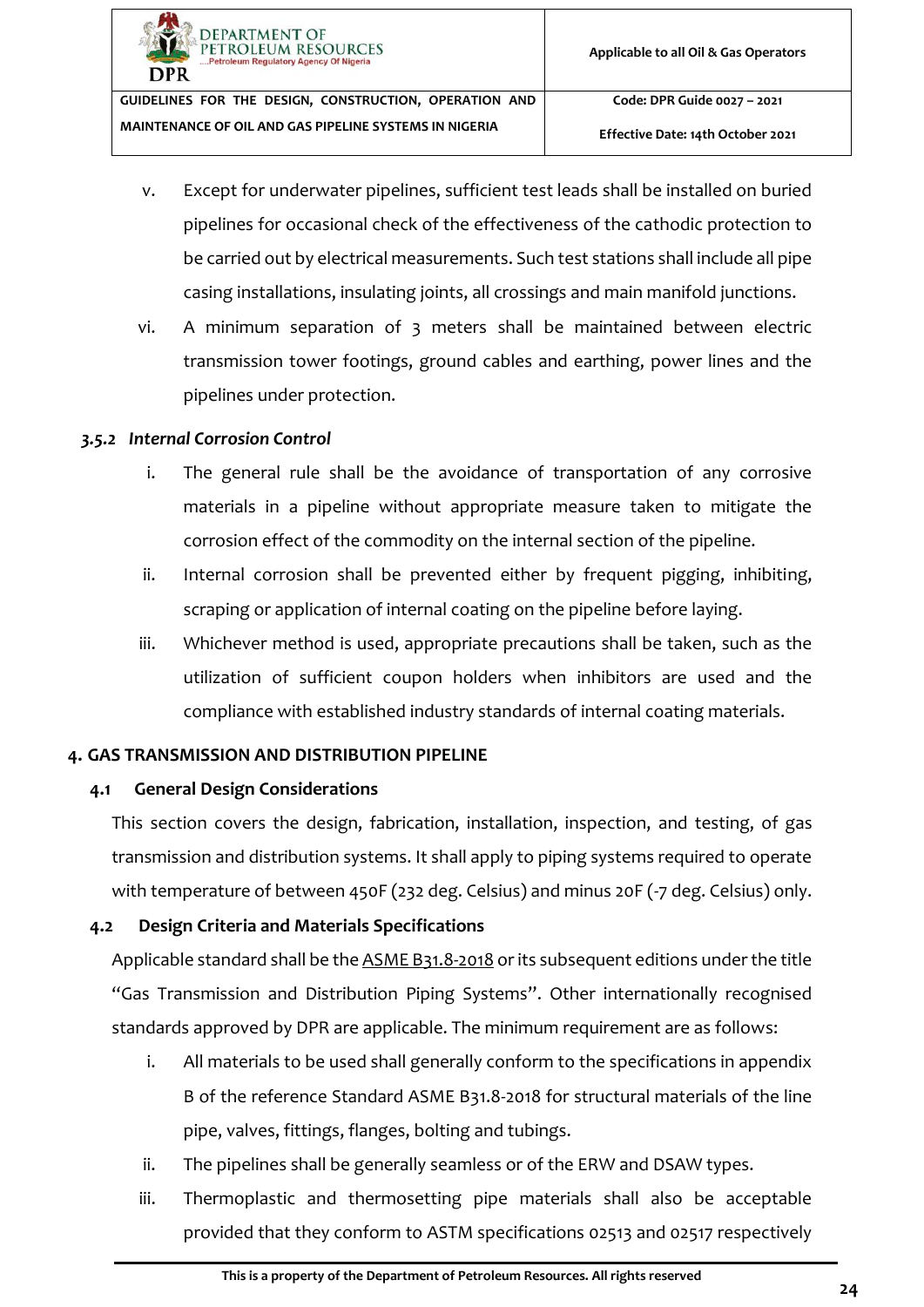**Effective Date: 14th October 2021**

- v. Except for underwater pipelines, sufficient test leads shall be installed on buried pipelines for occasional check of the effectiveness of the cathodic protection to be carried out by electrical measurements. Such test stations shall include all pipe casing installations, insulating joints, all crossings and main manifold junctions.
- vi. A minimum separation of 3 meters shall be maintained between electric transmission tower footings, ground cables and earthing, power lines and the pipelines under protection.

#### *3.5.2 Internal Corrosion Control*

- <span id="page-29-0"></span>i. The general rule shall be the avoidance of transportation of any corrosive materials in a pipeline without appropriate measure taken to mitigate the corrosion effect of the commodity on the internal section of the pipeline.
- ii. Internal corrosion shall be prevented either by frequent pigging, inhibiting, scraping or application of internal coating on the pipeline before laying.
- iii. Whichever method is used, appropriate precautions shall be taken, such as the utilization of sufficient coupon holders when inhibitors are used and the compliance with established industry standards of internal coating materials.

## <span id="page-29-1"></span>**4. GAS TRANSMISSION AND DISTRIBUTION PIPELINE**

## <span id="page-29-2"></span>**4.1 General Design Considerations**

This section covers the design, fabrication, installation, inspection, and testing, of gas transmission and distribution systems. It shall apply to piping systems required to operate with temperature of between 450F (232 deg. Celsius) and minus 20F (-7 deg. Celsius) only.

## **4.2 Design Criteria and Materials Specifications**

<span id="page-29-3"></span>Applicable standard shall be the ASME B31.8-2018 or its subsequent editions under the title "Gas Transmission and Distribution Piping Systems". Other internationally recognised standards approved by DPR are applicable. The minimum requirement are as follows:

- i. All materials to be used shall generally conform to the specifications in appendix B of the reference Standard ASME B31.8-2018 for structural materials of the line pipe, valves, fittings, flanges, bolting and tubings.
- ii. The pipelines shall be generally seamless or of the ERW and DSAW types.
- iii. Thermoplastic and thermosetting pipe materials shall also be acceptable provided that they conform to ASTM specifications 02513 and 02517 respectively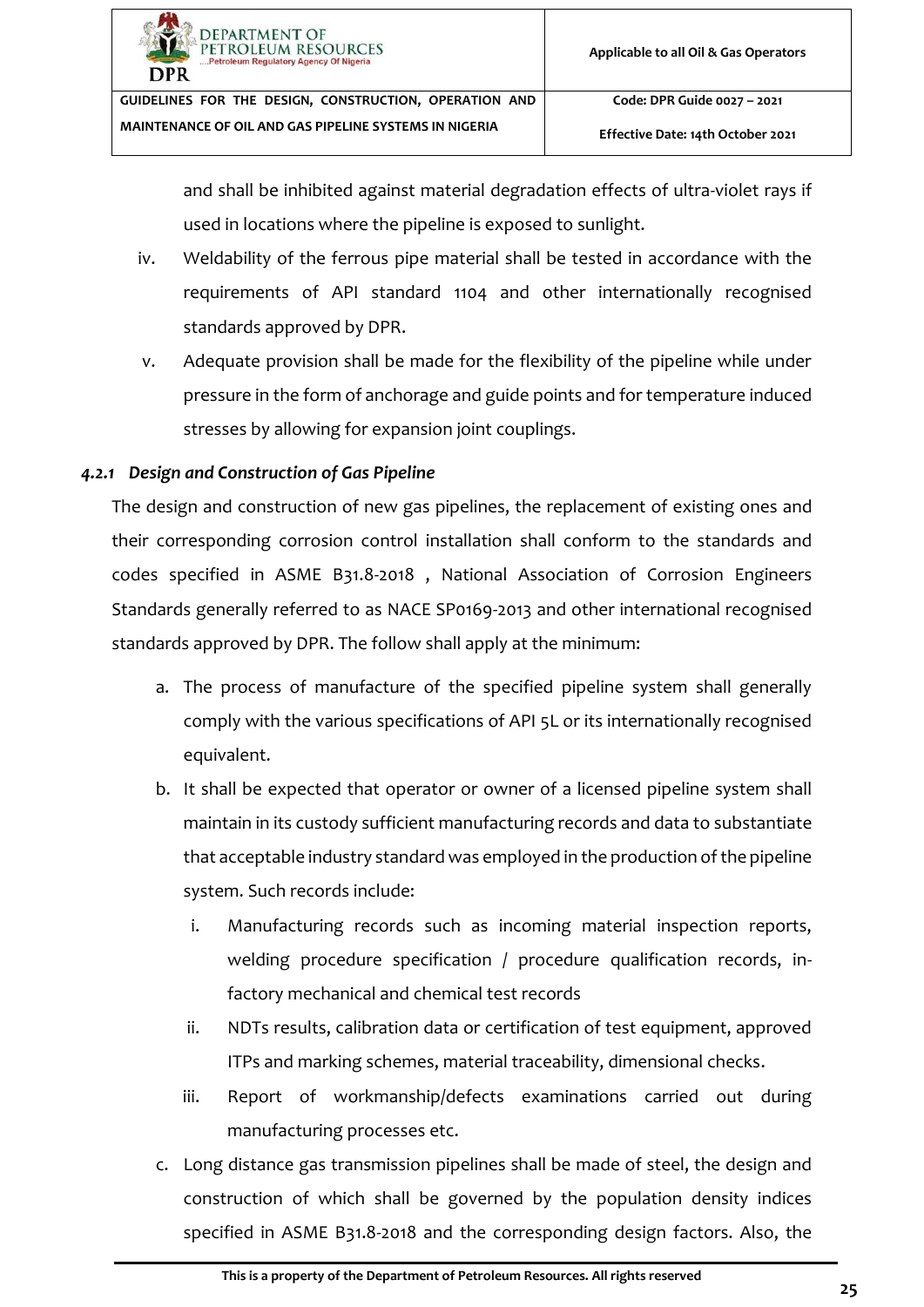**Effective Date: 14th October 2021**

and shall be inhibited against material degradation effects of ultra-violet rays if used in locations where the pipeline is exposed to sunlight.

- iv. Weldability of the ferrous pipe material shall be tested in accordance with the requirements of API standard 1104 and other internationally recognised standards approved by DPR.
- v. Adequate provision shall be made for the flexibility of the pipeline while under pressure in the form of anchorage and guide points and for temperature induced stresses by allowing for expansion joint couplings.

# *4.2.1 Design and Construction of Gas Pipeline*

<span id="page-30-0"></span>The design and construction of new gas pipelines, the replacement of existing ones and their corresponding corrosion control installation shall conform to the standards and codes specified in ASME B31.8-2018 , National Association of Corrosion Engineers Standards generally referred to as NACE SP0169-2013 and other international recognised standards approved by DPR. The follow shall apply at the minimum:

- a. The process of manufacture of the specified pipeline system shall generally comply with the various specifications of API 5L or its internationally recognised equivalent.
- b. It shall be expected that operator or owner of a licensed pipeline system shall maintain in its custody sufficient manufacturing records and data to substantiate that acceptable industry standard was employed in the production of the pipeline system. Such records include:
	- i. Manufacturing records such as incoming material inspection reports, welding procedure specification / procedure qualification records, infactory mechanical and chemical test records
	- ii. NDTs results, calibration data or certification of test equipment, approved ITPs and marking schemes, material traceability, dimensional checks.
	- iii. Report of workmanship/defects examinations carried out during manufacturing processes etc.
- c. Long distance gas transmission pipelines shall be made of steel, the design and construction of which shall be governed by the population density indices specified in ASME B31.8-2018 and the corresponding design factors. Also, the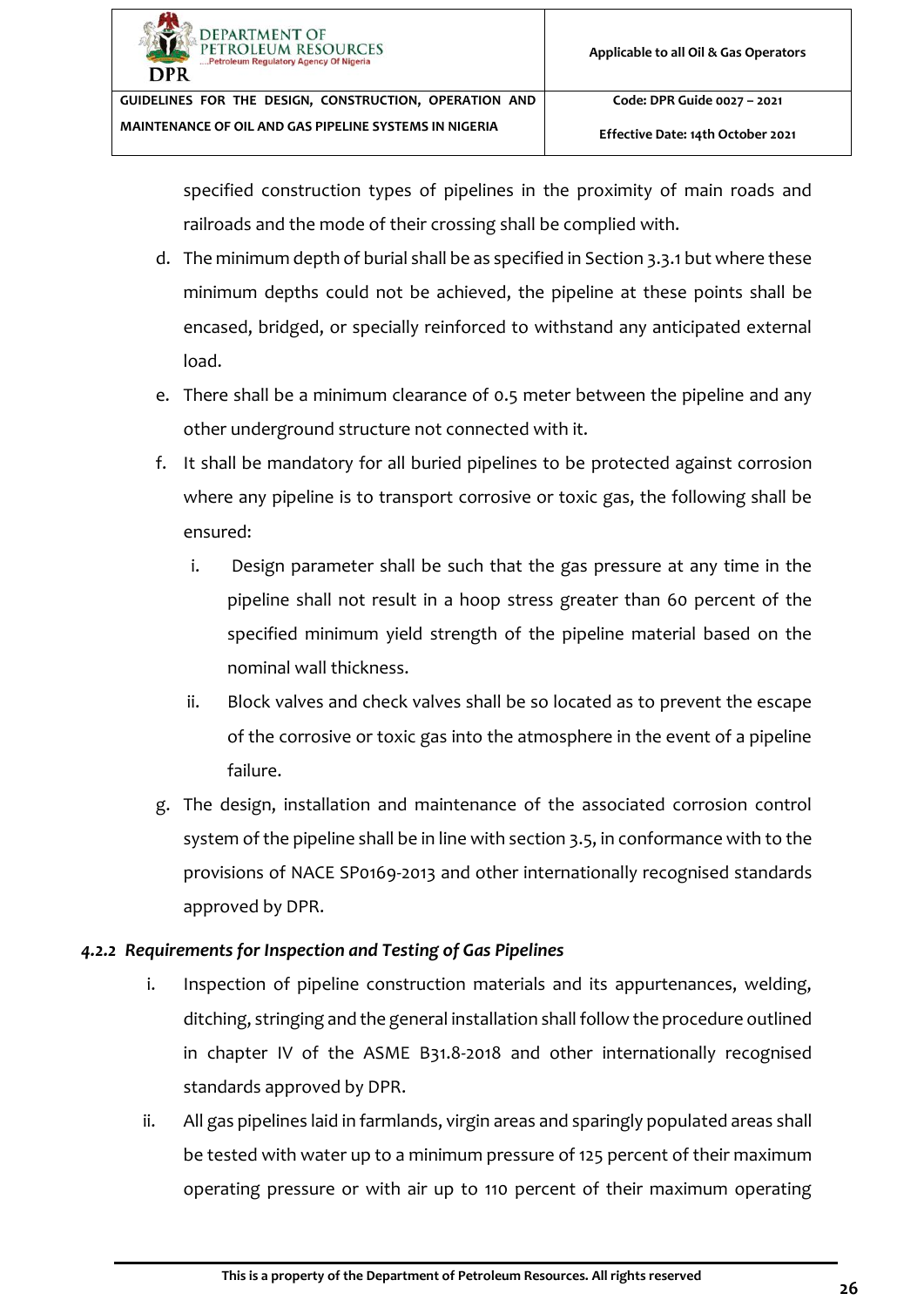**Effective Date: 14th October 2021**

specified construction types of pipelines in the proximity of main roads and railroads and the mode of their crossing shall be complied with.

- d. The minimum depth of burial shall be as specified in Section [3.3.1](#page-24-0) but where these minimum depths could not be achieved, the pipeline at these points shall be encased, bridged, or specially reinforced to withstand any anticipated external load.
- e. There shall be a minimum clearance of 0.5 meter between the pipeline and any other underground structure not connected with it.
- f. It shall be mandatory for all buried pipelines to be protected against corrosion where any pipeline is to transport corrosive or toxic gas, the following shall be ensured:
	- i. Design parameter shall be such that the gas pressure at any time in the pipeline shall not result in a hoop stress greater than 60 percent of the specified minimum yield strength of the pipeline material based on the nominal wall thickness.
	- ii. Block valves and check valves shall be so located as to prevent the escape of the corrosive or toxic gas into the atmosphere in the event of a pipeline failure.
- g. The design, installation and maintenance of the associated corrosion control system of the pipeline shall be in line with section [3.5,](#page-27-1) in conformance with to the provisions of NACE SP0169-2013 and other internationally recognised standards approved by DPR.

# <span id="page-31-0"></span>*4.2.2 Requirements for Inspection and Testing of Gas Pipelines*

- i. Inspection of pipeline construction materials and its appurtenances, welding, ditching, stringing and the general installation shall follow the procedure outlined in chapter IV of the ASME B31.8-2018 and other internationally recognised standards approved by DPR.
- ii. All gas pipelines laid in farmlands, virgin areas and sparingly populated areas shall be tested with water up to a minimum pressure of 125 percent of their maximum operating pressure or with air up to 110 percent of their maximum operating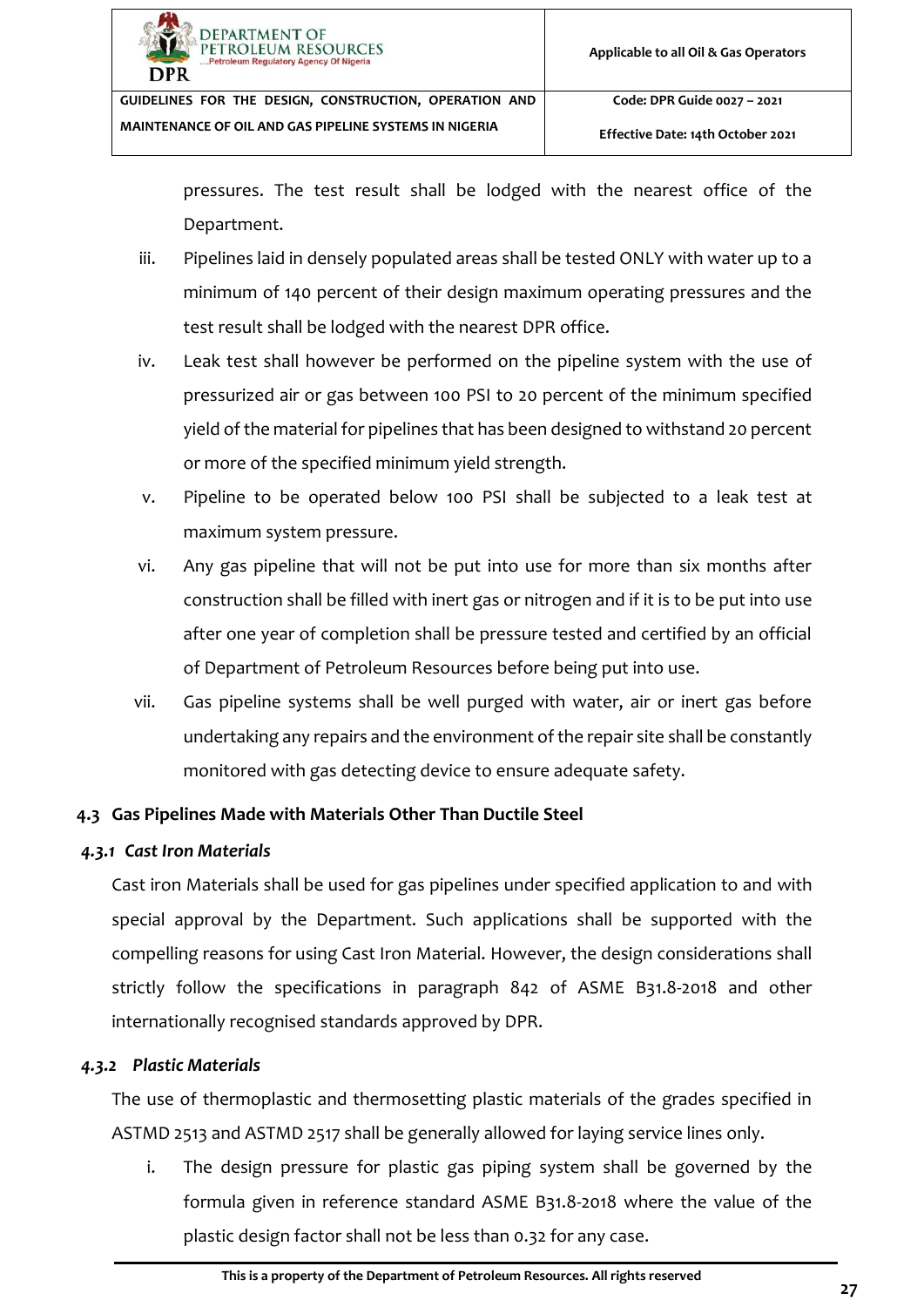

**Effective Date: 14th October 2021**

pressures. The test result shall be lodged with the nearest office of the Department.

- iii. Pipelines laid in densely populated areas shall be tested ONLY with water up to a minimum of 140 percent of their design maximum operating pressures and the test result shall be lodged with the nearest DPR office.
- iv. Leak test shall however be performed on the pipeline system with the use of pressurized air or gas between 100 PSI to 20 percent of the minimum specified yield of the material for pipelines that has been designed to withstand 20 percent or more of the specified minimum yield strength.
- v. Pipeline to be operated below 100 PSI shall be subjected to a leak test at maximum system pressure.
- vi. Any gas pipeline that will not be put into use for more than six months after construction shall be filled with inert gas or nitrogen and if it is to be put into use after one year of completion shall be pressure tested and certified by an official of Department of Petroleum Resources before being put into use.
- vii. Gas pipeline systems shall be well purged with water, air or inert gas before undertaking any repairs and the environment of the repair site shall be constantly monitored with gas detecting device to ensure adequate safety.

## <span id="page-32-0"></span>**4.3 Gas Pipelines Made with Materials Other Than Ductile Steel**

## <span id="page-32-1"></span>*4.3.1 Cast Iron Materials*

Cast iron Materials shall be used for gas pipelines under specified application to and with special approval by the Department. Such applications shall be supported with the compelling reasons for using Cast Iron Material. However, the design considerations shall strictly follow the specifications in paragraph 842 of ASME B31.8-2018 and other internationally recognised standards approved by DPR.

## *4.3.2 Plastic Materials*

<span id="page-32-2"></span>The use of thermoplastic and thermosetting plastic materials of the grades specified in ASTMD 2513 and ASTMD 2517 shall be generally allowed for laying service lines only.

i. The design pressure for plastic gas piping system shall be governed by the formula given in reference standard ASME B31.8-2018 where the value of the plastic design factor shall not be less than 0.32 for any case.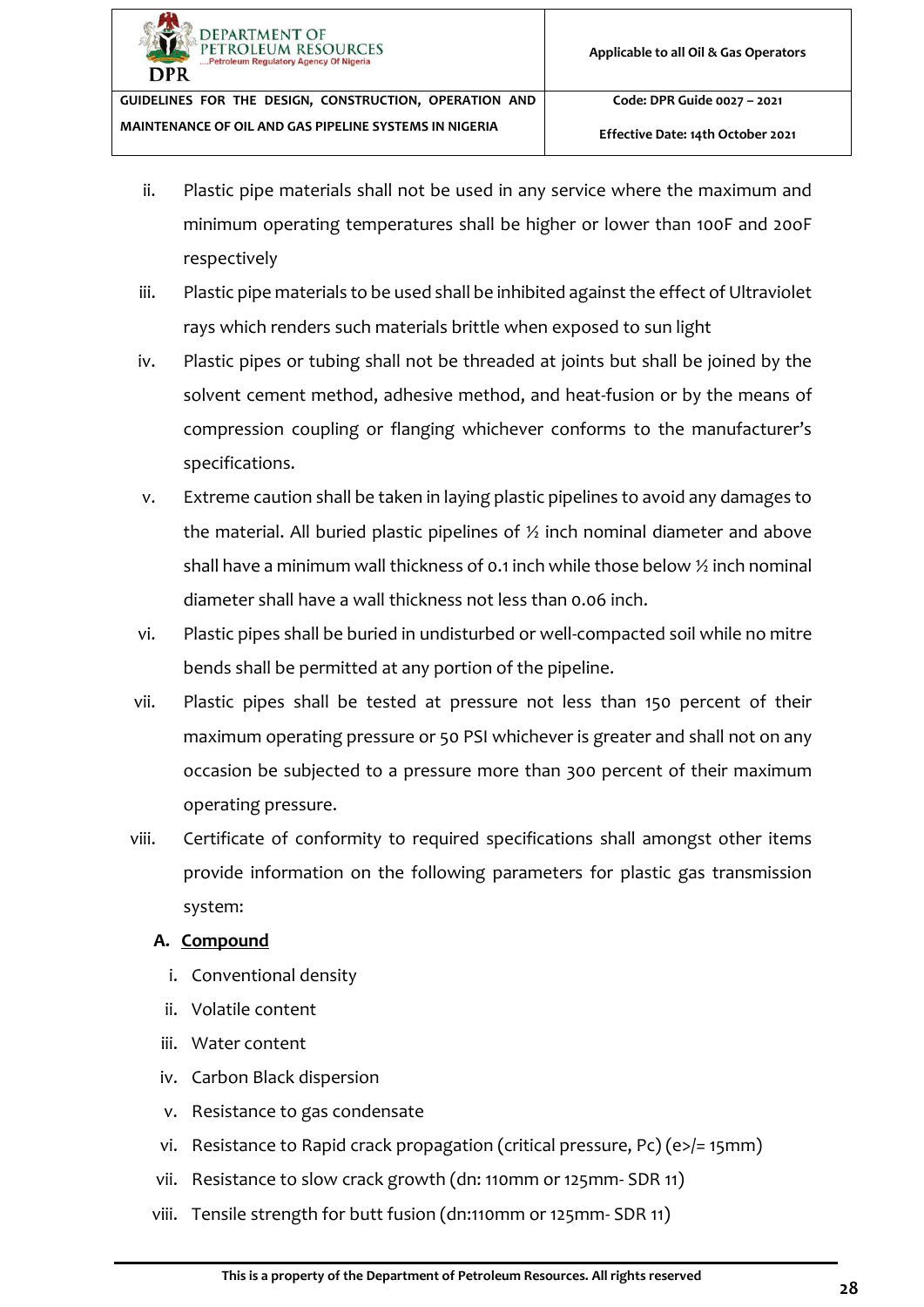- ii. Plastic pipe materials shall not be used in any service where the maximum and minimum operating temperatures shall be higher or lower than 100F and 20oF respectively
- iii. Plastic pipe materials to be used shall be inhibited against the effect of Ultraviolet rays which renders such materials brittle when exposed to sun light
- iv. Plastic pipes or tubing shall not be threaded at joints but shall be joined by the solvent cement method, adhesive method, and heat-fusion or by the means of compression coupling or flanging whichever conforms to the manufacturer's specifications.
- v. Extreme caution shall be taken in laying plastic pipelines to avoid any damages to the material. All buried plastic pipelines of  $\frac{1}{2}$  inch nominal diameter and above shall have a minimum wall thickness of 0.1 inch while those below ½ inch nominal diameter shall have a wall thickness not less than 0.06 inch.
- vi. Plastic pipes shall be buried in undisturbed or well-compacted soil while no mitre bends shall be permitted at any portion of the pipeline.
- vii. Plastic pipes shall be tested at pressure not less than 150 percent of their maximum operating pressure or 50 PSI whichever is greater and shall not on any occasion be subjected to a pressure more than 300 percent of their maximum operating pressure.
- viii. Certificate of conformity to required specifications shall amongst other items provide information on the following parameters for plastic gas transmission system:

## **A. Compound**

- i. Conventional density
- ii. Volatile content
- iii. Water content
- iv. Carbon Black dispersion
- v. Resistance to gas condensate
- vi. Resistance to Rapid crack propagation (critical pressure, Pc)  $(e >|= 15$ mm)
- vii. Resistance to slow crack growth (dn: 110mm or 125mm- SDR 11)
- viii. Tensile strength for butt fusion (dn:110mm or 125mm- SDR 11)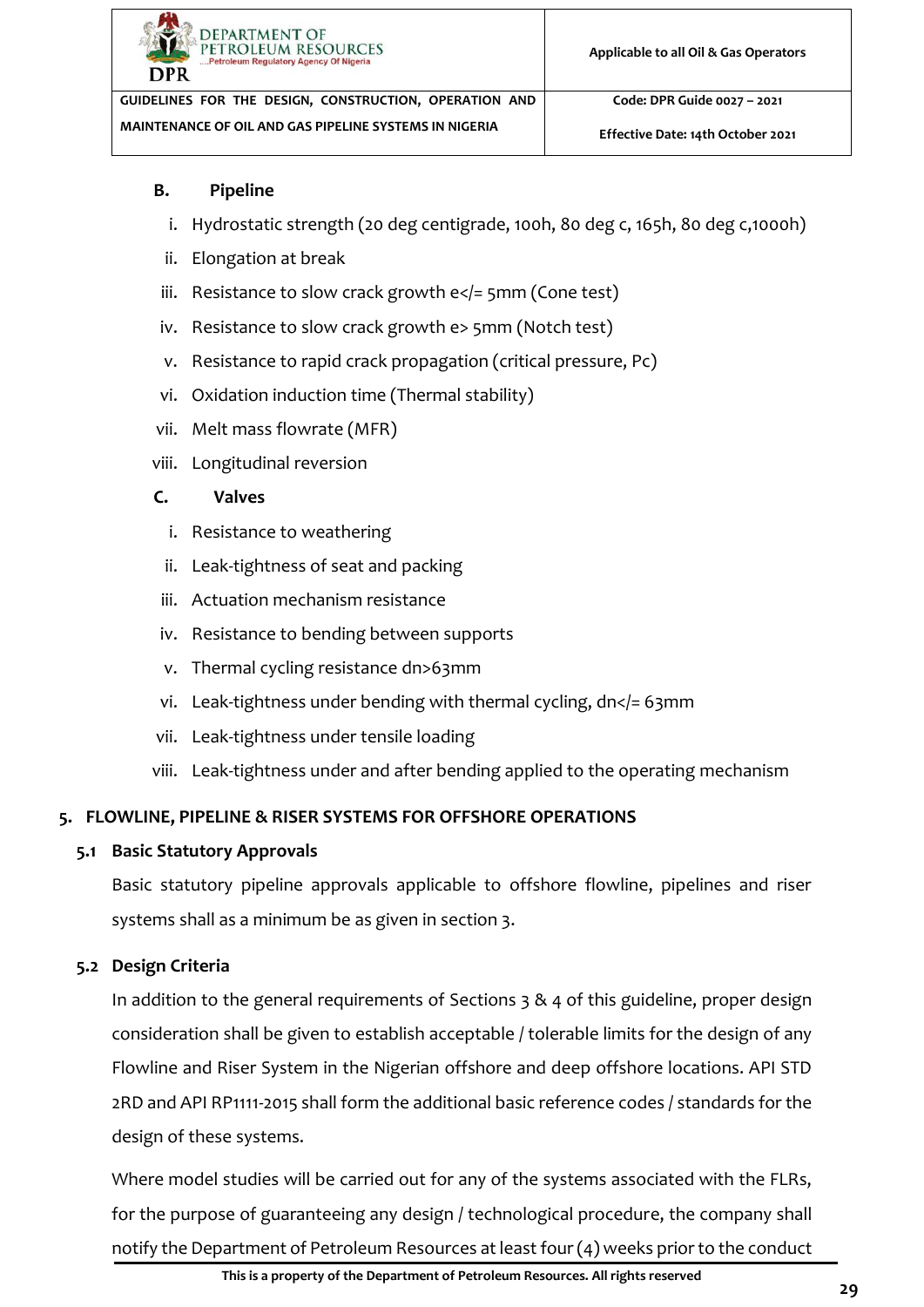

#### **B. Pipeline**

- i. Hydrostatic strength (20 deg centigrade, 100h, 80 deg c, 165h, 80 deg c,1000h)
- ii. Elongation at break
- iii. Resistance to slow crack growth  $e 5mm (Cone test)$
- iv. Resistance to slow crack growth e> 5mm (Notch test)
- v. Resistance to rapid crack propagation (critical pressure, Pc)
- vi. Oxidation induction time (Thermal stability)
- vii. Melt mass flowrate (MFR)
- viii. Longitudinal reversion

## **C. Valves**

- i. Resistance to weathering
- ii. Leak-tightness of seat and packing
- iii. Actuation mechanism resistance
- iv. Resistance to bending between supports
- v. Thermal cycling resistance dn>63mm
- vi. Leak-tightness under bending with thermal cycling, dn</>
l=63mm
- vii. Leak-tightness under tensile loading
- viii. Leak-tightness under and after bending applied to the operating mechanism

## <span id="page-34-0"></span>**5. FLOWLINE, PIPELINE & RISER SYSTEMS FOR OFFSHORE OPERATIONS**

## <span id="page-34-1"></span>**5.1 Basic Statutory Approvals**

Basic statutory pipeline approvals applicable to offshore flowline, pipelines and riser systems shall as a minimum be as given in section 3.

## <span id="page-34-2"></span>**5.2 Design Criteria**

In addition to the general requirements of Sections [3](#page-22-0) & [4](#page-29-1) of this guideline, proper design consideration shall be given to establish acceptable / tolerable limits for the design of any Flowline and Riser System in the Nigerian offshore and deep offshore locations. API STD 2RD and API RP1111-2015 shall form the additional basic reference codes / standards for the design of these systems.

Where model studies will be carried out for any of the systems associated with the FLRs, for the purpose of guaranteeing any design / technological procedure, the company shall notify the Department of Petroleum Resources at least four (4) weeks prior to the conduct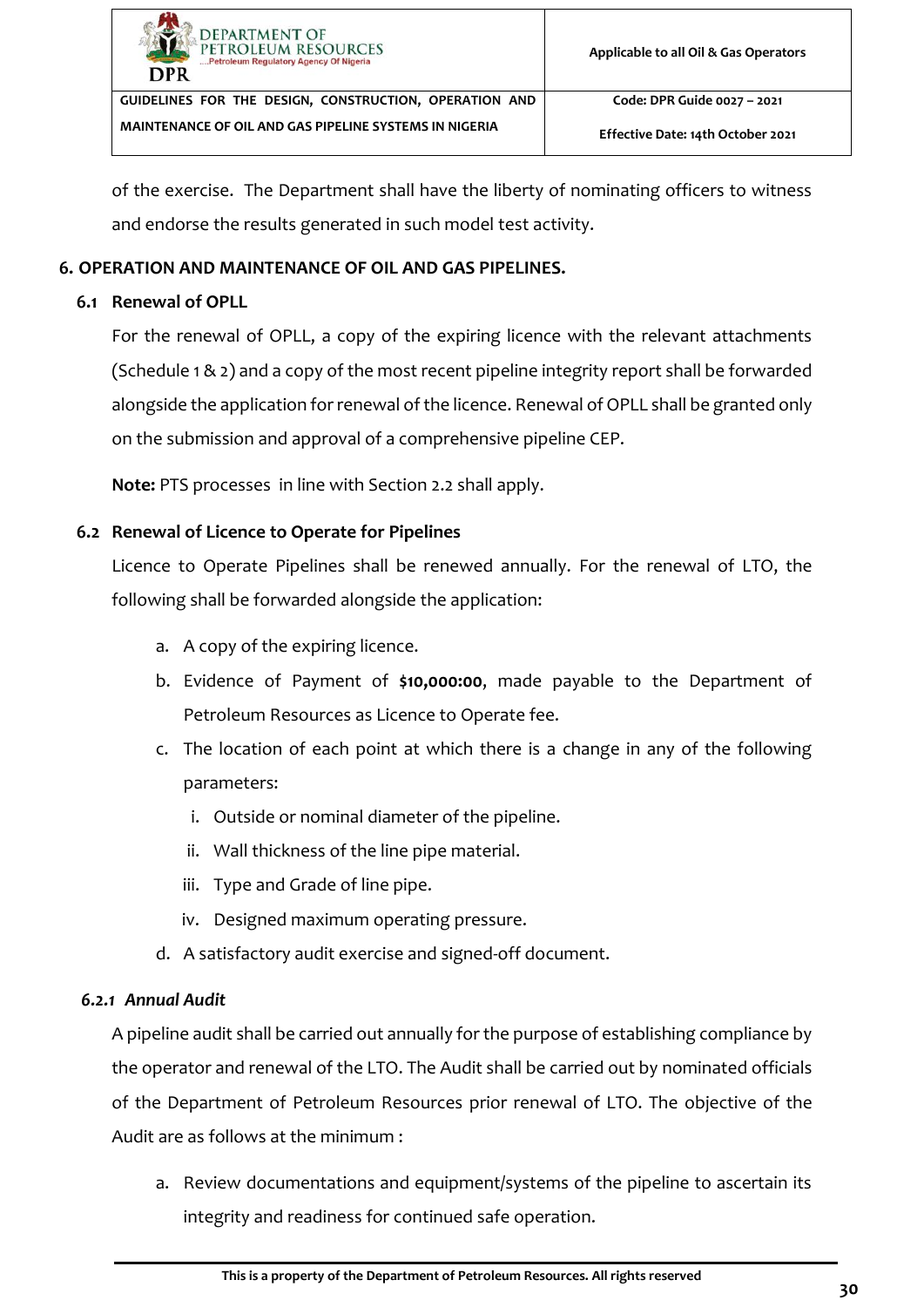

of the exercise. The Department shall have the liberty of nominating officers to witness and endorse the results generated in such model test activity.

#### <span id="page-35-0"></span>**6. OPERATION AND MAINTENANCE OF OIL AND GAS PIPELINES.**

#### <span id="page-35-1"></span>**6.1 Renewal of OPLL**

For the renewal of OPLL, a copy of the expiring licence with the relevant attachments (Schedule 1 & 2) and a copy of the most recent pipeline integrity report shall be forwarded alongside the application for renewal of the licence. Renewal of OPLL shall be granted only on the submission and approval of a comprehensive pipeline CEP.

**Note:** PTS processes in line with Section [2.2](#page-8-0) shall apply.

#### <span id="page-35-2"></span>**6.2 Renewal of Licence to Operate for Pipelines**

Licence to Operate Pipelines shall be renewed annually. For the renewal of LTO, the following shall be forwarded alongside the application:

- a. A copy of the expiring licence.
- b. Evidence of Payment of **\$10,000:00**, made payable to the Department of Petroleum Resources as Licence to Operate fee.
- c. The location of each point at which there is a change in any of the following parameters:
	- i. Outside or nominal diameter of the pipeline.
	- ii. Wall thickness of the line pipe material.
	- iii. Type and Grade of line pipe.
	- iv. Designed maximum operating pressure.
- d. A satisfactory audit exercise and signed-off document.

#### <span id="page-35-3"></span>*6.2.1 Annual Audit*

A pipeline audit shall be carried out annually for the purpose of establishing compliance by the operator and renewal of the LTO. The Audit shall be carried out by nominated officials of the Department of Petroleum Resources prior renewal of LTO. The objective of the Audit are as follows at the minimum :

a. Review documentations and equipment/systems of the pipeline to ascertain its integrity and readiness for continued safe operation.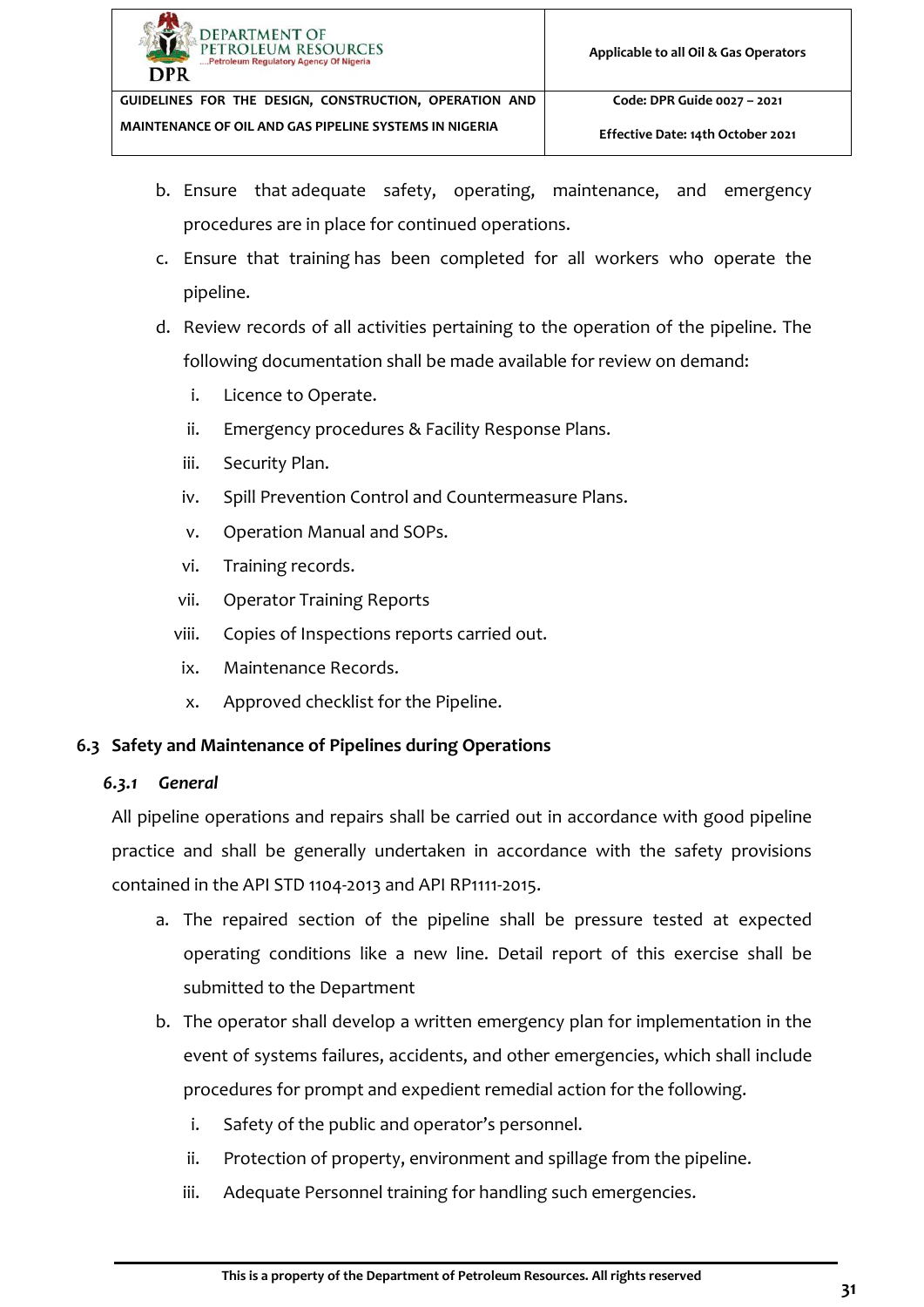

- b. Ensure that adequate safety, operating, maintenance, and emergency procedures are in place for continued operations.
- c. Ensure that training has been completed for all workers who operate the pipeline.
- d. Review records of all activities pertaining to the operation of the pipeline. The following documentation shall be made available for review on demand:
	- i. Licence to Operate.
	- ii. Emergency procedures & Facility Response Plans.
	- iii. Security Plan.
	- iv. Spill Prevention Control and Countermeasure Plans.
	- v. Operation Manual and SOPs.
	- vi. Training records.
	- vii. Operator Training Reports
	- viii. Copies of Inspections reports carried out.
	- ix. Maintenance Records.
	- x. Approved checklist for the Pipeline.

# <span id="page-36-0"></span>**6.3 Safety and Maintenance of Pipelines during Operations**

# <span id="page-36-1"></span>*6.3.1 General*

All pipeline operations and repairs shall be carried out in accordance with good pipeline practice and shall be generally undertaken in accordance with the safety provisions contained in the API STD 1104-2013 and API RP1111-2015.

- a. The repaired section of the pipeline shall be pressure tested at expected operating conditions like a new line. Detail report of this exercise shall be submitted to the Department
- b. The operator shall develop a written emergency plan for implementation in the event of systems failures, accidents, and other emergencies, which shall include procedures for prompt and expedient remedial action for the following.
	- i. Safety of the public and operator's personnel.
	- ii. Protection of property, environment and spillage from the pipeline.
	- iii. Adequate Personnel training for handling such emergencies.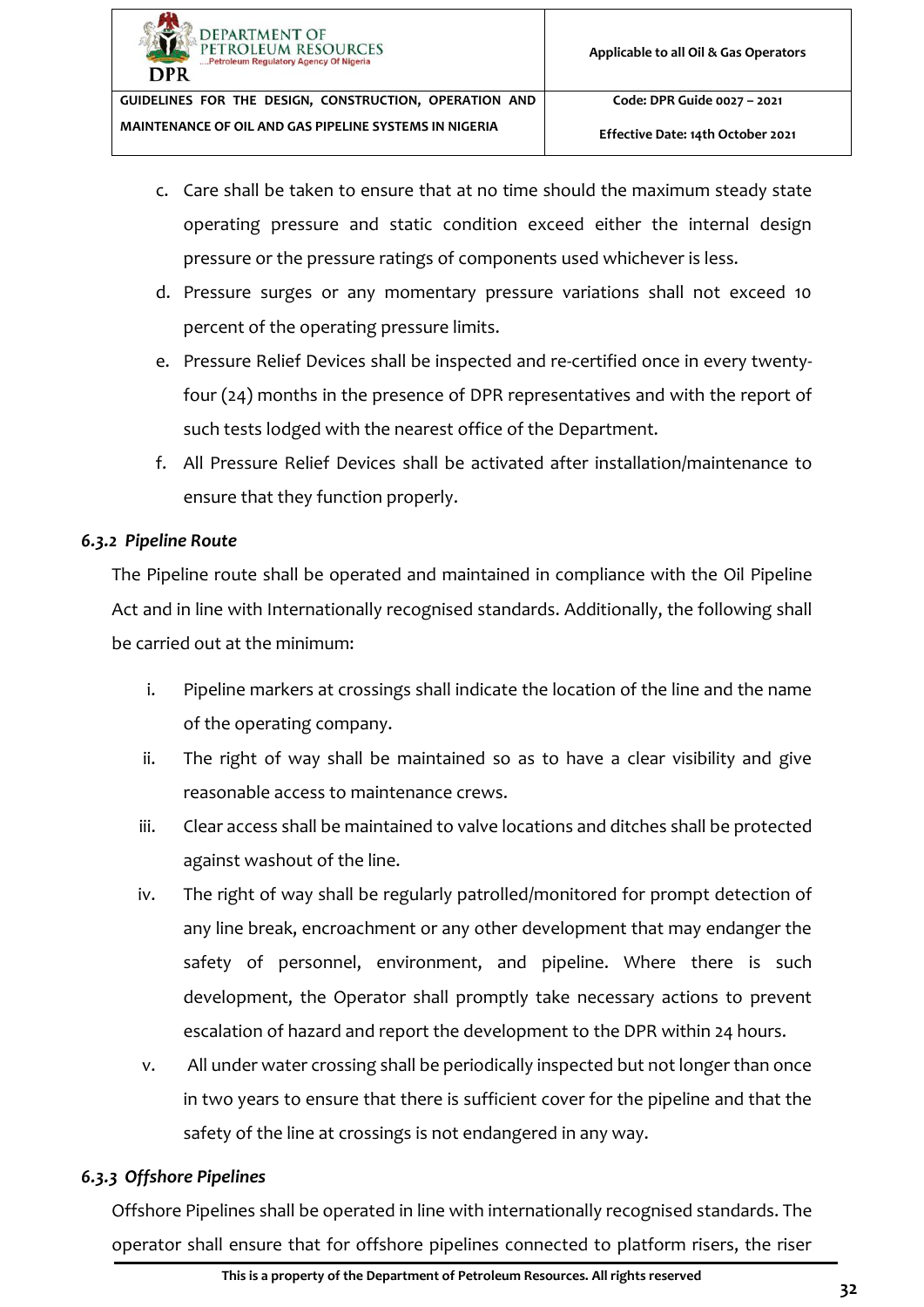**Effective Date: 14th October 2021**

- c. Care shall be taken to ensure that at no time should the maximum steady state operating pressure and static condition exceed either the internal design pressure or the pressure ratings of components used whichever is less.
- d. Pressure surges or any momentary pressure variations shall not exceed 10 percent of the operating pressure limits.
- e. Pressure Relief Devices shall be inspected and re-certified once in every twentyfour (24) months in the presence of DPR representatives and with the report of such tests lodged with the nearest office of the Department.
- f. All Pressure Relief Devices shall be activated after installation/maintenance to ensure that they function properly.

#### <span id="page-37-0"></span>*6.3.2 Pipeline Route*

The Pipeline route shall be operated and maintained in compliance with the Oil Pipeline Act and in line with Internationally recognised standards. Additionally, the following shall be carried out at the minimum:

- i. Pipeline markers at crossings shall indicate the location of the line and the name of the operating company.
- ii. The right of way shall be maintained so as to have a clear visibility and give reasonable access to maintenance crews.
- iii. Clear access shall be maintained to valve locations and ditches shall be protected against washout of the line.
- iv. The right of way shall be regularly patrolled/monitored for prompt detection of any line break, encroachment or any other development that may endanger the safety of personnel, environment, and pipeline. Where there is such development, the Operator shall promptly take necessary actions to prevent escalation of hazard and report the development to the DPR within 24 hours.
- v. All under water crossing shall be periodically inspected but not longer than once in two years to ensure that there is sufficient cover for the pipeline and that the safety of the line at crossings is not endangered in any way.

## <span id="page-37-1"></span>*6.3.3 Offshore Pipelines*

Offshore Pipelines shall be operated in line with internationally recognised standards. The operator shall ensure that for offshore pipelines connected to platform risers, the riser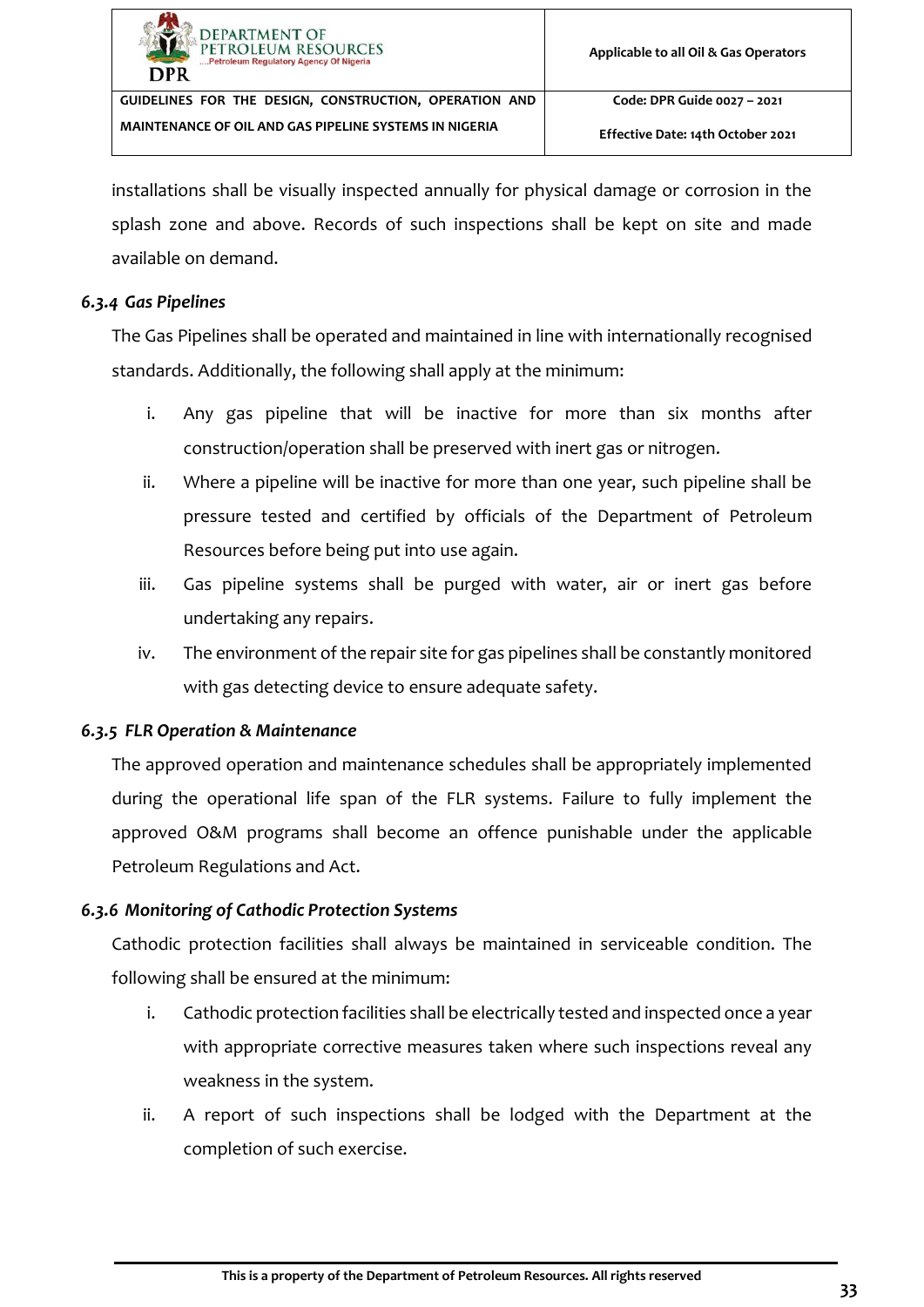installations shall be visually inspected annually for physical damage or corrosion in the splash zone and above. Records of such inspections shall be kept on site and made available on demand.

#### <span id="page-38-0"></span>*6.3.4 Gas Pipelines*

The Gas Pipelines shall be operated and maintained in line with internationally recognised standards. Additionally, the following shall apply at the minimum:

- i. Any gas pipeline that will be inactive for more than six months after construction/operation shall be preserved with inert gas or nitrogen.
- ii. Where a pipeline will be inactive for more than one year, such pipeline shall be pressure tested and certified by officials of the Department of Petroleum Resources before being put into use again.
- iii. Gas pipeline systems shall be purged with water, air or inert gas before undertaking any repairs.
- iv. The environment of the repair site for gas pipelines shall be constantly monitored with gas detecting device to ensure adequate safety.

## <span id="page-38-1"></span>*6.3.5 FLR Operation & Maintenance*

The approved operation and maintenance schedules shall be appropriately implemented during the operational life span of the FLR systems. Failure to fully implement the approved O&M programs shall become an offence punishable under the applicable Petroleum Regulations and Act.

## <span id="page-38-2"></span>*6.3.6 Monitoring of Cathodic Protection Systems*

Cathodic protection facilities shall always be maintained in serviceable condition. The following shall be ensured at the minimum:

- i. Cathodic protection facilities shall be electrically tested and inspected once a year with appropriate corrective measures taken where such inspections reveal any weakness in the system.
- ii. A report of such inspections shall be lodged with the Department at the completion of such exercise.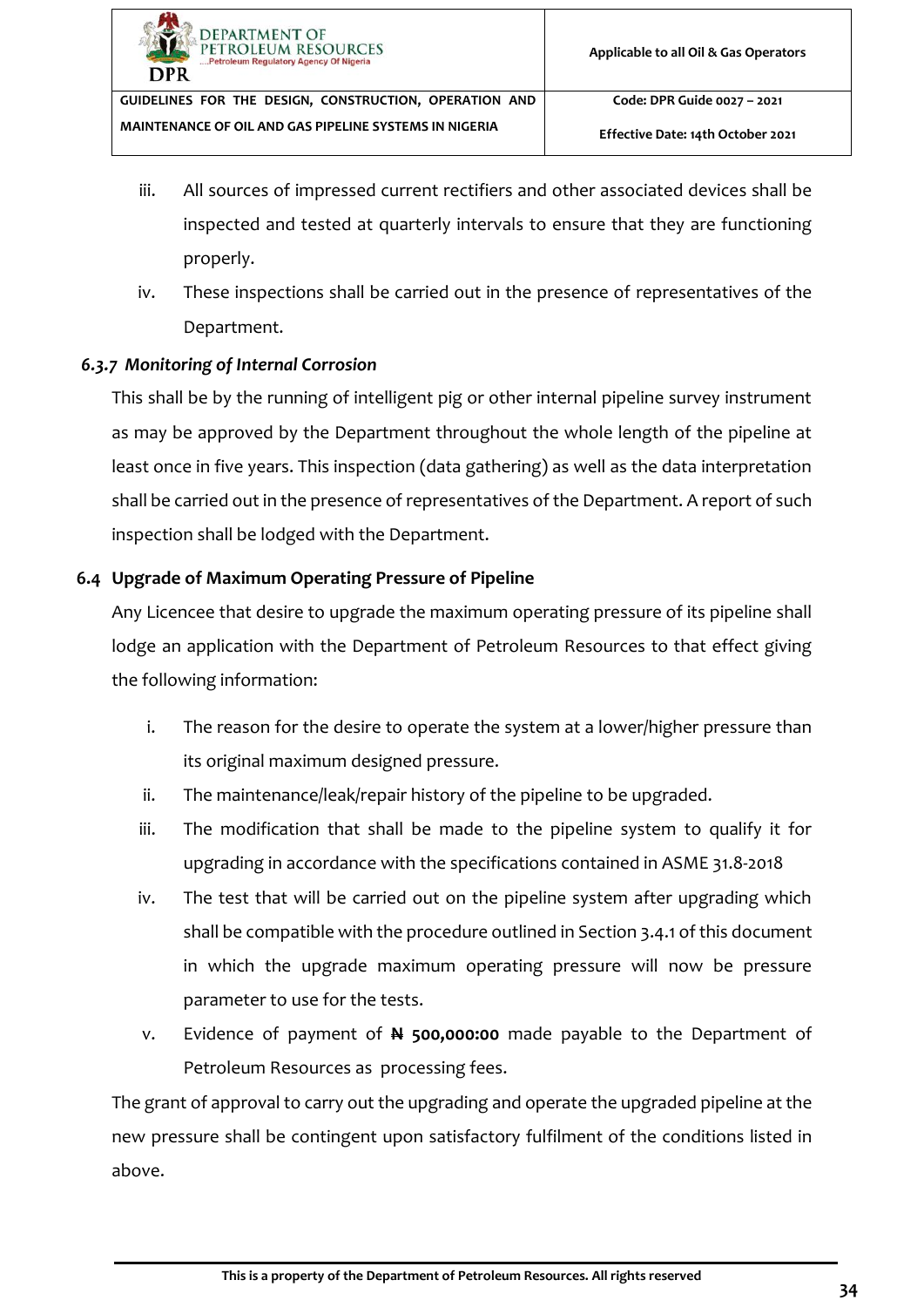**Effective Date: 14th October 2021**

- iii. All sources of impressed current rectifiers and other associated devices shall be inspected and tested at quarterly intervals to ensure that they are functioning properly.
- iv. These inspections shall be carried out in the presence of representatives of the Department.

## <span id="page-39-0"></span>*6.3.7 Monitoring of Internal Corrosion*

This shall be by the running of intelligent pig or other internal pipeline survey instrument as may be approved by the Department throughout the whole length of the pipeline at least once in five years. This inspection (data gathering) as well as the data interpretation shall be carried out in the presence of representatives of the Department. A report of such inspection shall be lodged with the Department.

## <span id="page-39-1"></span>**6.4 Upgrade of Maximum Operating Pressure of Pipeline**

Any Licencee that desire to upgrade the maximum operating pressure of its pipeline shall lodge an application with the Department of Petroleum Resources to that effect giving the following information:

- i. The reason for the desire to operate the system at a lower/higher pressure than its original maximum designed pressure.
- ii. The maintenance/leak/repair history of the pipeline to be upgraded.
- iii. The modification that shall be made to the pipeline system to qualify it for upgrading in accordance with the specifications contained in ASME 31.8-2018
- iv. The test that will be carried out on the pipeline system after upgrading which shall be compatible with the procedure outlined in Section [3.4.1](#page-27-0) of this document in which the upgrade maximum operating pressure will now be pressure parameter to use for the tests.
- v. Evidence of payment of **N 500,000:00** made payable to the Department of Petroleum Resources as processing fees.

The grant of approval to carry out the upgrading and operate the upgraded pipeline at the new pressure shall be contingent upon satisfactory fulfilment of the conditions listed in above.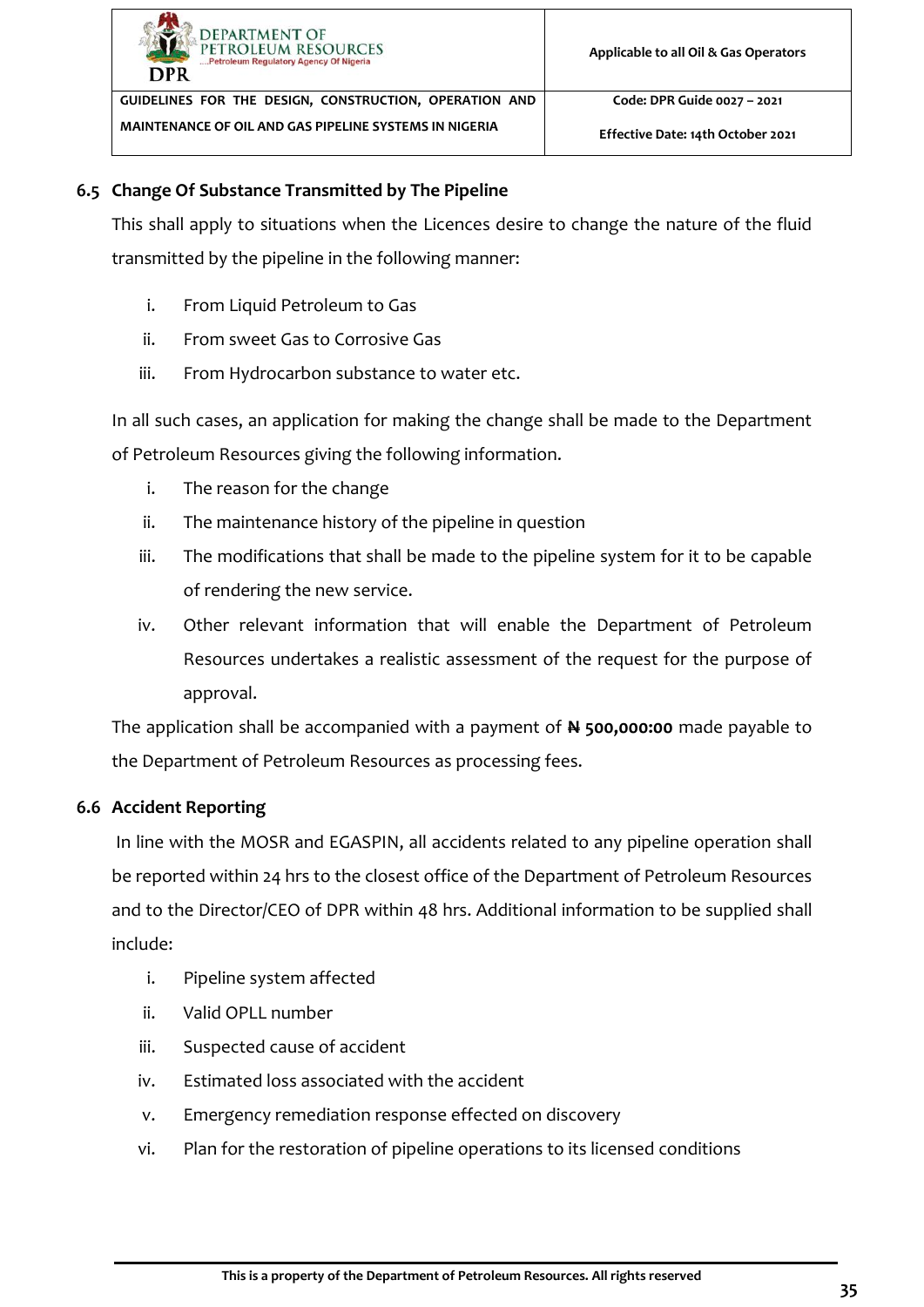

## <span id="page-40-0"></span>**6.5 Change Of Substance Transmitted by The Pipeline**

This shall apply to situations when the Licences desire to change the nature of the fluid transmitted by the pipeline in the following manner:

- i. From Liquid Petroleum to Gas
- ii. From sweet Gas to Corrosive Gas
- iii. From Hydrocarbon substance to water etc.

In all such cases, an application for making the change shall be made to the Department of Petroleum Resources giving the following information.

- i. The reason for the change
- ii. The maintenance history of the pipeline in question
- iii. The modifications that shall be made to the pipeline system for it to be capable of rendering the new service.
- iv. Other relevant information that will enable the Department of Petroleum Resources undertakes a realistic assessment of the request for the purpose of approval.

The application shall be accompanied with a payment of **N 500,000:00** made payable to the Department of Petroleum Resources as processing fees.

# <span id="page-40-1"></span>**6.6 Accident Reporting**

In line with the MOSR and EGASPIN, all accidents related to any pipeline operation shall be reported within 24 hrs to the closest office of the Department of Petroleum Resources and to the Director/CEO of DPR within 48 hrs. Additional information to be supplied shall include:

- i. Pipeline system affected
- ii. Valid OPLL number
- iii. Suspected cause of accident
- iv. Estimated loss associated with the accident
- v. Emergency remediation response effected on discovery
- vi. Plan for the restoration of pipeline operations to its licensed conditions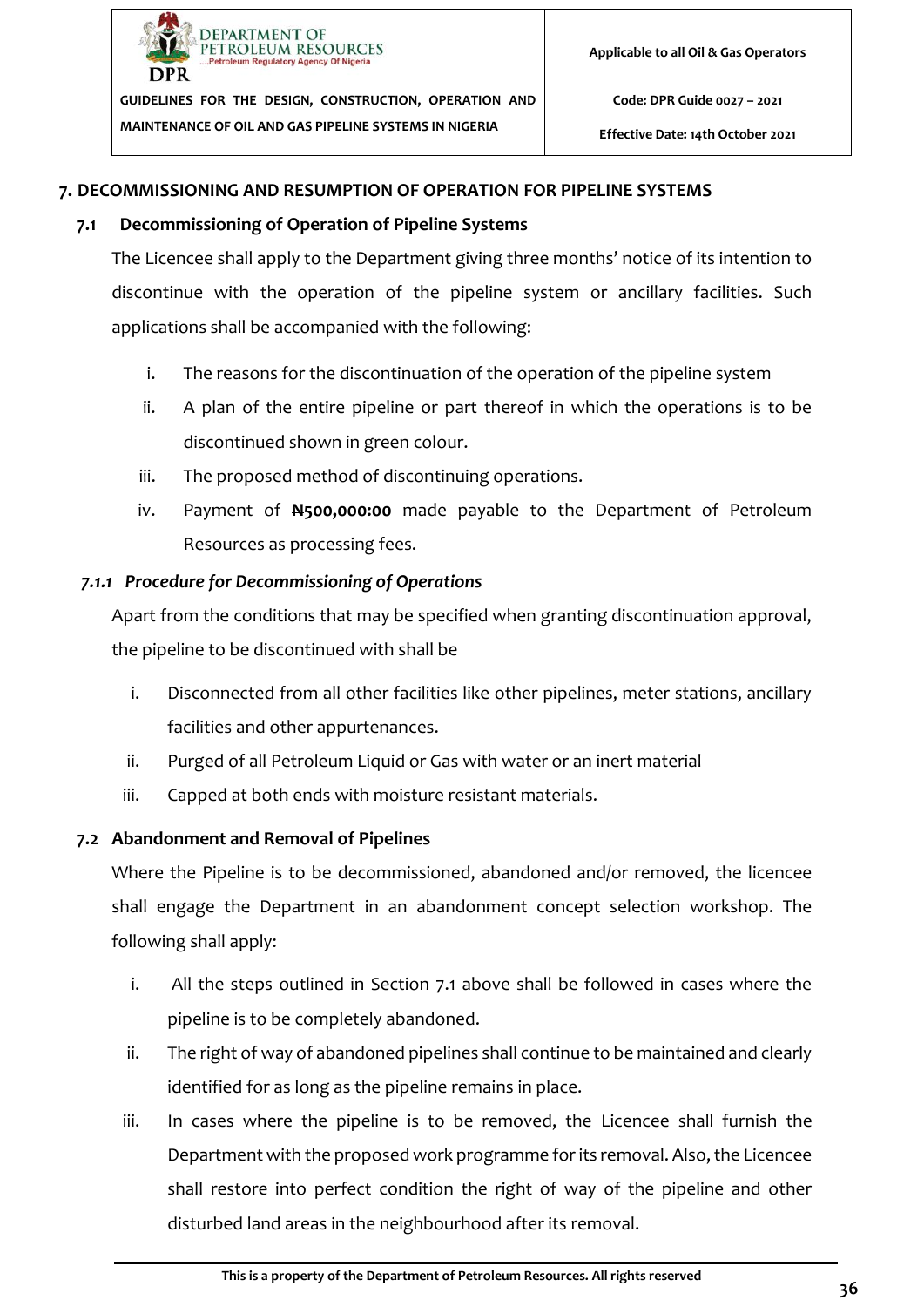

**Effective Date: 14th October 2021**

#### <span id="page-41-0"></span>**7. DECOMMISSIONING AND RESUMPTION OF OPERATION FOR PIPELINE SYSTEMS**

#### **7.1 Decommissioning of Operation of Pipeline Systems**

<span id="page-41-1"></span>The Licencee shall apply to the Department giving three months' notice of its intention to discontinue with the operation of the pipeline system or ancillary facilities. Such applications shall be accompanied with the following:

- i. The reasons for the discontinuation of the operation of the pipeline system
- ii. A plan of the entire pipeline or part thereof in which the operations is to be discontinued shown in green colour.
- iii. The proposed method of discontinuing operations.
- iv. Payment of **N500,000:00** made payable to the Department of Petroleum Resources as processing fees.

#### <span id="page-41-2"></span>*7.1.1 Procedure for Decommissioning of Operations*

Apart from the conditions that may be specified when granting discontinuation approval, the pipeline to be discontinued with shall be

- i. Disconnected from all other facilities like other pipelines, meter stations, ancillary facilities and other appurtenances.
- ii. Purged of all Petroleum Liquid or Gas with water or an inert material
- iii. Capped at both ends with moisture resistant materials.

#### <span id="page-41-3"></span>**7.2 Abandonment and Removal of Pipelines**

Where the Pipeline is to be decommissioned, abandoned and/or removed, the licencee shall engage the Department in an abandonment concept selection workshop. The following shall apply:

- i. All the steps outlined in Section [7.1](#page-41-1) above shall be followed in cases where the pipeline is to be completely abandoned.
- ii. The right of way of abandoned pipelines shall continue to be maintained and clearly identified for as long as the pipeline remains in place.
- iii. In cases where the pipeline is to be removed, the Licencee shall furnish the Department with the proposed work programme for its removal. Also, the Licencee shall restore into perfect condition the right of way of the pipeline and other disturbed land areas in the neighbourhood after its removal.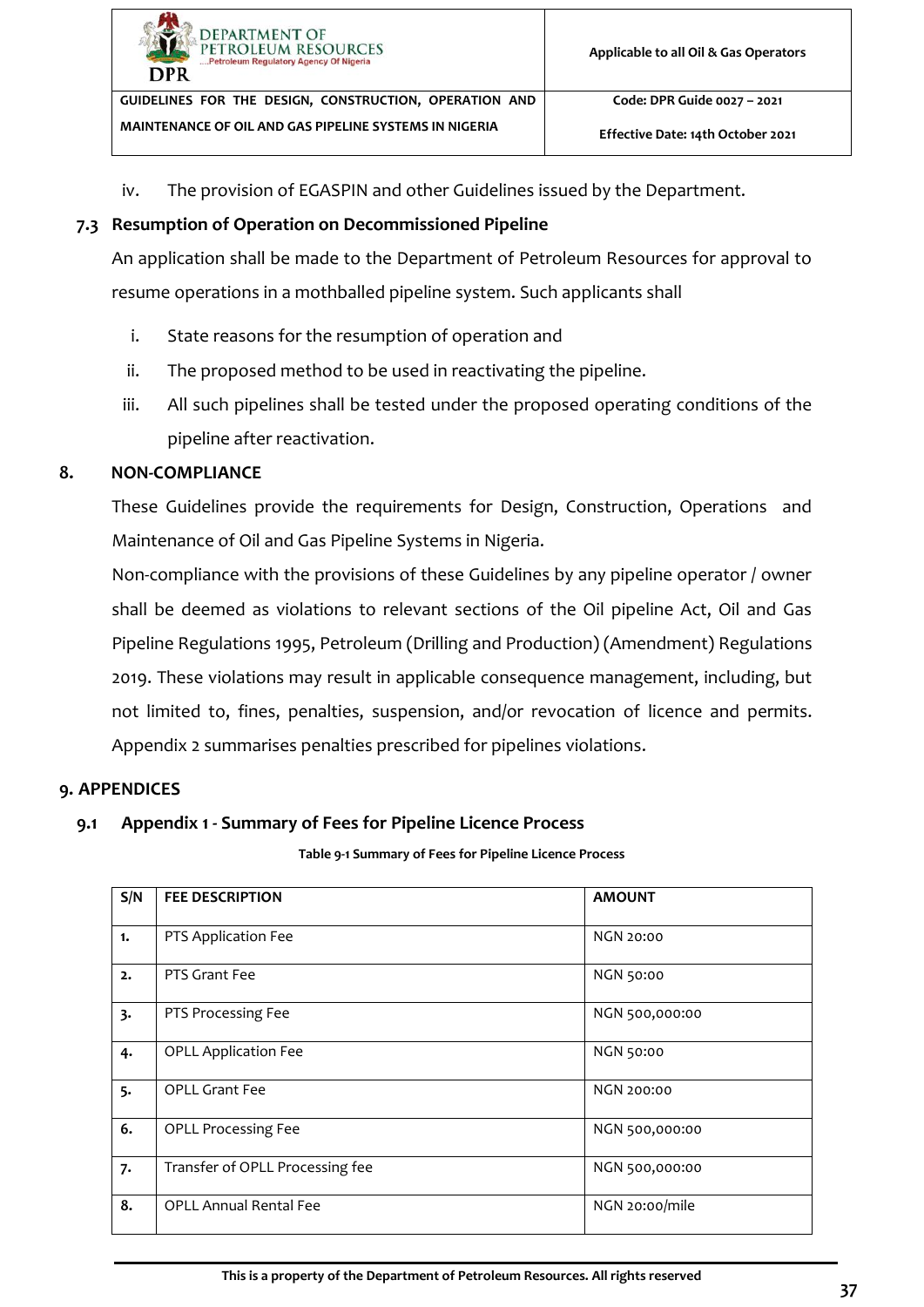

iv. The provision of EGASPIN and other Guidelines issued by the Department.

#### <span id="page-42-0"></span>**7.3 Resumption of Operation on Decommissioned Pipeline**

An application shall be made to the Department of Petroleum Resources for approval to resume operations in a mothballed pipeline system. Such applicants shall

- i. State reasons for the resumption of operation and
- ii. The proposed method to be used in reactivating the pipeline.
- iii. All such pipelines shall be tested under the proposed operating conditions of the pipeline after reactivation.

#### <span id="page-42-1"></span>**8. NON-COMPLIANCE**

These Guidelines provide the requirements for Design, Construction, Operations and Maintenance of Oil and Gas Pipeline Systems in Nigeria.

Non-compliance with the provisions of these Guidelines by any pipeline operator / owner shall be deemed as violations to relevant sections of the Oil pipeline Act, Oil and Gas Pipeline Regulations 1995, Petroleum (Drilling and Production) (Amendment) Regulations 2019. These violations may result in applicable consequence management, including, but not limited to, fines, penalties, suspension, and/or revocation of licence and permits. Appendix 2 summarises penalties prescribed for pipelines violations.

#### <span id="page-42-2"></span>**9. APPENDICES**

#### <span id="page-42-3"></span>**9.1 Appendix 1 - Summary of Fees for Pipeline Licence Process**

**Table 9-1 Summary of Fees for Pipeline Licence Process**

<span id="page-42-4"></span>

| S/N | <b>FEE DESCRIPTION</b>          | <b>AMOUNT</b>     |
|-----|---------------------------------|-------------------|
| 1.  | PTS Application Fee             | <b>NGN 20:00</b>  |
| 2.  | PTS Grant Fee                   | <b>NGN 50:00</b>  |
| 3.  | PTS Processing Fee              | NGN 500,000:00    |
| 4.  | <b>OPLL Application Fee</b>     | <b>NGN 50:00</b>  |
| 5.  | <b>OPLL Grant Fee</b>           | <b>NGN 200:00</b> |
| 6.  | <b>OPLL Processing Fee</b>      | NGN 500,000:00    |
| 7.  | Transfer of OPLL Processing fee | NGN 500,000:00    |
| 8.  | <b>OPLL Annual Rental Fee</b>   | NGN 20:00/mile    |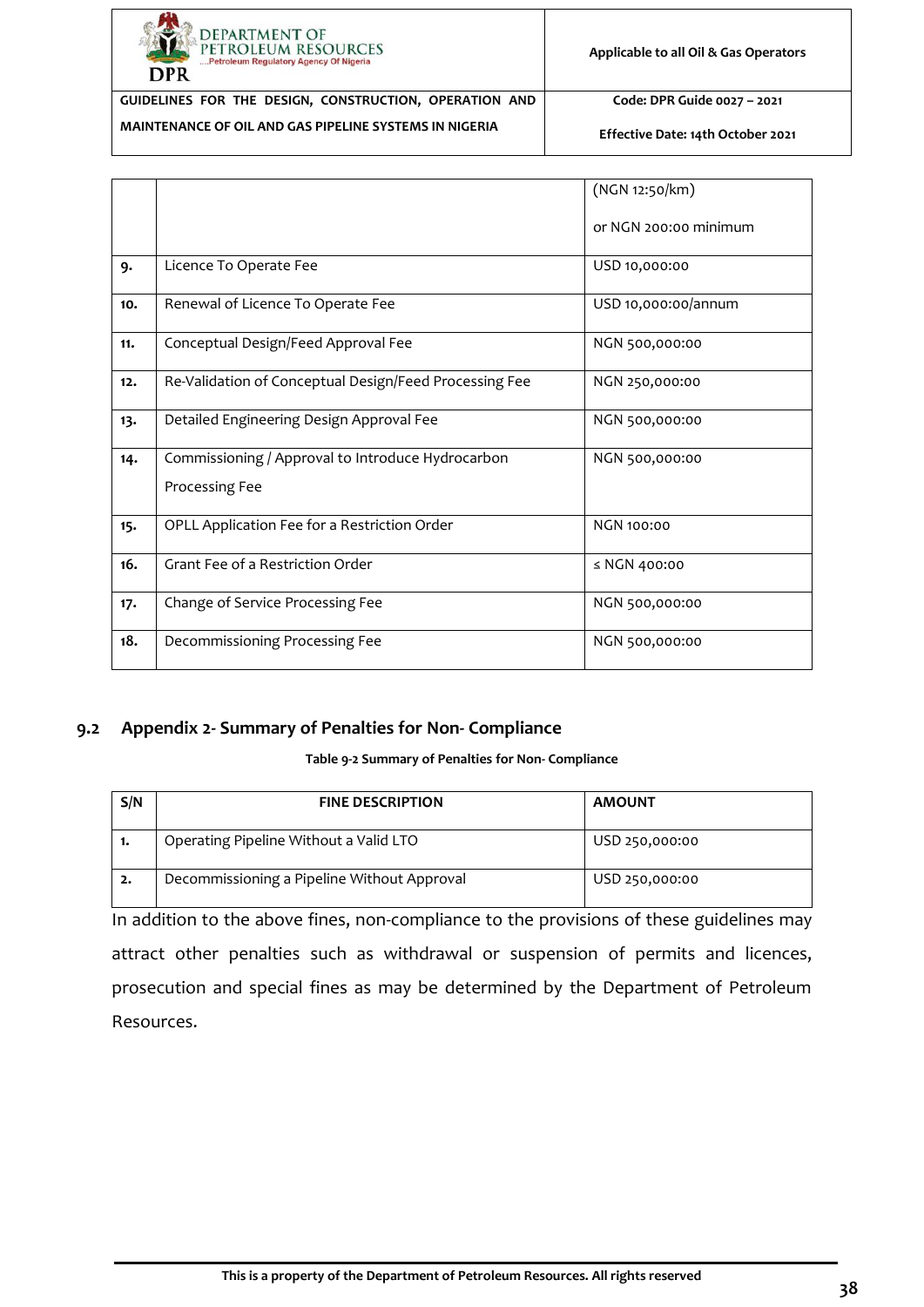

**MAINTENANCE OF OIL AND GAS PIPELINE SYSTEMS IN NIGERIA**

**GUIDELINES FOR THE DESIGN, CONSTRUCTION, OPERATION AND** 

**Code: DPR Guide 0027 – 2021**

**Effective Date: 14th October 2021**

|     |                                                                     | (NGN 12:50/km)        |
|-----|---------------------------------------------------------------------|-----------------------|
|     |                                                                     | or NGN 200:00 minimum |
| 9.  | Licence To Operate Fee                                              | USD 10,000:00         |
| 10. | Renewal of Licence To Operate Fee                                   | USD 10,000:00/annum   |
| 11. | Conceptual Design/Feed Approval Fee                                 | NGN 500,000:00        |
| 12. | Re-Validation of Conceptual Design/Feed Processing Fee              | NGN 250,000:00        |
| 13. | Detailed Engineering Design Approval Fee                            | NGN 500,000:00        |
| 14. | Commissioning / Approval to Introduce Hydrocarbon<br>Processing Fee | NGN 500,000:00        |
|     |                                                                     |                       |
| 15. | OPLL Application Fee for a Restriction Order                        | <b>NGN 100:00</b>     |
| 16. | Grant Fee of a Restriction Order                                    | $\leq$ NGN 400:00     |
| 17. | Change of Service Processing Fee                                    | NGN 500,000:00        |
| 18. | Decommissioning Processing Fee                                      | NGN 500,000:00        |

#### <span id="page-43-0"></span>**9.2 Appendix 2- Summary of Penalties for Non- Compliance**

#### **Table 9-2 Summary of Penalties for Non- Compliance**

<span id="page-43-1"></span>

| S/N | <b>FINE DESCRIPTION</b>                     | <b>AMOUNT</b>  |
|-----|---------------------------------------------|----------------|
| -1. | Operating Pipeline Without a Valid LTO      | USD 250,000:00 |
| -2. | Decommissioning a Pipeline Without Approval | USD 250,000:00 |

In addition to the above fines, non-compliance to the provisions of these guidelines may attract other penalties such as withdrawal or suspension of permits and licences, prosecution and special fines as may be determined by the Department of Petroleum Resources.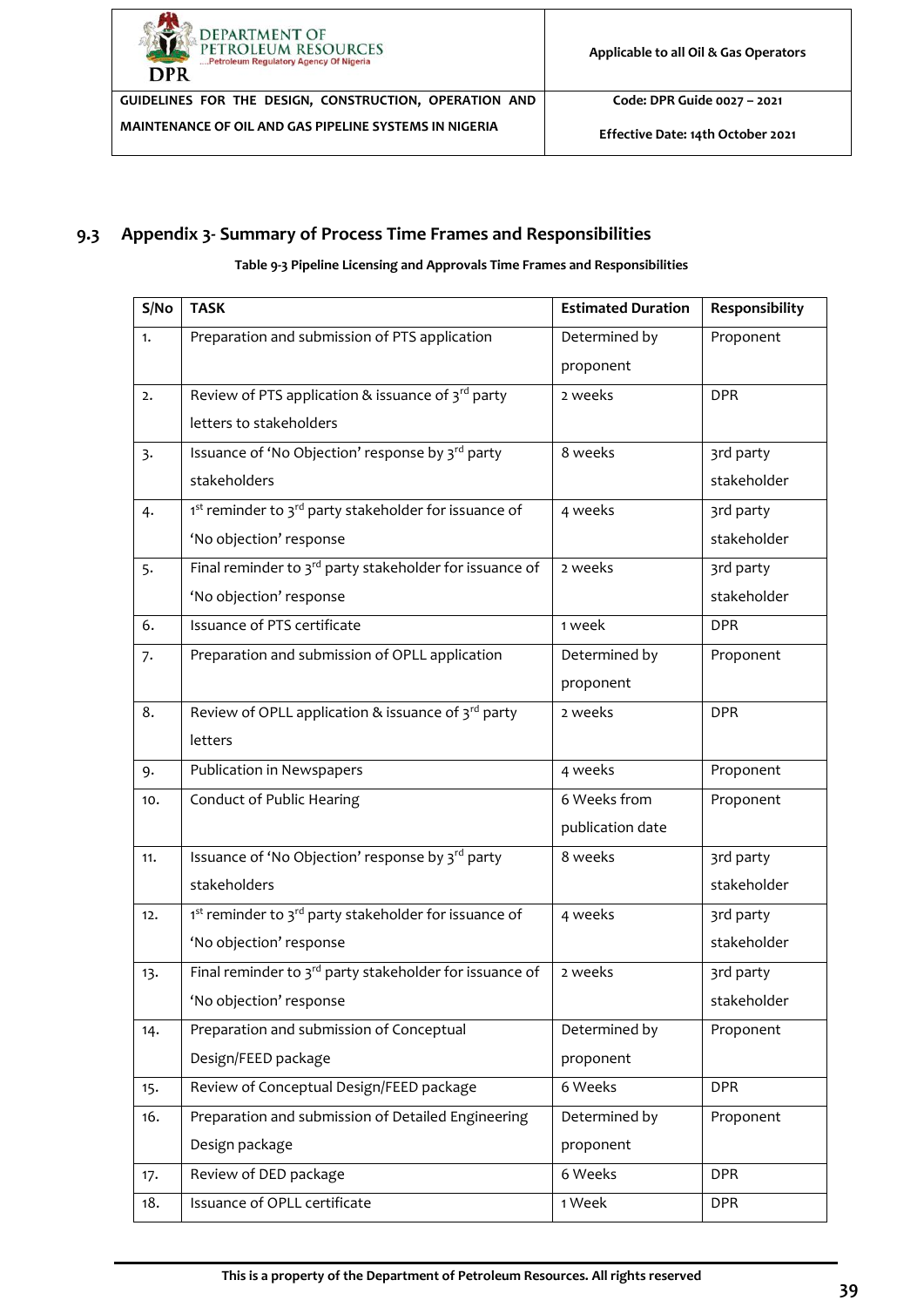

**Code: DPR Guide 0027 – 2021**

**Effective Date: 14th October 2021**

#### <span id="page-44-0"></span>**9.3 Appendix 3- Summary of Process Time Frames and Responsibilities**

**Table 9-3 Pipeline Licensing and Approvals Time Frames and Responsibilities**

<span id="page-44-1"></span>

| S/No | <b>TASK</b>                                                                   | <b>Estimated Duration</b> | Responsibility |
|------|-------------------------------------------------------------------------------|---------------------------|----------------|
| 1.   | Preparation and submission of PTS application                                 | Determined by             | Proponent      |
|      |                                                                               | proponent                 |                |
| 2.   | Review of PTS application & issuance of 3rd party                             | 2 weeks                   | <b>DPR</b>     |
|      | letters to stakeholders                                                       |                           |                |
| 3.   | Issuance of 'No Objection' response by 3rd party                              | 8 weeks                   | 3rd party      |
|      | stakeholders                                                                  |                           | stakeholder    |
| 4.   | 1 <sup>st</sup> reminder to 3 <sup>rd</sup> party stakeholder for issuance of | 4 weeks                   | 3rd party      |
|      | 'No objection' response                                                       |                           | stakeholder    |
| 5.   | Final reminder to 3 <sup>rd</sup> party stakeholder for issuance of           | 2 weeks                   | 3rd party      |
|      | 'No objection' response                                                       |                           | stakeholder    |
| 6.   | Issuance of PTS certificate                                                   | 1 week                    | <b>DPR</b>     |
| 7.   | Preparation and submission of OPLL application                                | Determined by             | Proponent      |
|      |                                                                               | proponent                 |                |
| 8.   | Review of OPLL application & issuance of 3rd party                            | 2 weeks                   | <b>DPR</b>     |
|      | letters                                                                       |                           |                |
| 9.   | Publication in Newspapers                                                     | 4 weeks                   | Proponent      |
| 10.  | Conduct of Public Hearing                                                     | 6 Weeks from              | Proponent      |
|      |                                                                               | publication date          |                |
| 11.  | Issuance of 'No Objection' response by 3rd party                              | 8 weeks                   | 3rd party      |
|      | stakeholders                                                                  |                           | stakeholder    |
| 12.  | 1st reminder to 3rd party stakeholder for issuance of                         | 4 weeks                   | 3rd party      |
|      | 'No objection' response                                                       |                           | stakeholder    |
| 13.  | Final reminder to 3rd party stakeholder for issuance of                       | 2 weeks                   | 3rd party      |
|      | 'No objection' response                                                       |                           | stakeholder    |
| 14.  | Preparation and submission of Conceptual                                      | Determined by             | Proponent      |
|      | Design/FEED package                                                           | proponent                 |                |
| 15.  | Review of Conceptual Design/FEED package                                      | 6 Weeks                   | <b>DPR</b>     |
| 16.  | Preparation and submission of Detailed Engineering                            | Determined by             | Proponent      |
|      | Design package                                                                | proponent                 |                |
| 17.  | Review of DED package                                                         | 6 Weeks                   | <b>DPR</b>     |
| 18.  | Issuance of OPLL certificate                                                  | 1 Week                    | <b>DPR</b>     |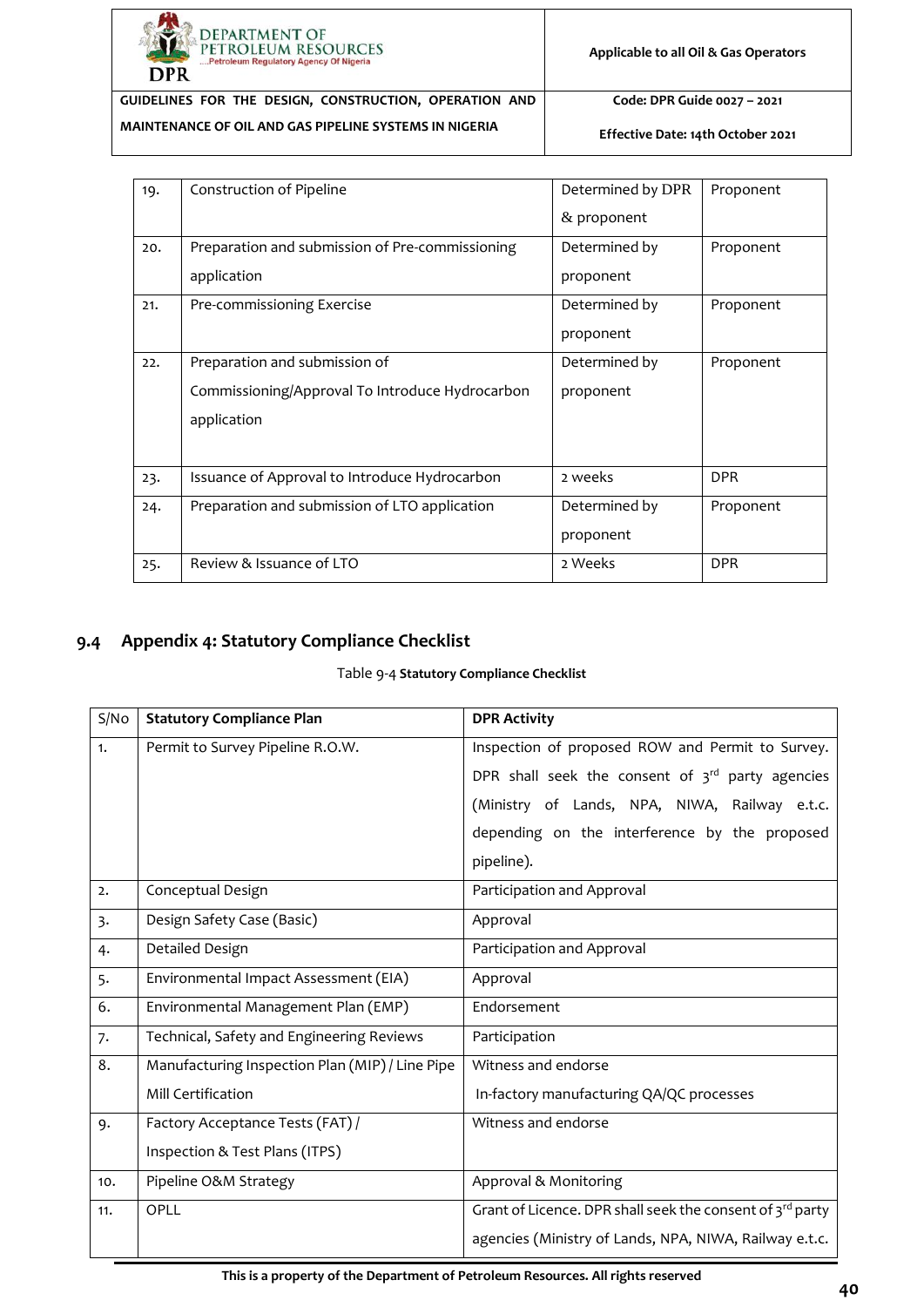

**Code: DPR Guide 0027 – 2021**

**Effective Date: 14th October 2021**

| 19. | Construction of Pipeline                                                                        | Determined by DPR<br>$&$ proponent | Proponent  |
|-----|-------------------------------------------------------------------------------------------------|------------------------------------|------------|
| 20. | Preparation and submission of Pre-commissioning<br>application                                  | Determined by<br>proponent         | Proponent  |
| 21. | Pre-commissioning Exercise                                                                      | Determined by<br>proponent         | Proponent  |
| 22. | Preparation and submission of<br>Commissioning/Approval To Introduce Hydrocarbon<br>application | Determined by<br>proponent         | Proponent  |
| 23. | Issuance of Approval to Introduce Hydrocarbon                                                   | 2 weeks                            | <b>DPR</b> |
| 24. | Preparation and submission of LTO application                                                   | Determined by<br>proponent         | Proponent  |
| 25. | Review & Issuance of LTO                                                                        | 2 Weeks                            | <b>DPR</b> |

#### <span id="page-45-1"></span><span id="page-45-0"></span>**9.4 Appendix 4: Statutory Compliance Checklist**

#### Table 9-4 **Statutory Compliance Checklist**

| S/No           | <b>Statutory Compliance Plan</b>                | <b>DPR Activity</b>                                       |  |  |
|----------------|-------------------------------------------------|-----------------------------------------------------------|--|--|
| 1.             | Permit to Survey Pipeline R.O.W.                | Inspection of proposed ROW and Permit to Survey.          |  |  |
|                |                                                 | DPR shall seek the consent of $3^{rd}$ party agencies     |  |  |
|                |                                                 | (Ministry of Lands, NPA, NIWA, Railway e.t.c.             |  |  |
|                |                                                 | depending on the interference by the proposed             |  |  |
|                |                                                 | pipeline).                                                |  |  |
| 2.             | Conceptual Design                               | Participation and Approval                                |  |  |
| $\overline{3}$ | Design Safety Case (Basic)                      | Approval                                                  |  |  |
| 4.             | Detailed Design                                 | Participation and Approval                                |  |  |
| 5.             | Environmental Impact Assessment (EIA)           | Approval                                                  |  |  |
| 6.             | Environmental Management Plan (EMP)             | Endorsement                                               |  |  |
| 7.             | Technical, Safety and Engineering Reviews       | Participation                                             |  |  |
| 8.             | Manufacturing Inspection Plan (MIP) / Line Pipe | Witness and endorse                                       |  |  |
|                | Mill Certification                              | In-factory manufacturing QA/QC processes                  |  |  |
| 9.             | Factory Acceptance Tests (FAT) /                | Witness and endorse                                       |  |  |
|                | Inspection & Test Plans (ITPS)                  |                                                           |  |  |
| 10.            | Pipeline O&M Strategy                           | Approval & Monitoring                                     |  |  |
| 11.            | OPLL                                            | Grant of Licence. DPR shall seek the consent of 3rd party |  |  |
|                |                                                 | agencies (Ministry of Lands, NPA, NIWA, Railway e.t.c.    |  |  |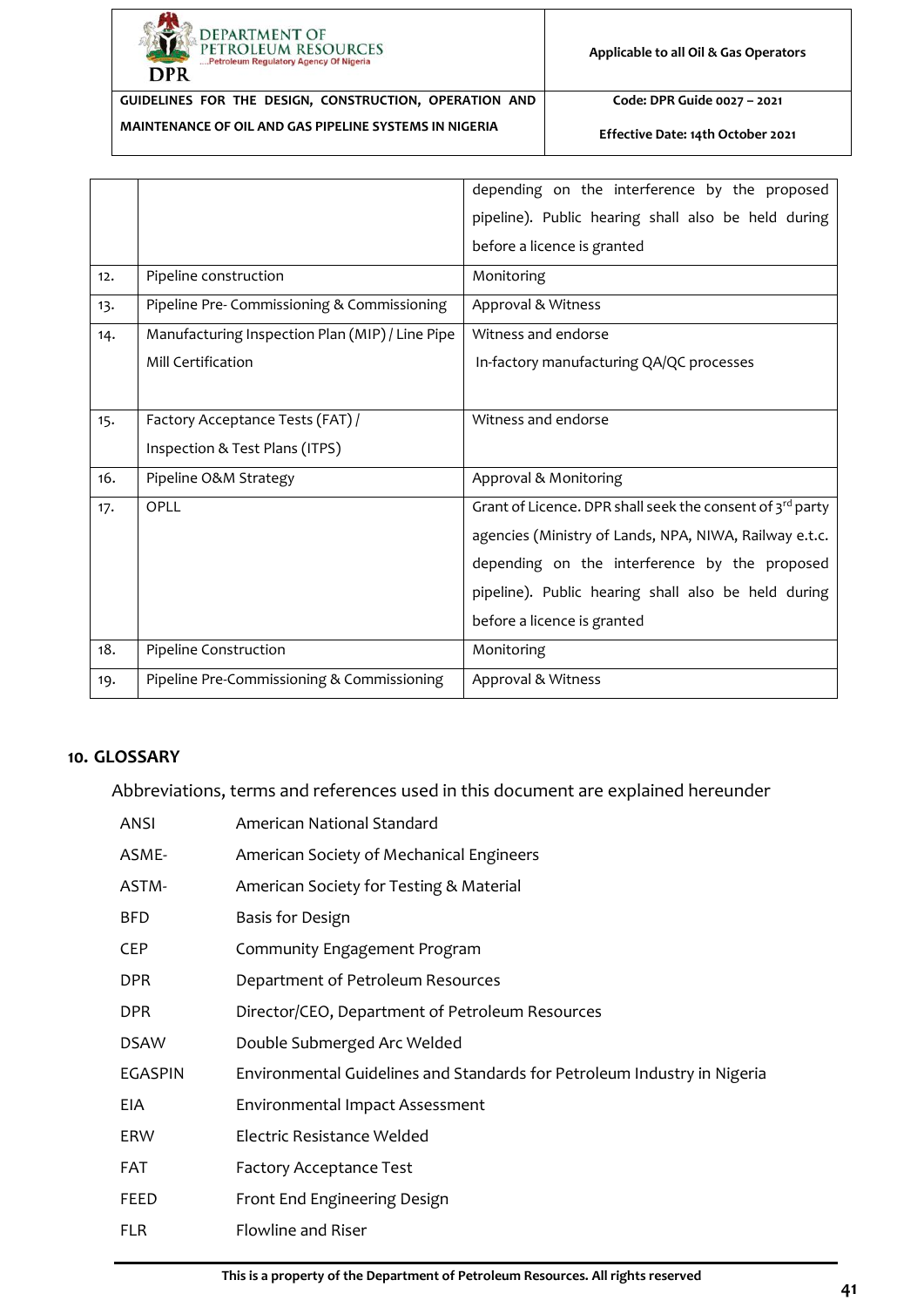

**Code: DPR Guide 0027 – 2021**

**Effective Date: 14th October 2021**

|     |                                                 | depending on the interference by the proposed             |  |  |
|-----|-------------------------------------------------|-----------------------------------------------------------|--|--|
|     |                                                 | pipeline). Public hearing shall also be held during       |  |  |
|     |                                                 | before a licence is granted                               |  |  |
| 12. | Pipeline construction                           | Monitoring                                                |  |  |
| 13. | Pipeline Pre- Commissioning & Commissioning     | Approval & Witness                                        |  |  |
| 14. | Manufacturing Inspection Plan (MIP) / Line Pipe | Witness and endorse                                       |  |  |
|     | Mill Certification                              | In-factory manufacturing QA/QC processes                  |  |  |
|     |                                                 |                                                           |  |  |
| 15. | Factory Acceptance Tests (FAT) /                | Witness and endorse                                       |  |  |
|     | Inspection & Test Plans (ITPS)                  |                                                           |  |  |
| 16. | Pipeline O&M Strategy                           | Approval & Monitoring                                     |  |  |
| 17. | OPLL                                            | Grant of Licence. DPR shall seek the consent of 3rd party |  |  |
|     |                                                 | agencies (Ministry of Lands, NPA, NIWA, Railway e.t.c.    |  |  |
|     |                                                 | depending on the interference by the proposed             |  |  |
|     |                                                 | pipeline). Public hearing shall also be held during       |  |  |
|     |                                                 | before a licence is granted                               |  |  |
| 18. | Pipeline Construction                           | Monitoring                                                |  |  |
| 19. | Pipeline Pre-Commissioning & Commissioning      | Approval & Witness                                        |  |  |

#### <span id="page-46-0"></span>**10. GLOSSARY**

Abbreviations, terms and references used in this document are explained hereunder

| ANSI           | American National Standard                                               |
|----------------|--------------------------------------------------------------------------|
| ASME-          | American Society of Mechanical Engineers                                 |
| ASTM-          | American Society for Testing & Material                                  |
| <b>BFD</b>     | Basis for Design                                                         |
| CEP            | Community Engagement Program                                             |
| DPR.           | Department of Petroleum Resources                                        |
| DPR            | Director/CEO, Department of Petroleum Resources                          |
| <b>DSAW</b>    | Double Submerged Arc Welded                                              |
| <b>EGASPIN</b> | Environmental Guidelines and Standards for Petroleum Industry in Nigeria |
| EIA            | Environmental Impact Assessment                                          |
| ERW            | Electric Resistance Welded                                               |
| FAT            | <b>Factory Acceptance Test</b>                                           |
| FEED           | Front End Engineering Design                                             |
| <b>FLR</b>     | Flowline and Riser                                                       |
|                |                                                                          |